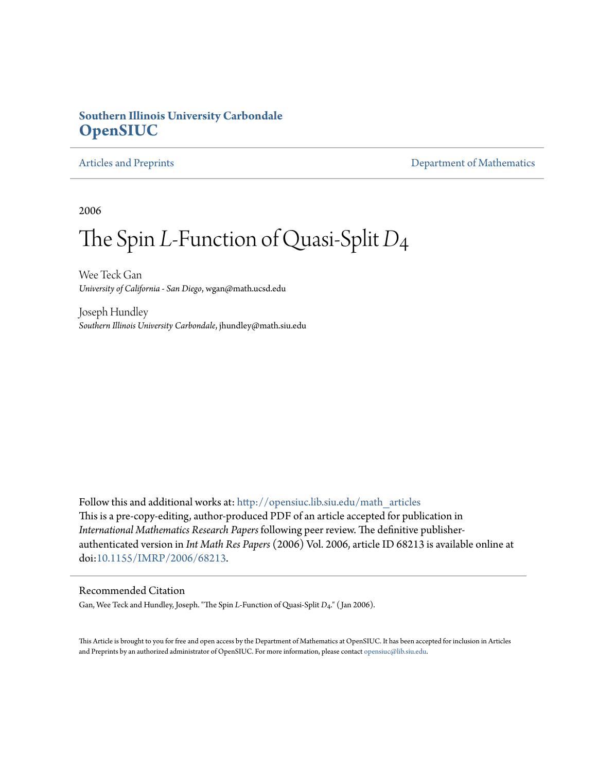# **Southern Illinois University Carbondale [OpenSIUC](http://opensiuc.lib.siu.edu?utm_source=opensiuc.lib.siu.edu%2Fmath_articles%2F94&utm_medium=PDF&utm_campaign=PDFCoverPages)**

[Articles and Preprints](http://opensiuc.lib.siu.edu/math_articles?utm_source=opensiuc.lib.siu.edu%2Fmath_articles%2F94&utm_medium=PDF&utm_campaign=PDFCoverPages) **[Department of Mathematics](http://opensiuc.lib.siu.edu/math?utm_source=opensiuc.lib.siu.edu%2Fmath_articles%2F94&utm_medium=PDF&utm_campaign=PDFCoverPages)** 

2006

# The Spin *L*-Function of Quasi-Split *D*4

Wee Teck Gan *University of California - San Diego*, wgan@math.ucsd.edu

Joseph Hundley *Southern Illinois University Carbondale*, jhundley@math.siu.edu

Follow this and additional works at: [http://opensiuc.lib.siu.edu/math\\_articles](http://opensiuc.lib.siu.edu/math_articles?utm_source=opensiuc.lib.siu.edu%2Fmath_articles%2F94&utm_medium=PDF&utm_campaign=PDFCoverPages) This is a pre-copy-editing, author-produced PDF of an article accepted for publication in *International Mathematics Research Papers* following peer review. The definitive publisherauthenticated version in *Int Math Res Papers* (2006) Vol. 2006, article ID 68213 is available online at doi[:10.1155/IMRP/2006/68213.](http://dx.doi.org/10.1155/IMRP/2006/68213)

#### Recommended Citation

Gan, Wee Teck and Hundley, Joseph. "The Spin *L*-Function of Quasi-Split *D*4." ( Jan 2006).

This Article is brought to you for free and open access by the Department of Mathematics at OpenSIUC. It has been accepted for inclusion in Articles and Preprints by an authorized administrator of OpenSIUC. For more information, please contact [opensiuc@lib.siu.edu](mailto:opensiuc@lib.siu.edu).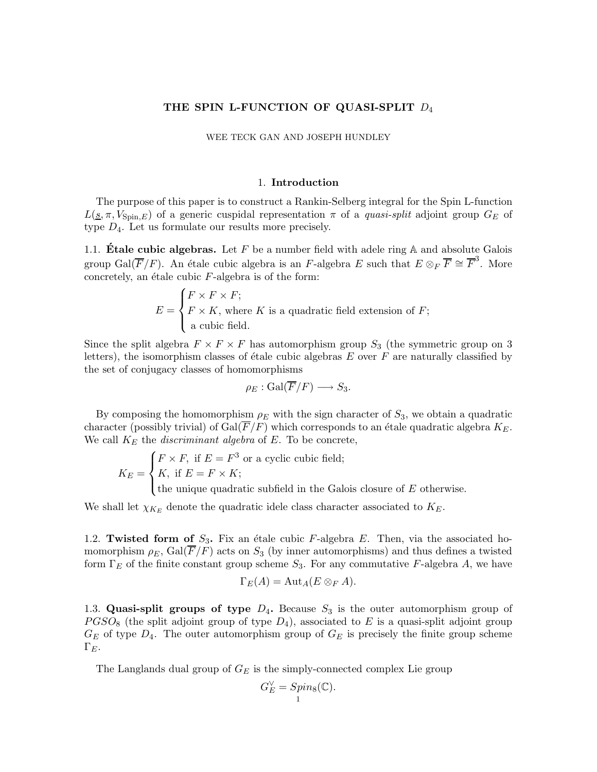#### THE SPIN L-FUNCTION OF QUASI-SPLIT  $D_4$

WEE TECK GAN AND JOSEPH HUNDLEY

#### 1. Introduction

The purpose of this paper is to construct a Rankin-Selberg integral for the Spin L-function  $L(s, \pi, V_{\text{Spin.}E})$  of a generic cuspidal representation  $\pi$  of a *quasi-split* adjoint group  $G_E$  of type  $D_4$ . Let us formulate our results more precisely.

1.1. **Étale cubic algebras.** Let  $F$  be a number field with adele ring  $A$  and absolute Galois group Gal( $\overline{F}/F$ ). An étale cubic algebra is an F-algebra E such that  $E \otimes_F \overline{F} \cong \overline{F}^3$ . More concretely, an étale cubic  $F$ -algebra is of the form:

$$
E = \begin{cases} F \times F \times F; \\ F \times K, \text{ where } K \text{ is a quadratic field extension of } F; \\ \text{a cubic field.} \end{cases}
$$

Since the split algebra  $F \times F \times F$  has automorphism group  $S_3$  (the symmetric group on 3 letters), the isomorphism classes of étale cubic algebras  $E$  over  $F$  are naturally classified by the set of conjugacy classes of homomorphisms

$$
\rho_E : \operatorname{Gal}(\overline{F}/F) \longrightarrow S_3.
$$

By composing the homomorphism  $\rho_E$  with the sign character of  $S_3$ , we obtain a quadratic character (possibly trivial) of Gal( $\overline{F}/F$ ) which corresponds to an étale quadratic algebra  $K_E$ . We call  $K_E$  the *discriminant algebra* of  $E$ . To be concrete,

$$
K_E = \begin{cases} F \times F, \text{ if } E = F^3 \text{ or a cyclic cubic field;} \\ K, \text{ if } E = F \times K; \\ \text{the unique quadratic subfield in the Galois closure of } E \text{ otherwise.} \end{cases}
$$

We shall let  $\chi_{K_E}$  denote the quadratic idele class character associated to  $K_E$ .

1.2. Twisted form of  $S_3$ . Fix an étale cubic F-algebra E. Then, via the associated homomorphism  $\rho_E$ , Gal( $\overline{F}/F$ ) acts on  $S_3$  (by inner automorphisms) and thus defines a twisted form  $\Gamma_F$  of the finite constant group scheme  $S_3$ . For any commutative F-algebra A, we have

$$
\Gamma_E(A) = \mathrm{Aut}_A(E \otimes_F A).
$$

1.3. Quasi-split groups of type  $D_4$ . Because  $S_3$  is the outer automorphism group of  $PGSO_8$  (the split adjoint group of type  $D_4$ ), associated to E is a quasi-split adjoint group  $G_E$  of type  $D_4$ . The outer automorphism group of  $G_E$  is precisely the finite group scheme  $\Gamma_E$ .

The Langlands dual group of  $G_E$  is the simply-connected complex Lie group

$$
G_E^{\vee} = Spin_8(\mathbb{C}).
$$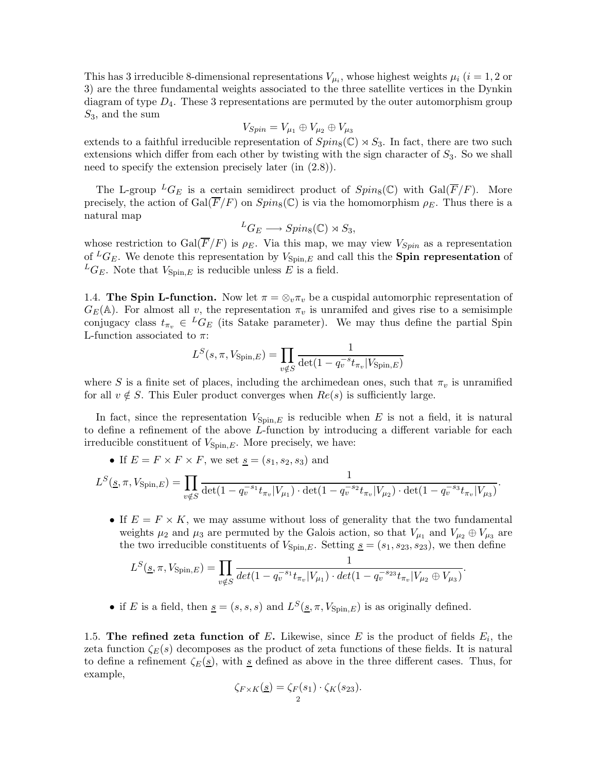This has 3 irreducible 8-dimensional representations  $V_{\mu_i}$ , whose highest weights  $\mu_i$  (i = 1, 2 or 3) are the three fundamental weights associated to the three satellite vertices in the Dynkin diagram of type  $D_4$ . These 3 representations are permuted by the outer automorphism group  $S_3$ , and the sum

$$
V_{Spin}=V_{\mu_1}\oplus V_{\mu_2}\oplus V_{\mu_3}
$$

extends to a faithful irreducible representation of  $Spin_8(\mathbb{C}) \rtimes S_3$ . In fact, there are two such extensions which differ from each other by twisting with the sign character of  $S_3$ . So we shall need to specify the extension precisely later (in (2.8)).

The L-group  ${}^L G_E$  is a certain semidirect product of  $Spin_8(\mathbb{C})$  with  $Gal(\overline{F}/F)$ . More precisely, the action of  $Gal(\overline{F}/F)$  on  $Spin_8(\mathbb{C})$  is via the homomorphism  $\rho_E$ . Thus there is a natural map

$$
{}^L G_E \longrightarrow Spin_8(\mathbb{C}) \rtimes S_3,
$$

whose restriction to Gal( $\overline{F}/F$ ) is  $\rho_E$ . Via this map, we may view  $V_{Spin}$  as a representation of  ${}^L G_E$ . We denote this representation by  $V_{\text{Spin},E}$  and call this the **Spin representation** of  ${}^L G_F$ . Note that  $V_{\text{Spin }E}$  is reducible unless E is a field.

1.4. The Spin L-function. Now let  $\pi = \otimes_v \pi_v$  be a cuspidal automorphic representation of  $G_E(\mathbb{A})$ . For almost all v, the representation  $\pi_v$  is unramifed and gives rise to a semisimple conjugacy class  $t_{\pi_v} \in {}^L G_E$  (its Satake parameter). We may thus define the partial Spin L-function associated to  $\pi$ :

$$
L^{S}(s,\pi,V_{\text{Spin},E}) = \prod_{v \notin S} \frac{1}{\det(1 - q_v^{-s} t_{\pi_v} | V_{\text{Spin},E})}
$$

where S is a finite set of places, including the archimedean ones, such that  $\pi_v$  is unramified for all  $v \notin S$ . This Euler product converges when  $Re(s)$  is sufficiently large.

In fact, since the representation  $V_{\text{Spin},E}$  is reducible when E is not a field, it is natural to define a refinement of the above L-function by introducing a different variable for each irreducible constituent of  $V_{\text{Spin},E}$ . More precisely, we have:

• If  $E = F \times F \times F$ , we set  $\underline{s} = (s_1, s_2, s_3)$  and

$$
L^{S}(\underline{s}, \pi, V_{\text{Spin}, E}) = \prod_{v \notin S} \frac{1}{\det(1 - q_v^{-s_1} t_{\pi_v} | V_{\mu_1}) \cdot \det(1 - q_v^{-s_2} t_{\pi_v} | V_{\mu_2}) \cdot \det(1 - q_v^{-s_3} t_{\pi_v} | V_{\mu_3})}.
$$

• If  $E = F \times K$ , we may assume without loss of generality that the two fundamental weights  $\mu_2$  and  $\mu_3$  are permuted by the Galois action, so that  $V_{\mu_1}$  and  $V_{\mu_2} \oplus V_{\mu_3}$  are the two irreducible constituents of  $V_{\text{Spin},E}$ . Setting  $s = (s_1, s_{23}, s_{23})$ , we then define

$$
L^{S}(\underline{s}, \pi, V_{\text{Spin}, E}) = \prod_{v \notin S} \frac{1}{\det(1 - q_v^{-s_1} t_{\pi_v} | V_{\mu_1}) \cdot \det(1 - q_v^{-s_2} t_{\pi_v} | V_{\mu_2} \oplus V_{\mu_3})}.
$$

• if E is a field, then  $\underline{s} = (s, s, s)$  and  $L^S(\underline{s}, \pi, V_{\text{Spin},E})$  is as originally defined.

1.5. The refined zeta function of E. Likewise, since E is the product of fields  $E_i$ , the zeta function  $\zeta_E(s)$  decomposes as the product of zeta functions of these fields. It is natural to define a refinement  $\zeta_E(\underline{s})$ , with  $\underline{s}$  defined as above in the three different cases. Thus, for example,

$$
\zeta_{F \times K}(\underline{s}) = \zeta_F(s_1) \cdot \zeta_K(s_{23}).
$$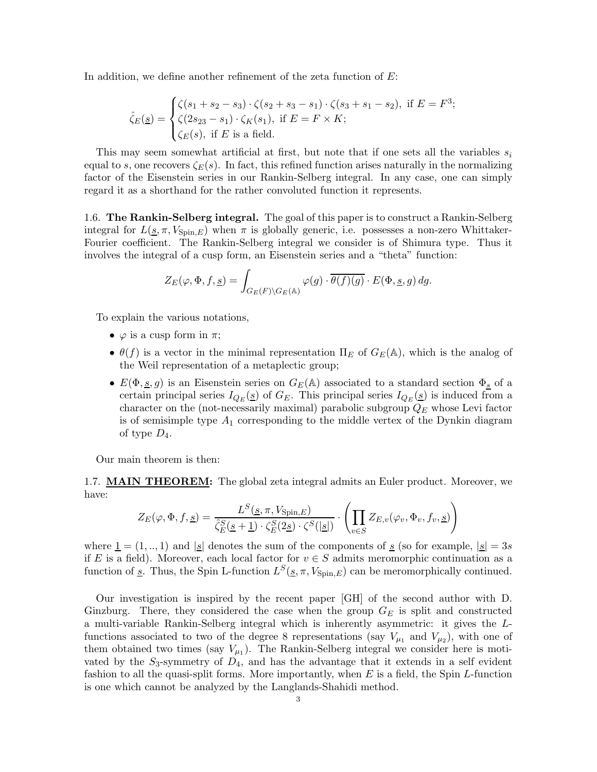In addition, we define another refinement of the zeta function of E:

$$
\hat{\zeta}_E(\underline{s}) = \begin{cases} \zeta(s_1 + s_2 - s_3) \cdot \zeta(s_2 + s_3 - s_1) \cdot \zeta(s_3 + s_1 - s_2), & \text{if } E = F^3; \\ \zeta(2s_{23} - s_1) \cdot \zeta_K(s_1), & \text{if } E = F \times K; \\ \zeta_E(s), & \text{if } E \text{ is a field.} \end{cases}
$$

This may seem somewhat artificial at first, but note that if one sets all the variables  $s_i$ equal to s, one recovers  $\zeta_E(s)$ . In fact, this refined function arises naturally in the normalizing factor of the Eisenstein series in our Rankin-Selberg integral. In any case, one can simply regard it as a shorthand for the rather convoluted function it represents.

1.6. The Rankin-Selberg integral. The goal of this paper is to construct a Rankin-Selberg integral for  $L(s, \pi, V_{\text{Spin},E})$  when  $\pi$  is globally generic, i.e. possesses a non-zero Whittaker-Fourier coefficient. The Rankin-Selberg integral we consider is of Shimura type. Thus it involves the integral of a cusp form, an Eisenstein series and a "theta" function:

$$
Z_{E}(\varphi,\Phi,f,\underline{s})=\int_{G_{E}(F)\backslash G_{E}(\mathbb{A})}\varphi(g)\cdot\overline{\theta(f)(g)}\cdot E(\Phi,\underline{s},g)\,dg.
$$

To explain the various notations,

- $\varphi$  is a cusp form in  $\pi$ ;
- $\theta(f)$  is a vector in the minimal representation  $\Pi_E$  of  $G_E(\mathbb{A})$ , which is the analog of the Weil representation of a metaplectic group;
- $E(\Phi, \underline{s}, g)$  is an Eisenstein series on  $G_E(\mathbb{A})$  associated to a standard section  $\Phi_{\underline{s}}$  of a certain principal series  $I_{Q_E}(s)$  of  $G_E$ . This principal series  $I_{Q_E}(s)$  is induced from a character on the (not-necessarily maximal) parabolic subgroup  $Q_E$  whose Levi factor is of semisimple type  $A_1$  corresponding to the middle vertex of the Dynkin diagram of type  $D_4$ .

Our main theorem is then:

1.7. **MAIN THEOREM:** The global zeta integral admits an Euler product. Moreover, we have:

$$
Z_E(\varphi, \Phi, f, \underline{s}) = \frac{L^S(\underline{s}, \pi, V_{\text{Spin}, E})}{\hat{\zeta}_E^S(\underline{s} + \underline{1}) \cdot \zeta_E^S(2\underline{s}) \cdot \zeta^S(|\underline{s}|)} \cdot \left(\prod_{v \in S} Z_{E,v}(\varphi_v, \Phi_v, f_v, \underline{s})\right)
$$

where  $\underline{1} = (1, ..., 1)$  and  $\underline{s}$  denotes the sum of the components of  $\underline{s}$  (so for example,  $\underline{s}$  = 3s if E is a field). Moreover, each local factor for  $v \in S$  admits meromorphic continuation as a function of <u>s</u>. Thus, the Spin L-function  $L^{S}(\underline{s}, \pi, V_{\text{Spin},E})$  can be meromorphically continued.

Our investigation is inspired by the recent paper [GH] of the second author with D. Ginzburg. There, they considered the case when the group  $G_E$  is split and constructed a multi-variable Rankin-Selberg integral which is inherently asymmetric: it gives the Lfunctions associated to two of the degree 8 representations (say  $V_{\mu_1}$  and  $V_{\mu_2}$ ), with one of them obtained two times (say  $V_{\mu_1}$ ). The Rankin-Selberg integral we consider here is motivated by the  $S_3$ -symmetry of  $D_4$ , and has the advantage that it extends in a self evident fashion to all the quasi-split forms. More importantly, when  $E$  is a field, the Spin  $L$ -function is one which cannot be analyzed by the Langlands-Shahidi method.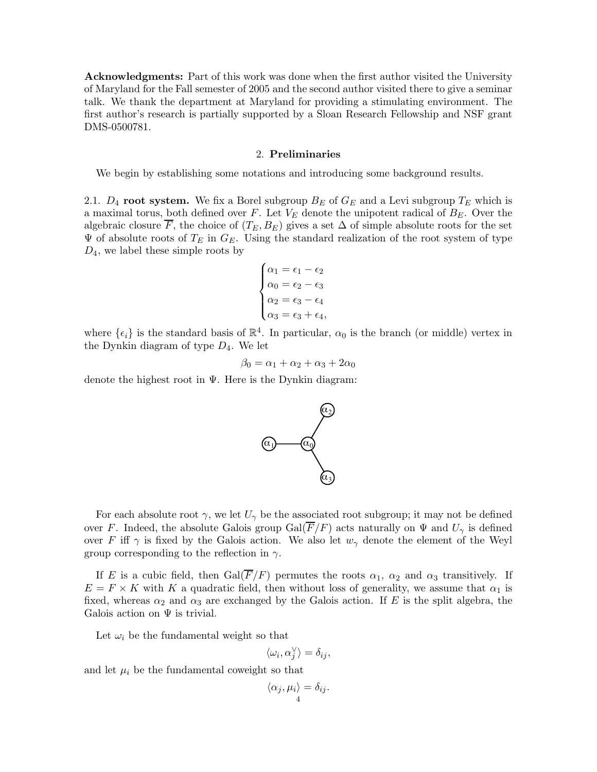Acknowledgments: Part of this work was done when the first author visited the University of Maryland for the Fall semester of 2005 and the second author visited there to give a seminar talk. We thank the department at Maryland for providing a stimulating environment. The first author's research is partially supported by a Sloan Research Fellowship and NSF grant DMS-0500781.

#### 2. Preliminaries

We begin by establishing some notations and introducing some background results.

2.1.  $D_4$  root system. We fix a Borel subgroup  $B_E$  of  $G_E$  and a Levi subgroup  $T_E$  which is a maximal torus, both defined over  $F$ . Let  $V_E$  denote the unipotent radical of  $B_E$ . Over the algebraic closure  $\overline{F}$ , the choice of  $(T_E, B_E)$  gives a set  $\Delta$  of simple absolute roots for the set  $\Psi$  of absolute roots of  $T_E$  in  $G_E$ . Using the standard realization of the root system of type  $D_4$ , we label these simple roots by

$$
\begin{cases} \alpha_1=\epsilon_1-\epsilon_2 \\ \alpha_0=\epsilon_2-\epsilon_3 \\ \alpha_2=\epsilon_3-\epsilon_4 \\ \alpha_3=\epsilon_3+\epsilon_4, \end{cases}
$$

where  $\{\epsilon_i\}$  is the standard basis of  $\mathbb{R}^4$ . In particular,  $\alpha_0$  is the branch (or middle) vertex in the Dynkin diagram of type  $D_4$ . We let

$$
\beta_0 = \alpha_1 + \alpha_2 + \alpha_3 + 2\alpha_0
$$

denote the highest root in Ψ. Here is the Dynkin diagram:



For each absolute root  $\gamma$ , we let  $U_{\gamma}$  be the associated root subgroup; it may not be defined over F. Indeed, the absolute Galois group  $Gal(\overline{F}/F)$  acts naturally on  $\Psi$  and  $U_{\gamma}$  is defined over F iff  $\gamma$  is fixed by the Galois action. We also let  $w_{\gamma}$  denote the element of the Weyl group corresponding to the reflection in  $\gamma$ .

If E is a cubic field, then  $Gal(\overline{F}/F)$  permutes the roots  $\alpha_1$ ,  $\alpha_2$  and  $\alpha_3$  transitively. If  $E = F \times K$  with K a quadratic field, then without loss of generality, we assume that  $\alpha_1$  is fixed, whereas  $\alpha_2$  and  $\alpha_3$  are exchanged by the Galois action. If E is the split algebra, the Galois action on  $\Psi$  is trivial.

Let  $\omega_i$  be the fundamental weight so that

$$
\langle \omega_i, \alpha_j^{\vee} \rangle = \delta_{ij},
$$

and let  $\mu_i$  be the fundamental coweight so that

$$
\langle \alpha_j, \mu_i \rangle = \delta_{ij}.
$$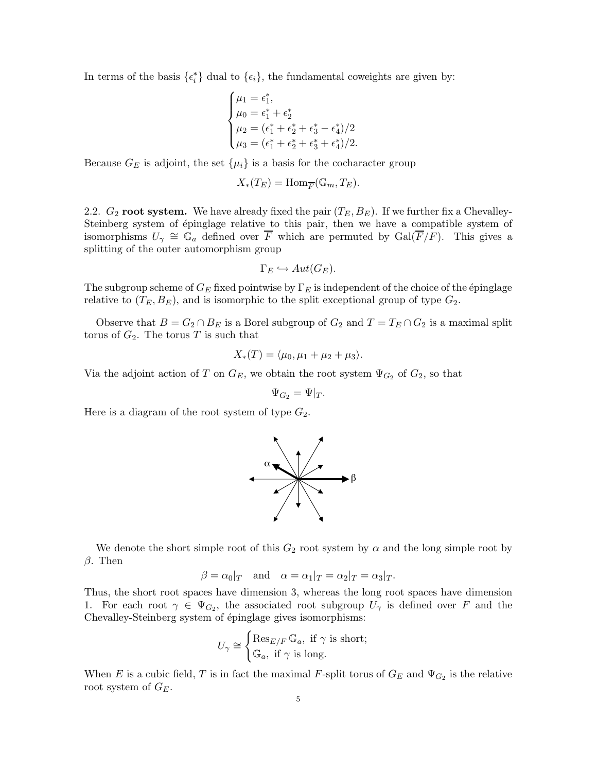In terms of the basis  $\{\epsilon_i^*\}$  dual to  $\{\epsilon_i\}$ , the fundamental coweights are given by:

$$
\begin{cases} \mu_1 = \epsilon_1^*, \\ \mu_0 = \epsilon_1^* + \epsilon_2^* \\ \mu_2 = (\epsilon_1^* + \epsilon_2^* + \epsilon_3^* - \epsilon_4^*)/2 \\ \mu_3 = (\epsilon_1^* + \epsilon_2^* + \epsilon_3^* + \epsilon_4^*)/2. \end{cases}
$$

Because  $G_E$  is adjoint, the set  $\{\mu_i\}$  is a basis for the cocharacter group

$$
X_*(T_E) = \text{Hom}_{\overline{F}}(\mathbb{G}_m, T_E).
$$

2.2.  $G_2$  root system. We have already fixed the pair  $(T_E, B_E)$ . If we further fix a Chevalley-Steinberg system of épinglage relative to this pair, then we have a compatible system of isomorphisms  $U_{\gamma} \cong \mathbb{G}_a$  defined over  $\overline{F}$  which are permuted by  $Gal(\overline{F}/F)$ . This gives a splitting of the outer automorphism group

$$
\Gamma_E \hookrightarrow Aut(G_E).
$$

The subgroup scheme of  $G_E$  fixed pointwise by  $\Gamma_E$  is independent of the choice of the épinglage relative to  $(T_E, B_E)$ , and is isomorphic to the split exceptional group of type  $G_2$ .

Observe that  $B = G_2 \cap B_E$  is a Borel subgroup of  $G_2$  and  $T = T_E \cap G_2$  is a maximal split torus of  $G_2$ . The torus T is such that

$$
X_*(T) = \langle \mu_0, \mu_1 + \mu_2 + \mu_3 \rangle.
$$

Via the adjoint action of T on  $G_E$ , we obtain the root system  $\Psi_{G_2}$  of  $G_2$ , so that

$$
\Psi_{G_2} = \Psi|_T.
$$

Here is a diagram of the root system of type  $G_2$ .



We denote the short simple root of this  $G_2$  root system by  $\alpha$  and the long simple root by  $\beta$ . Then

$$
\beta = \alpha_0|_T
$$
 and  $\alpha = \alpha_1|_T = \alpha_2|_T = \alpha_3|_T$ .

Thus, the short root spaces have dimension 3, whereas the long root spaces have dimension 1. For each root  $\gamma \in \Psi_{G_2}$ , the associated root subgroup  $U_{\gamma}$  is defined over F and the Chevalley-Steinberg system of épinglage gives isomorphisms:

$$
U_{\gamma} \cong \begin{cases} \text{Res}_{E/F} \mathbb{G}_a, \text{ if } \gamma \text{ is short;} \\ \mathbb{G}_a, \text{ if } \gamma \text{ is long.} \end{cases}
$$

When E is a cubic field, T is in fact the maximal F-split torus of  $G_E$  and  $\Psi_{G_2}$  is the relative root system of  $G_E$ .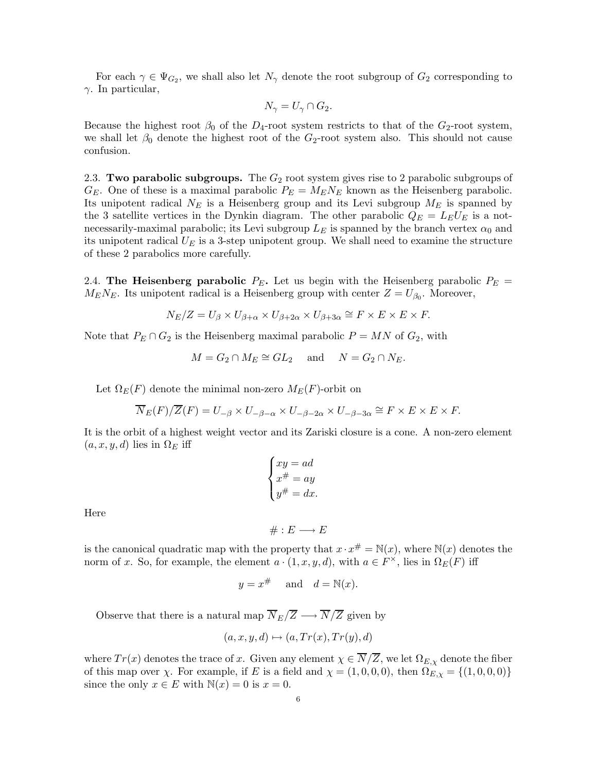For each  $\gamma \in \Psi_{G_2}$ , we shall also let  $N_{\gamma}$  denote the root subgroup of  $G_2$  corresponding to  $\gamma$ . In particular,

$$
N_{\gamma} = U_{\gamma} \cap G_2.
$$

Because the highest root  $\beta_0$  of the  $D_4$ -root system restricts to that of the  $G_2$ -root system, we shall let  $\beta_0$  denote the highest root of the  $G_2$ -root system also. This should not cause confusion.

2.3. Two parabolic subgroups. The  $G_2$  root system gives rise to 2 parabolic subgroups of  $G_E$ . One of these is a maximal parabolic  $P_E = M_E N_E$  known as the Heisenberg parabolic. Its unipotent radical  $N_E$  is a Heisenberg group and its Levi subgroup  $M_E$  is spanned by the 3 satellite vertices in the Dynkin diagram. The other parabolic  $Q_E = L_E U_E$  is a notnecessarily-maximal parabolic; its Levi subgroup  $L<sub>E</sub>$  is spanned by the branch vertex  $\alpha_0$  and its unipotent radical  $U_E$  is a 3-step unipotent group. We shall need to examine the structure of these 2 parabolics more carefully.

2.4. The Heisenberg parabolic  $P_E$ . Let us begin with the Heisenberg parabolic  $P_E$  =  $M_E N_E$ . Its unipotent radical is a Heisenberg group with center  $Z = U_{\beta_0}$ . Moreover,

$$
N_E/Z = U_{\beta} \times U_{\beta + \alpha} \times U_{\beta + 2\alpha} \times U_{\beta + 3\alpha} \cong F \times E \times E \times F.
$$

Note that  $P_E \cap G_2$  is the Heisenberg maximal parabolic  $P = MN$  of  $G_2$ , with

$$
M = G_2 \cap M_E \cong GL_2 \quad \text{and} \quad N = G_2 \cap N_E.
$$

Let  $\Omega_E(F)$  denote the minimal non-zero  $M_E(F)$ -orbit on

$$
\overline{N}_E(F)/\overline{Z}(F) = U_{-\beta} \times U_{-\beta-\alpha} \times U_{-\beta-2\alpha} \times U_{-\beta-3\alpha} \cong F \times E \times E \times F.
$$

It is the orbit of a highest weight vector and its Zariski closure is a cone. A non-zero element  $(a, x, y, d)$  lies in  $\Omega_E$  iff

$$
\begin{cases} xy = ad \\ x^{\#} = ay \\ y^{\#} = dx. \end{cases}
$$

Here

$$
\# : E \longrightarrow E
$$

is the canonical quadratic map with the property that  $x \cdot x^{\#} = \mathbb{N}(x)$ , where  $\mathbb{N}(x)$  denotes the norm of x. So, for example, the element  $a \cdot (1, x, y, d)$ , with  $a \in F^{\times}$ , lies in  $\Omega_E(F)$  iff

$$
y = x^{\#}
$$
 and  $d = \mathbb{N}(x)$ .

Observe that there is a natural map  $\overline{N}_E/\overline{Z} \longrightarrow \overline{N}/\overline{Z}$  given by

$$
(a, x, y, d) \mapsto (a, Tr(x), Tr(y), d)
$$

where  $Tr(x)$  denotes the trace of x. Given any element  $\chi \in \overline{N}/\overline{Z}$ , we let  $\Omega_{E,\chi}$  denote the fiber of this map over  $\chi$ . For example, if E is a field and  $\chi = (1, 0, 0, 0)$ , then  $\Omega_{E,\chi} = \{(1, 0, 0, 0)\}$ since the only  $x \in E$  with  $\mathbb{N}(x) = 0$  is  $x = 0$ .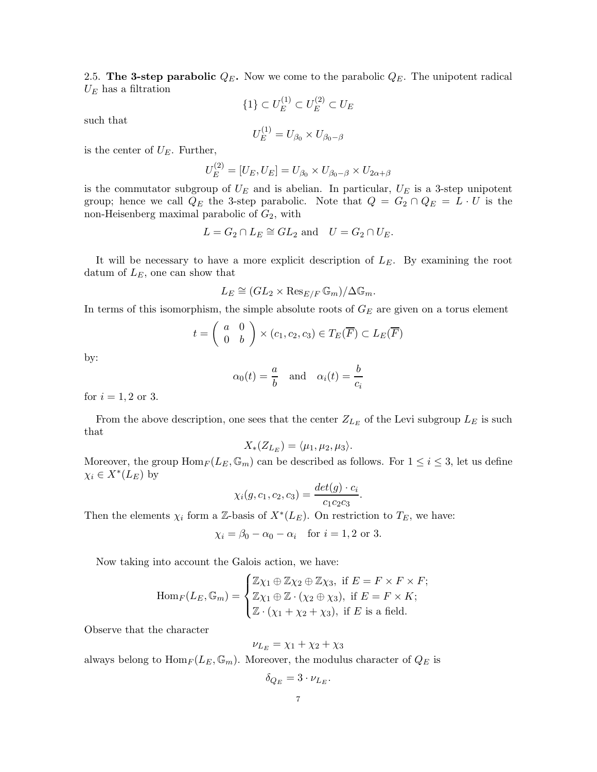2.5. The 3-step parabolic  $Q_E$ . Now we come to the parabolic  $Q_E$ . The unipotent radical  $U_E$  has a filtration

 ${1} \subset U_E^{(1)} \subset U_E^{(2)} \subset U_E$ 

such that

$$
U_E^{(1)} = U_{\beta_0} \times U_{\beta_0 - \beta}
$$

is the center of  $U_E$ . Further,

$$
U_E^{(2)} = [U_E, U_E] = U_{\beta_0} \times U_{\beta_0 - \beta} \times U_{2\alpha + \beta}
$$

is the commutator subgroup of  $U_E$  and is abelian. In particular,  $U_E$  is a 3-step unipotent group; hence we call  $Q_E$  the 3-step parabolic. Note that  $Q = G_2 \cap Q_E = L \cdot U$  is the non-Heisenberg maximal parabolic of  $G_2$ , with

$$
L = G_2 \cap L_E \cong GL_2 \text{ and } U = G_2 \cap U_E.
$$

It will be necessary to have a more explicit description of  $L<sub>E</sub>$ . By examining the root datum of  $L<sub>E</sub>$ , one can show that

$$
L_E \cong (GL_2 \times \operatorname{Res}_{E/F} \mathbb{G}_m)/\Delta \mathbb{G}_m.
$$

In terms of this isomorphism, the simple absolute roots of  $G_E$  are given on a torus element

$$
t = \begin{pmatrix} a & 0 \\ 0 & b \end{pmatrix} \times (c_1, c_2, c_3) \in T_E(\overline{F}) \subset L_E(\overline{F})
$$

by:

$$
\alpha_0(t) = \frac{a}{b}
$$
 and  $\alpha_i(t) = \frac{b}{c_i}$ 

for  $i = 1, 2$  or 3.

From the above description, one sees that the center  $Z_{L_E}$  of the Levi subgroup  $L_E$  is such that

$$
X_*(Z_{L_E}) = \langle \mu_1, \mu_2, \mu_3 \rangle.
$$

Moreover, the group  $\text{Hom}_F(L_E, \mathbb{G}_m)$  can be described as follows. For  $1 \leq i \leq 3$ , let us define  $\chi_i \in X^*(L_E)$  by

$$
\chi_i(g, c_1, c_2, c_3) = \frac{det(g) \cdot c_i}{c_1 c_2 c_3}.
$$

Then the elements  $\chi_i$  form a Z-basis of  $X^*(L_E)$ . On restriction to  $T_E$ , we have:

$$
\chi_i = \beta_0 - \alpha_0 - \alpha_i \quad \text{for } i = 1, 2 \text{ or } 3.
$$

Now taking into account the Galois action, we have:

$$
\operatorname{Hom}_F(L_E, \mathbb{G}_m) = \begin{cases} \mathbb{Z}\chi_1 \oplus \mathbb{Z}\chi_2 \oplus \mathbb{Z}\chi_3, \text{ if } E = F \times F \times F; \\ \mathbb{Z}\chi_1 \oplus \mathbb{Z} \cdot (\chi_2 \oplus \chi_3), \text{ if } E = F \times K; \\ \mathbb{Z} \cdot (\chi_1 + \chi_2 + \chi_3), \text{ if } E \text{ is a field.} \end{cases}
$$

Observe that the character

$$
\nu_{L_E} = \chi_1 + \chi_2 + \chi_3
$$

always belong to  $\text{Hom}_F(L_E, \mathbb{G}_m)$ . Moreover, the modulus character of  $Q_E$  is

$$
\delta_{Q_E} = 3 \cdot \nu_{L_E}.
$$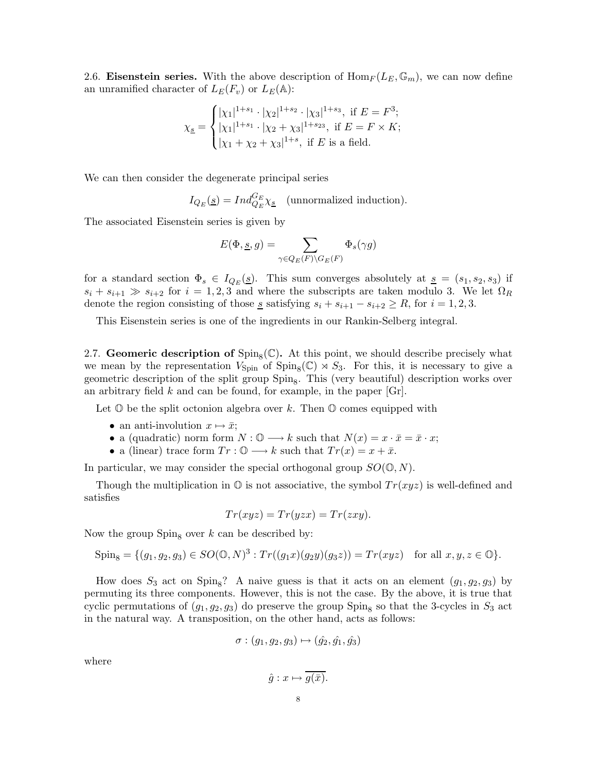2.6. Eisenstein series. With the above description of  $\text{Hom}_F(L_E, \mathbb{G}_m)$ , we can now define an unramified character of  $L_E(F_v)$  or  $L_E(\mathbb{A})$ :

$$
\chi_{\underline{s}} = \begin{cases} |\chi_1|^{1+s_1} \cdot |\chi_2|^{1+s_2} \cdot |\chi_3|^{1+s_3}, \text{ if } E = F^3; \\ |\chi_1|^{1+s_1} \cdot |\chi_2 + \chi_3|^{1+s_23}, \text{ if } E = F \times K; \\ |\chi_1 + \chi_2 + \chi_3|^{1+s}, \text{ if } E \text{ is a field.} \end{cases}
$$

We can then consider the degenerate principal series

$$
I_{Q_E}(\underline{s}) = Ind_{Q_E}^{G_E} \chi_{\underline{s}} \quad \text{(unnormalized induction)}.
$$

The associated Eisenstein series is given by

$$
E(\Phi, \underline{s}, g) = \sum_{\gamma \in Q_E(F) \backslash G_E(F)} \Phi_s(\gamma g)
$$

for a standard section  $\Phi_s \in I_{Q_E}(\underline{s})$ . This sum converges absolutely at  $\underline{s} = (s_1, s_2, s_3)$  if  $s_i + s_{i+1} \gg s_{i+2}$  for  $i = 1, 2, 3$  and where the subscripts are taken modulo 3. We let  $\Omega_R$ denote the region consisting of those <u>s</u> satisfying  $s_i + s_{i+1} - s_{i+2} \ge R$ , for  $i = 1, 2, 3$ .

This Eisenstein series is one of the ingredients in our Rankin-Selberg integral.

2.7. Geomeric description of  $\text{Spin}_8(\mathbb{C})$ . At this point, we should describe precisely what we mean by the representation  $V_{\text{Spin}}$  of  $\text{Spin}_8(\mathbb{C}) \rtimes S_3$ . For this, it is necessary to give a geometric description of the split group  $Spin_8$ . This (very beautiful) description works over an arbitrary field  $k$  and can be found, for example, in the paper [Gr].

Let  $\mathbb O$  be the split octonion algebra over k. Then  $\mathbb O$  comes equipped with

- an anti-involution  $x \mapsto \bar{x}$ ;
- a (quadratic) norm form  $N : \mathbb{O} \longrightarrow k$  such that  $N(x) = x \cdot \bar{x} = \bar{x} \cdot x;$
- a (linear) trace form  $Tr: \mathbb{O} \longrightarrow k$  such that  $Tr(x) = x + \bar{x}$ .

In particular, we may consider the special orthogonal group  $SO(\mathbb{O}, N)$ .

Though the multiplication in  $\mathbb{O}$  is not associative, the symbol  $Tr(xyz)$  is well-defined and satisfies

$$
Tr(xyz) = Tr(yzx) = Tr(zxy).
$$

Now the group  $Spin_8$  over k can be described by:

$$
Spin_8 = \{ (g_1, g_2, g_3) \in SO(0, N)^3 : Tr((g_1x)(g_2y)(g_3z)) = Tr(xyz) \text{ for all } x, y, z \in \mathbb{O} \}.
$$

How does  $S_3$  act on Spin<sub>8</sub>? A naive guess is that it acts on an element  $(g_1, g_2, g_3)$  by permuting its three components. However, this is not the case. By the above, it is true that cyclic permutations of  $(g_1, g_2, g_3)$  do preserve the group  $Spin_8$  so that the 3-cycles in  $S_3$  act in the natural way. A transposition, on the other hand, acts as follows:

$$
\sigma : (g_1, g_2, g_3) \mapsto (\hat{g_2}, \hat{g_1}, \hat{g_3})
$$

where

$$
\hat{g}: x \mapsto g(\bar{x}).
$$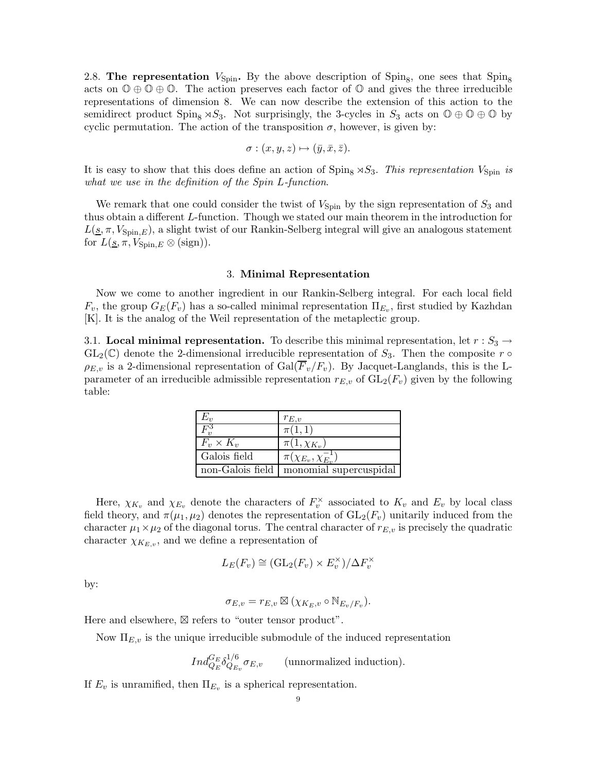2.8. The representation  $V_{\text{Spin}}$ . By the above description of  $\text{Spin}_8$ , one sees that  $\text{Spin}_8$ acts on  $\mathbb{O} \oplus \mathbb{O} \oplus \mathbb{O}$ . The action preserves each factor of  $\mathbb{O}$  and gives the three irreducible representations of dimension 8. We can now describe the extension of this action to the semidirect product  $Spin_8 \rtimes S_3$ . Not surprisingly, the 3-cycles in  $S_3$  acts on  $\mathbb{O} \oplus \mathbb{O} \oplus \mathbb{O}$  by cyclic permutation. The action of the transposition  $\sigma$ , however, is given by:

$$
\sigma:(x,y,z)\mapsto(\bar{y},\bar{x},\bar{z}).
$$

It is easy to show that this does define an action of  $\text{Spin}_8 \rtimes S_3$ . This representation  $V_{\text{Spin}}$  is what we use in the definition of the Spin L-function.

We remark that one could consider the twist of  $V_{\text{Spin}}$  by the sign representation of  $S_3$  and thus obtain a different L-function. Though we stated our main theorem in the introduction for  $L(\underline{s}, \pi, V_{\text{Spin},E})$ , a slight twist of our Rankin-Selberg integral will give an analogous statement for  $L(s, \pi, V_{\text{Spin},E} \otimes (\text{sign})).$ 

#### 3. Minimal Representation

Now we come to another ingredient in our Rankin-Selberg integral. For each local field  $F_v$ , the group  $G_E(F_v)$  has a so-called minimal representation  $\Pi_{E_v}$ , first studied by Kazhdan [K]. It is the analog of the Weil representation of the metaplectic group.

3.1. Local minimal representation. To describe this minimal representation, let  $r : S_3 \rightarrow$  $GL_2(\mathbb{C})$  denote the 2-dimensional irreducible representation of  $S_3$ . Then the composite r  $\circ$  $\rho_{E,v}$  is a 2-dimensional representation of Gal( $\overline{F}_v/F_v$ ). By Jacquet-Langlands, this is the Lparameter of an irreducible admissible representation  $r_{E,v}$  of  $GL_2(F_v)$  given by the following table:

| $E_v$            | $r_{E,v}$                         |
|------------------|-----------------------------------|
| $\overline{F^3}$ | $\pi(1,1)$                        |
| $F_v \times K_v$ | $\pi(1,\chi_{K_v})$               |
| Galois field     | $\pi(\chi_{E_v},\chi_{E_v}^{-1})$ |
| non-Galois field | monomial supercuspidal            |

Here,  $\chi_{K_v}$  and  $\chi_{E_v}$  denote the characters of  $F_v^{\times}$  associated to  $K_v$  and  $E_v$  by local class field theory, and  $\pi(\mu_1, \mu_2)$  denotes the representation of  $GL_2(F_v)$  unitarily induced from the character  $\mu_1 \times \mu_2$  of the diagonal torus. The central character of  $r_{E,v}$  is precisely the quadratic character  $\chi_{K_{E,v}}$ , and we define a representation of

$$
L_E(F_v) \cong (\mathrm{GL}_2(F_v) \times E_v^{\times})/\Delta F_v^{\times}
$$

by:

$$
\sigma_{E,v} = r_{E,v} \boxtimes (\chi_{K_E,v} \circ \mathbb{N}_{E_v/F_v}).
$$

Here and elsewhere,  $\boxtimes$  refers to "outer tensor product".

Now  $\Pi_{E,v}$  is the unique irreducible submodule of the induced representation

$$
Ind_{Q_E}^{G_E} \delta_{Q_{E_v}}^{1/6} \sigma_{E,v}
$$
 (unnormalized induction).

If  $E_v$  is unramified, then  $\Pi_{E_v}$  is a spherical representation.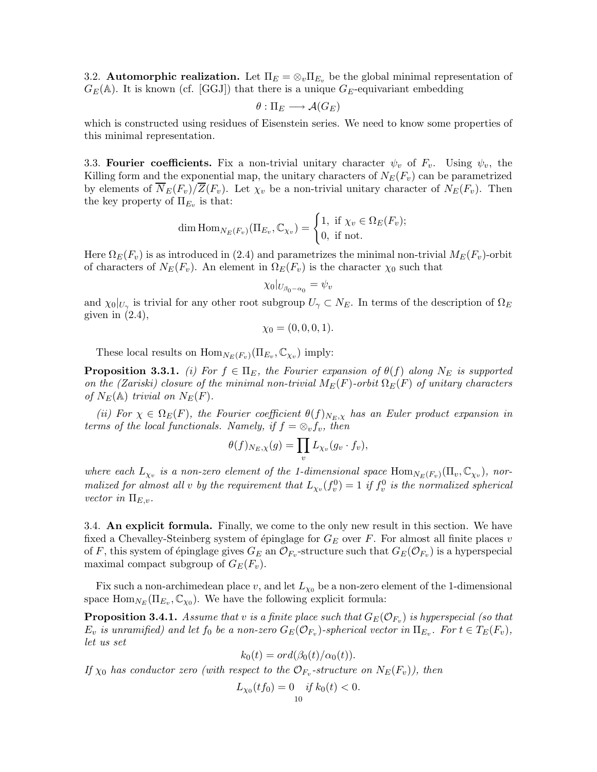3.2. **Automorphic realization.** Let  $\Pi_E = \otimes_v \Pi_{E_v}$  be the global minimal representation of  $G_E(\mathbb{A})$ . It is known (cf. [GGJ]) that there is a unique  $G_E$ -equivariant embedding

$$
\theta:\Pi_E\longrightarrow \mathcal{A}(G_E)
$$

which is constructed using residues of Eisenstein series. We need to know some properties of this minimal representation.

3.3. Fourier coefficients. Fix a non-trivial unitary character  $\psi_v$  of  $F_v$ . Using  $\psi_v$ , the Killing form and the exponential map, the unitary characters of  $N_E(F_v)$  can be parametrized by elements of  $\overline{N}_E(F_v)/\overline{Z}(F_v)$ . Let  $\chi_v$  be a non-trivial unitary character of  $N_E(F_v)$ . Then the key property of  $\Pi_{E_v}$  is that:

$$
\dim \mathrm{Hom}_{N_E(F_v)}(\Pi_{E_v}, \mathbb{C}_{\chi_v}) = \begin{cases} 1, & \text{if } \chi_v \in \Omega_E(F_v); \\ 0, & \text{if not.} \end{cases}
$$

Here  $\Omega_E(F_v)$  is as introduced in (2.4) and parametrizes the minimal non-trivial  $M_E(F_v)$ -orbit of characters of  $N_E(F_v)$ . An element in  $\Omega_E(F_v)$  is the character  $\chi_0$  such that

$$
\chi_0|_{U_{\beta_0-\alpha_0}}=\psi_v
$$

and  $\chi_0|_{U_\gamma}$  is trivial for any other root subgroup  $U_\gamma \subset N_E$ . In terms of the description of  $\Omega_E$ given in  $(2.4)$ ,

$$
\chi_0 = (0, 0, 0, 1).
$$

These local results on  $\text{Hom}_{N_E(F_v)}(\Pi_{E_v}, \mathbb{C}_{\chi_v})$  imply:

**Proposition 3.3.1.** (i) For  $f \in \Pi_E$ , the Fourier expansion of  $\theta(f)$  along  $N_E$  is supported on the (Zariski) closure of the minimal non-trivial  $M_E(F)$ -orbit  $\Omega_E(F)$  of unitary characters of  $N_E(\mathbb{A})$  trivial on  $N_E(F)$ .

(ii) For  $\chi \in \Omega_E(F)$ , the Fourier coefficient  $\theta(f)_{N_E,\chi}$  has an Euler product expansion in terms of the local functionals. Namely, if  $f = \otimes_v f_v$ , then

$$
\theta(f)_{N_E,\chi}(g) = \prod_v L_{\chi_v}(g_v \cdot f_v),
$$

where each  $L_{\chi_v}$  is a non-zero element of the 1-dimensional space  $\text{Hom}_{N_E(F_v)}(\Pi_v, \mathbb{C}_{\chi_v})$ , normalized for almost all v by the requirement that  $L_{\chi_v}(f_v^0) = 1$  if  $f_v^0$  is the normalized spherical vector in  $\Pi_{E,v}$ .

3.4. An explicit formula. Finally, we come to the only new result in this section. We have fixed a Chevalley-Steinberg system of épinglage for  $G_E$  over F. For almost all finite places v of F, this system of épinglage gives  $G_E$  an  $\mathcal{O}_{F_v}$ -structure such that  $G_E(\mathcal{O}_{F_v})$  is a hyperspecial maximal compact subgroup of  $G_E(F_v)$ .

Fix such a non-archimedean place v, and let  $L_{\chi_0}$  be a non-zero element of the 1-dimensional space  $\text{Hom}_{N_E}(\Pi_{E_v}, \mathbb{C}_{\chi_0})$ . We have the following explicit formula:

**Proposition 3.4.1.** Assume that v is a finite place such that  $G_E(\mathcal{O}_{F_v})$  is hyperspecial (so that  $E_v$  is unramified) and let  $f_0$  be a non-zero  $G_E(\mathcal{O}_{F_v})$ -spherical vector in  $\Pi_{E_v}$ . For  $t \in T_E(F_v)$ , let us set

$$
k_0(t) = ord(\beta_0(t)/\alpha_0(t)).
$$

If  $\chi_0$  has conductor zero (with respect to the  $\mathcal{O}_{F_v}$ -structure on  $N_E(F_v)$ ), then

$$
L_{\chi_0}(tf_0) = 0 \quad \text{if } k_0(t) < 0.
$$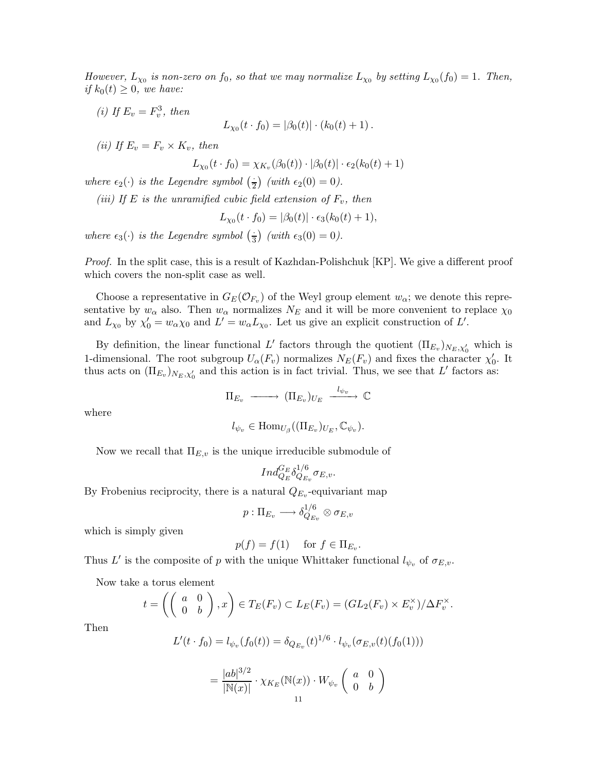However,  $L_{\chi_0}$  is non-zero on  $f_0$ , so that we may normalize  $L_{\chi_0}$  by setting  $L_{\chi_0}(f_0) = 1$ . Then, if  $k_0(t) \geq 0$ , we have:

(i) If  $E_v = F_v^3$ , then

 $L_{\chi_0}(t \cdot f_0) = |\beta_0(t)| \cdot (k_0(t) + 1)$ .

(ii) If  $E_v = F_v \times K_v$ , then

$$
L_{\chi_0}(t \cdot f_0) = \chi_{K_v}(\beta_0(t)) \cdot |\beta_0(t)| \cdot \epsilon_2(k_0(t) + 1)
$$

where  $\epsilon_2(\cdot)$  is the Legendre symbol  $\left(\frac{\cdot}{2}\right)$  (with  $\epsilon_2(0) = 0$ ).

(iii) If E is the unramified cubic field extension of  $F_v$ , then

$$
L_{\chi_0}(t \cdot f_0) = |\beta_0(t)| \cdot \epsilon_3(k_0(t) + 1),
$$

where  $\epsilon_3(\cdot)$  is the Legendre symbol  $\left(\frac{\cdot}{3}\right)$  (with  $\epsilon_3(0) = 0$ ).

Proof. In the split case, this is a result of Kazhdan-Polishchuk [KP]. We give a different proof which covers the non-split case as well.

Choose a representative in  $G_E(\mathcal{O}_{F_n})$  of the Weyl group element  $w_\alpha$ ; we denote this representative by  $w_{\alpha}$  also. Then  $w_{\alpha}$  normalizes  $N_E$  and it will be more convenient to replace  $\chi_0$ and  $L_{\chi_0}$  by  $\chi'_0 = w_\alpha \chi_0$  and  $L' = w_\alpha L_{\chi_0}$ . Let us give an explicit construction of  $L'$ .

By definition, the linear functional L' factors through the quotient  $(\Pi_{E_v})_{N_E,\chi'_0}$  which is 1-dimensional. The root subgroup  $U_{\alpha}(F_v)$  normalizes  $N_E(F_v)$  and fixes the character  $\chi'_0$ . It thus acts on  $(\Pi_{E_v})_{N_E, \chi'_0}$  and this action is in fact trivial. Thus, we see that L' factors as:

$$
\Pi_{E_v} \longrightarrow (\Pi_{E_v})_{U_E} \xrightarrow{l_{\psi_v}} \mathbb{C}
$$

where

$$
l_{\psi_v} \in \text{Hom}_{U_{\beta}}((\Pi_{E_v})_{U_E}, \mathbb{C}_{\psi_v}).
$$

Now we recall that  $\Pi_{E,v}$  is the unique irreducible submodule of

$$
Ind_{Q_E}^{G_E}\delta_{Q_{E_v}}^{1/6}\sigma_{E,v}.
$$

By Frobenius reciprocity, there is a natural  $Q_{E_v}$ -equivariant map

$$
p:\Pi_{E_v}\longrightarrow \delta_{Q_{E_v}}^{1/6}\otimes \sigma_{E,v}
$$

which is simply given

$$
p(f) = f(1) \quad \text{ for } f \in \Pi_{E_v}.
$$

Thus L' is the composite of p with the unique Whittaker functional  $l_{\psi_v}$  of  $\sigma_{E,v}$ .

Now take a torus element

$$
t = \left( \left( \begin{array}{cc} a & 0 \\ 0 & b \end{array} \right), x \right) \in T_E(F_v) \subset L_E(F_v) = (GL_2(F_v) \times E_v^{\times})/\Delta F_v^{\times}.
$$

Then

$$
L'(t \cdot f_0) = l_{\psi_v}(f_0(t)) = \delta_{Q_{E_v}}(t)^{1/6} \cdot l_{\psi_v}(\sigma_{E,v}(t)(f_0(1)))
$$

$$
= \frac{|ab|^{3/2}}{|{\mathbb N}(x)|} \cdot \chi_{K_E}({\mathbb N}(x)) \cdot W_{\psi_v}\left(\begin{array}{cc} a & 0 \\ 0 & b \end{array}\right)
$$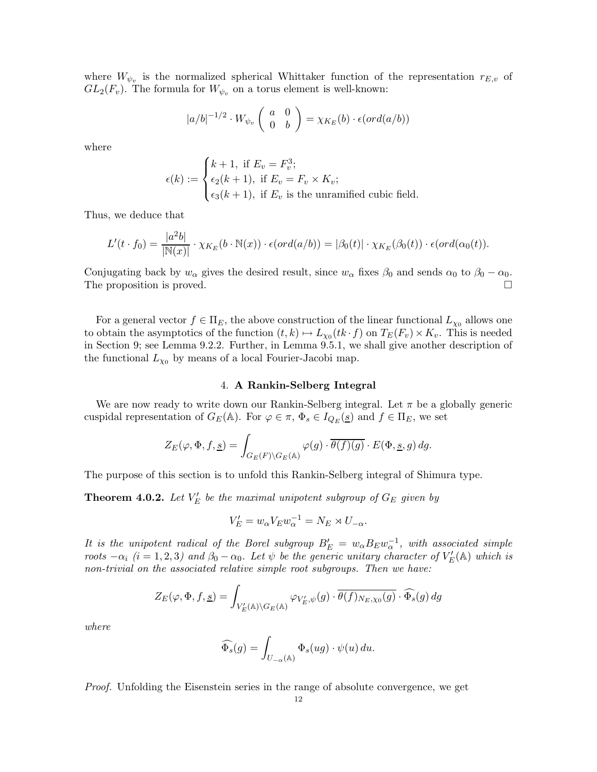where  $W_{\psi_v}$  is the normalized spherical Whittaker function of the representation  $r_{E,v}$  of  $GL_2(F_v)$ . The formula for  $W_{\psi_v}$  on a torus element is well-known:

$$
|a/b|^{-1/2} \cdot W_{\psi_v} \left( \begin{array}{cc} a & 0 \\ 0 & b \end{array} \right) = \chi_{K_E}(b) \cdot \epsilon(ord(a/b))
$$

where

$$
\epsilon(k) := \begin{cases} k+1, \text{ if } E_v = F_v^3; \\ \epsilon_2(k+1), \text{ if } E_v = F_v \times K_v; \\ \epsilon_3(k+1), \text{ if } E_v \text{ is the unramified cubic field.} \end{cases}
$$

Thus, we deduce that

$$
L'(t \cdot f_0) = \frac{|a^2b|}{|\mathbb{N}(x)|} \cdot \chi_{K_E}(b \cdot \mathbb{N}(x)) \cdot \epsilon(\text{ord}(a/b)) = |\beta_0(t)| \cdot \chi_{K_E}(\beta_0(t)) \cdot \epsilon(\text{ord}(\alpha_0(t)).
$$

Conjugating back by  $w_{\alpha}$  gives the desired result, since  $w_{\alpha}$  fixes  $\beta_0$  and sends  $\alpha_0$  to  $\beta_0 - \alpha_0$ .<br>The proposition is proved The proposition is proved.

For a general vector  $f \in \Pi_E$ , the above construction of the linear functional  $L_{\chi_0}$  allows one to obtain the asymptotics of the function  $(t, k) \mapsto L_{\chi_0}(tk \cdot f)$  on  $T_E(F_v) \times K_v$ . This is needed in Section 9; see Lemma 9.2.2. Further, in Lemma 9.5.1, we shall give another description of the functional  $L_{\chi_0}$  by means of a local Fourier-Jacobi map.

#### 4. A Rankin-Selberg Integral

We are now ready to write down our Rankin-Selberg integral. Let  $\pi$  be a globally generic cuspidal representation of  $G_E(\mathbb{A})$ . For  $\varphi \in \pi$ ,  $\Phi_s \in I_{Q_E}(s)$  and  $f \in \Pi_E$ , we set

$$
Z_{E}(\varphi,\Phi,f,\underline{s})=\int_{G_{E}(F)\backslash G_{E}(\mathbb{A})}\varphi(g)\cdot\overline{\theta(f)(g)}\cdot E(\Phi,\underline{s},g)\,dg.
$$

The purpose of this section is to unfold this Rankin-Selberg integral of Shimura type.

**Theorem 4.0.2.** Let  $V'_E$  be the maximal unipotent subgroup of  $G_E$  given by

$$
V'_E = w_\alpha V_E w_\alpha^{-1} = N_E \rtimes U_{-\alpha}.
$$

It is the unipotent radical of the Borel subgroup  $B'_E = w_{\alpha} B_E w_{\alpha}^{-1}$ , with associated simple roots  $-\alpha_i$  (i = 1, 2, 3) and  $\beta_0 - \alpha_0$ . Let  $\psi$  be the generic unitary character of  $V'_E(\mathbb{A})$  which is non-trivial on the associated relative simple root subgroups. Then we have:

$$
Z_{E}(\varphi, \Phi, f, \underline{s}) = \int_{V'_{E}(\mathbb{A}) \backslash G_{E}(\mathbb{A})} \varphi_{V'_{E}, \psi}(g) \cdot \overline{\theta(f)_{N_{E}, \chi_{0}}(g)} \cdot \widehat{\Phi_{s}}(g) dg
$$

where

$$
\widehat{\Phi_s}(g) = \int_{U_{-\alpha}(\mathbb{A})} \Phi_s(ug) \cdot \psi(u) \, du.
$$

Proof. Unfolding the Eisenstein series in the range of absolute convergence, we get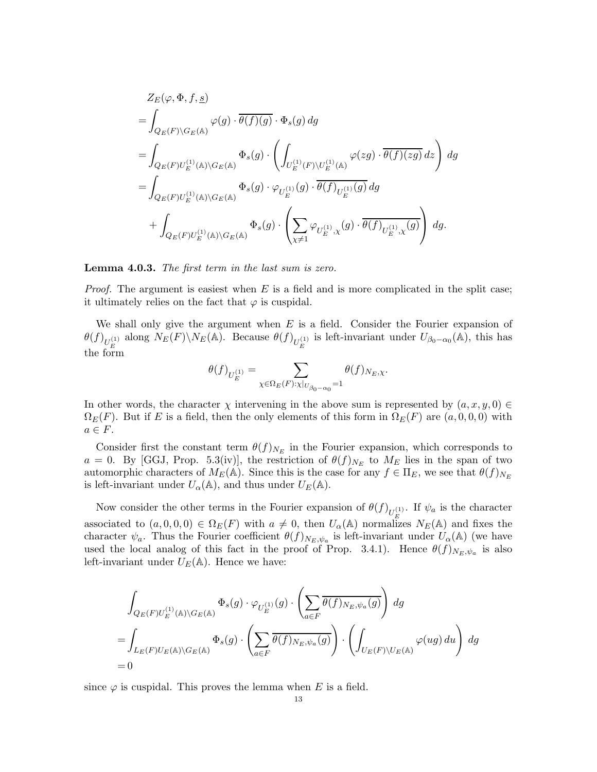$$
\begin{split} &Z_{E}(\varphi,\Phi,f,\underline{s})\\ =&\int_{Q_{E}(F)\backslash G_{E}(\mathbb{A})}\varphi(g)\cdot\overline{\theta(f)(g)}\cdot\Phi_{s}(g)\,dg\\ =&\int_{Q_{E}(F)U_{E}^{(1)}(\mathbb{A})\backslash G_{E}(\mathbb{A})}\Phi_{s}(g)\cdot\left(\int_{U_{E}^{(1)}(F)\backslash U_{E}^{(1)}(\mathbb{A})}\varphi(zg)\cdot\overline{\theta(f)(zg)}\,dz\right)\,dg\\ =&\int_{Q_{E}(F)U_{E}^{(1)}(\mathbb{A})\backslash G_{E}(\mathbb{A})}\Phi_{s}(g)\cdot\varphi_{U_{E}^{(1)}}(g)\cdot\overline{\theta(f)}_{U_{E}^{(1)}(g)}\,dg\\ &+\int_{Q_{E}(F)U_{E}^{(1)}(\mathbb{A})\backslash G_{E}(\mathbb{A})}\Phi_{s}(g)\cdot\left(\sum_{\chi\neq 1}\varphi_{U_{E}^{(1)},\chi}(g)\cdot\overline{\theta(f)}_{U_{E}^{(1)},\chi}(g)\right)\,dg. \end{split}
$$

#### Lemma 4.0.3. The first term in the last sum is zero.

*Proof.* The argument is easiest when  $E$  is a field and is more complicated in the split case; it ultimately relies on the fact that  $\varphi$  is cuspidal.

We shall only give the argument when  $E$  is a field. Consider the Fourier expansion of  $\theta(f)_{U_E^{(1)}}$  along  $N_E(F)\setminus N_E(\mathbb{A})$ . Because  $\theta(f)_{U_E^{(1)}}$  is left-invariant under  $U_{\beta_0-\alpha_0}(\mathbb{A})$ , this has the form

$$
\theta(f)_{U_E^{(1)}}=\sum_{\chi\in\Omega_E(F):\chi|_{U_{\beta_0-\alpha_0}}=1}\theta(f)_{N_E,\chi}.
$$

In other words, the character  $\chi$  intervening in the above sum is represented by  $(a, x, y, 0) \in$  $\Omega_E(F)$ . But if E is a field, then the only elements of this form in  $\Omega_E(F)$  are  $(a, 0, 0, 0)$  with  $a \in F$ .

Consider first the constant term  $\theta(f)_{N_E}$  in the Fourier expansion, which corresponds to a = 0. By [GGJ, Prop. 5.3(iv)], the restriction of  $\theta(f)_{N_E}$  to  $M_E$  lies in the span of two automorphic characters of  $M_E(\mathbb{A})$ . Since this is the case for any  $f \in \Pi_E$ , we see that  $\theta(f)_{N_E}$ is left-invariant under  $U_{\alpha}(\mathbb{A})$ , and thus under  $U_{E}(\mathbb{A})$ .

Now consider the other terms in the Fourier expansion of  $\theta(f)_{U_E^{(1)}}$ . If  $\psi_a$  is the character associated to  $(a, 0, 0, 0) \in \Omega_E(F)$  with  $a \neq 0$ , then  $U_\alpha(\mathbb{A})$  normalizes  $N_E(\mathbb{A})$  and fixes the character  $\psi_a$ . Thus the Fourier coefficient  $\theta(f)_{N_E,\psi_a}$  is left-invariant under  $U_\alpha(\mathbb{A})$  (we have used the local analog of this fact in the proof of Prop. 3.4.1). Hence  $\theta(f)_{N_E,\psi_a}$  is also left-invariant under  $U_E(\mathbb{A})$ . Hence we have:

$$
\begin{split} & \int_{Q_E(F)U_E^{(1)}(\mathbb{A})\backslash G_E(\mathbb{A})} \Phi_s(g) \cdot \varphi_{U_E^{(1)}}(g) \cdot \left( \sum_{a \in F} \overline{\theta(f)_{N_E, \psi_a}(g)} \right) dg \\ = & \int_{L_E(F)U_E(\mathbb{A})\backslash G_E(\mathbb{A})} \Phi_s(g) \cdot \left( \sum_{a \in F} \overline{\theta(f)_{N_E, \psi_a}(g)} \right) \cdot \left( \int_{U_E(F) \backslash U_E(\mathbb{A})} \varphi(ug) \, du \right) \, dg \\ = & 0 \end{split}
$$

since  $\varphi$  is cuspidal. This proves the lemma when E is a field.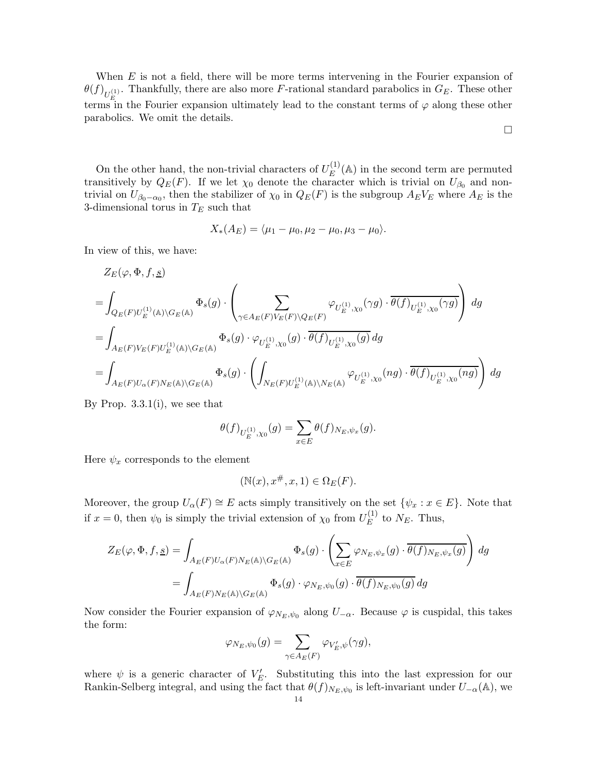When  $E$  is not a field, there will be more terms intervening in the Fourier expansion of  $\theta(f)_{U_E^{(1)}}$ . Thankfully, there are also more F-rational standard parabolics in  $G_E$ . These other terms in the Fourier expansion ultimately lead to the constant terms of  $\varphi$  along these other parabolics. We omit the details.

On the other hand, the non-trivial characters of  $U_E^{(1)}(\mathbb{A})$  in the second term are permuted transitively by  $Q_E(F)$ . If we let  $\chi_0$  denote the character which is trivial on  $U_{\beta_0}$  and nontrivial on  $U_{\beta_0-\alpha_0}$ , then the stabilizer of  $\chi_0$  in  $Q_E(F)$  is the subgroup  $A_EV_E$  where  $A_E$  is the 3-dimensional torus in  $T_E$  such that

$$
X_*(A_E) = \langle \mu_1 - \mu_0, \mu_2 - \mu_0, \mu_3 - \mu_0 \rangle.
$$

In view of this, we have:

$$
\begin{split} &Z_{E}(\varphi,\Phi,f,\underline{s})\\ &=\int_{Q_{E}(F)U_{E}^{(1)}(\mathbb{A})\backslash G_{E}(\mathbb{A})}\Phi_{s}(g)\cdot\left(\sum_{\gamma\in A_{E}(F)V_{E}(F)\backslash Q_{E}(F)}\varphi_{U_{E}^{(1)},\chi_{0}}(\gamma g)\cdot\overline{\theta(f)}_{U_{E}^{(1)},\chi_{0}}(\gamma g)\right)\,dg\\ &=\int_{A_{E}(F)V_{E}(F)U_{E}^{(1)}(\mathbb{A})\backslash G_{E}(\mathbb{A})}\Phi_{s}(g)\cdot\varphi_{U_{E}^{(1)},\chi_{0}}(g)\cdot\overline{\theta(f)}_{U_{E}^{(1)},\chi_{0}}(g)\,dg\\ &=\int_{A_{E}(F)U_{\alpha}(F)N_{E}(\mathbb{A})\backslash G_{E}(\mathbb{A})}\Phi_{s}(g)\cdot\left(\int_{N_{E}(F)U_{E}^{(1)}(\mathbb{A})\backslash N_{E}(\mathbb{A})}\varphi_{U_{E}^{(1)},\chi_{0}}(ng)\cdot\overline{\theta(f)}_{U_{E}^{(1)},\chi_{0}}(ng)\right)\,dg \end{split}
$$

By Prop.  $3.3.1(i)$ , we see that

$$
\theta(f)_{U_E^{(1)}, \chi_0}(g) = \sum_{x \in E} \theta(f)_{N_E, \psi_x}(g).
$$

Here  $\psi_x$  corresponds to the element

$$
(\mathbb{N}(x), x^{\#}, x, 1) \in \Omega_E(F).
$$

Moreover, the group  $U_{\alpha}(F) \cong E$  acts simply transitively on the set  $\{\psi_x : x \in E\}$ . Note that if  $x = 0$ , then  $\psi_0$  is simply the trivial extension of  $\chi_0$  from  $U_E^{(1)}$  to  $N_E$ . Thus,

$$
Z_{E}(\varphi, \Phi, f, \underline{s}) = \int_{A_{E}(F)U_{\alpha}(F)N_{E}(\mathbb{A})\backslash G_{E}(\mathbb{A})} \Phi_{s}(g) \cdot \left(\sum_{x \in E} \varphi_{N_{E}, \psi_{x}}(g) \cdot \overline{\theta(f)_{N_{E}, \psi_{x}}(g)}\right) dg
$$
  
= 
$$
\int_{A_{E}(F)N_{E}(\mathbb{A})\backslash G_{E}(\mathbb{A})} \Phi_{s}(g) \cdot \varphi_{N_{E}, \psi_{0}}(g) \cdot \overline{\theta(f)_{N_{E}, \psi_{0}}(g)} dg
$$

Now consider the Fourier expansion of  $\varphi_{N_E,\psi_0}$  along  $U_{-\alpha}$ . Because  $\varphi$  is cuspidal, this takes the form:

$$
\varphi_{N_E, \psi_0}(g) = \sum_{\gamma \in A_E(F)} \varphi_{V'_E, \psi}(\gamma g),
$$

where  $\psi$  is a generic character of  $V'_E$ . Substituting this into the last expression for our Rankin-Selberg integral, and using the fact that  $\theta(f)_{N_E,\psi_0}$  is left-invariant under  $U_{-\alpha}(\mathbb{A})$ , we

 $\Box$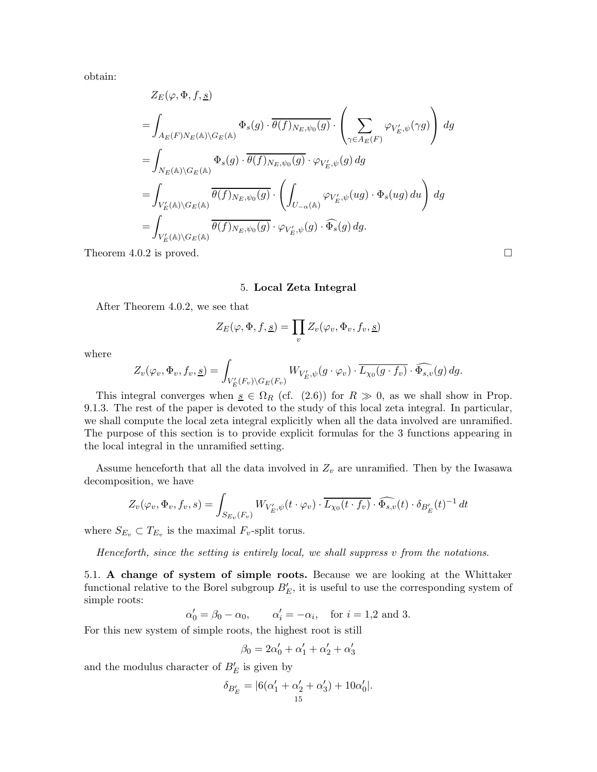obtain:

$$
Z_{E}(\varphi, \Phi, f, \underline{s})
$$
\n
$$
= \int_{A_{E}(F)N_{E}(\mathbb{A})\backslash G_{E}(\mathbb{A})} \Phi_{s}(g) \cdot \overline{\theta(f)_{N_{E}, \psi_{0}}(g)} \cdot \left(\sum_{\gamma \in A_{E}(F)} \varphi_{V'_{E}, \psi}(\gamma g)\right) dg
$$
\n
$$
= \int_{N_{E}(\mathbb{A})\backslash G_{E}(\mathbb{A})} \Phi_{s}(g) \cdot \overline{\theta(f)_{N_{E}, \psi_{0}}(g)} \cdot \varphi_{V'_{E}, \psi}(g) dg
$$
\n
$$
= \int_{V'_{E}(\mathbb{A})\backslash G_{E}(\mathbb{A})} \overline{\theta(f)_{N_{E}, \psi_{0}}(g)} \cdot \left(\int_{U_{-\alpha}(\mathbb{A})} \varphi_{V'_{E}, \psi}(ug) \cdot \Phi_{s}(ug) du\right) dg
$$
\n
$$
= \int_{V'_{E}(\mathbb{A})\backslash G_{E}(\mathbb{A})} \overline{\theta(f)_{N_{E}, \psi_{0}}(g)} \cdot \varphi_{V'_{E}, \psi}(g) \cdot \widehat{\Phi_{s}}(g) dg.
$$

Theorem 4.0.2 is proved.  $\Box$ 

#### 5. Local Zeta Integral

After Theorem 4.0.2, we see that

$$
Z_E(\varphi, \Phi, f, \underline{s}) = \prod_v Z_v(\varphi_v, \Phi_v, f_v, \underline{s})
$$

where

$$
Z_v(\varphi_v, \Phi_v, f_v, \underline{s}) = \int_{V'_E(F_v)\backslash G_E(F_v)} W_{V'_E, \psi}(g \cdot \varphi_v) \cdot \overline{L_{\chi_0}(g \cdot f_v)} \cdot \widehat{\Phi_{s,v}}(g) \, dg.
$$

This integral converges when  $s \in \Omega_R$  (cf. (2.6)) for  $R \gg 0$ , as we shall show in Prop. 9.1.3. The rest of the paper is devoted to the study of this local zeta integral. In particular, we shall compute the local zeta integral explicitly when all the data involved are unramified. The purpose of this section is to provide explicit formulas for the 3 functions appearing in the local integral in the unramified setting.

Assume henceforth that all the data involved in  $Z_v$  are unramified. Then by the Iwasawa decomposition, we have

$$
Z_v(\varphi_v, \Phi_v, f_v, s) = \int_{S_{E_v}(F_v)} W_{V'_E, \psi}(t \cdot \varphi_v) \cdot \overline{L_{\chi_0}(t \cdot f_v)} \cdot \widehat{\Phi_{s,v}}(t) \cdot \delta_{B'_E}(t)^{-1} dt
$$

where  $S_{E_v} \subset T_{E_v}$  is the maximal  $F_v$ -split torus.

Henceforth, since the setting is entirely local, we shall suppress v from the notations.

5.1. A change of system of simple roots. Because we are looking at the Whittaker functional relative to the Borel subgroup  $B'_E$ , it is useful to use the corresponding system of simple roots:

 $\alpha'_0 = \beta_0 - \alpha_0, \qquad \alpha'_i = -\alpha_i, \quad \text{for } i = 1, 2 \text{ and } 3.$ 

For this new system of simple roots, the highest root is still

$$
\beta_0 = 2\alpha'_0 + \alpha'_1 + \alpha'_2 + \alpha'_3
$$

and the modulus character of  $B'_E$  is given by

$$
\delta_{B'_E} = |6(\alpha'_1 + \alpha'_2 + \alpha'_3) + 10\alpha'_0|.
$$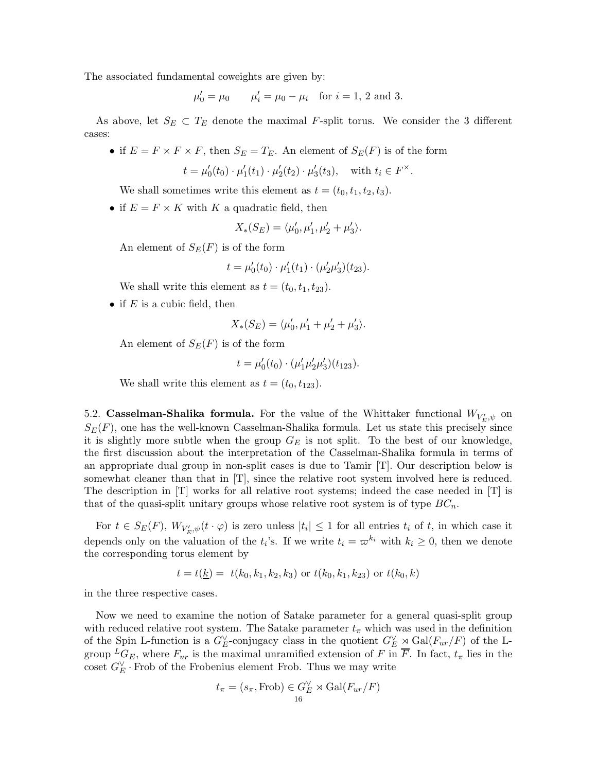The associated fundamental coweights are given by:

$$
\mu'_0 = \mu_0
$$
  $\mu'_i = \mu_0 - \mu_i$  for  $i = 1, 2$  and 3.

As above, let  $S_E \subset T_E$  denote the maximal F-split torus. We consider the 3 different cases:

• if  $E = F \times F \times F$ , then  $S_E = T_E$ . An element of  $S_E(F)$  is of the form

$$
t = \mu'_0(t_0) \cdot \mu'_1(t_1) \cdot \mu'_2(t_2) \cdot \mu'_3(t_3)
$$
, with  $t_i \in F^\times$ .

We shall sometimes write this element as  $t = (t_0, t_1, t_2, t_3)$ .

• if  $E = F \times K$  with K a quadratic field, then

$$
X_*(S_E) = \langle \mu'_0, \mu'_1, \mu'_2 + \mu'_3 \rangle.
$$

An element of  $S_E(F)$  is of the form

$$
t = \mu'_0(t_0) \cdot \mu'_1(t_1) \cdot (\mu'_2 \mu'_3)(t_{23}).
$$

We shall write this element as  $t = (t_0, t_1, t_{23})$ .

• if  $E$  is a cubic field, then

$$
X_*(S_E) = \langle \mu'_0, \mu'_1 + \mu'_2 + \mu'_3 \rangle.
$$

An element of  $S_E(F)$  is of the form

$$
t = \mu'_0(t_0) \cdot (\mu'_1 \mu'_2 \mu'_3)(t_{123}).
$$

We shall write this element as  $t = (t_0, t_{123})$ .

5.2. **Casselman-Shalika formula.** For the value of the Whittaker functional  $W_{V'_{E},\psi}$  on  $S_E(F)$ , one has the well-known Casselman-Shalika formula. Let us state this precisely since it is slightly more subtle when the group  $G_E$  is not split. To the best of our knowledge, the first discussion about the interpretation of the Casselman-Shalika formula in terms of an appropriate dual group in non-split cases is due to Tamir [T]. Our description below is somewhat cleaner than that in [T], since the relative root system involved here is reduced. The description in  $|T|$  works for all relative root systems; indeed the case needed in  $|T|$  is that of the quasi-split unitary groups whose relative root system is of type  $BC_n$ .

For  $t \in S_E(F)$ ,  $W_{V'_E, \psi}(t \cdot \varphi)$  is zero unless  $|t_i| \leq 1$  for all entries  $t_i$  of  $t$ , in which case it depends only on the valuation of the  $t_i$ 's. If we write  $t_i = \varpi^{k_i}$  with  $k_i \geq 0$ , then we denote the corresponding torus element by

$$
t = t(\underline{k}) = t(k_0, k_1, k_2, k_3)
$$
 or  $t(k_0, k_1, k_2)$  or  $t(k_0, k)$ 

in the three respective cases.

Now we need to examine the notion of Satake parameter for a general quasi-split group with reduced relative root system. The Satake parameter  $t_{\pi}$  which was used in the definition of the Spin L-function is a  $G_F^{\vee}$ -conjugacy class in the quotient  $G_E^{\vee} \rtimes Gal(F_{ur}/F)$  of the Lgroup  ${}^L G_E$ , where  $F_{ur}$  is the maximal unramified extension of F in  $\overline{F}$ . In fact,  $t_\pi$  lies in the coset  $G_E^{\vee}$  · Frob of the Frobenius element Frob. Thus we may write

$$
t_{\pi} = (s_{\pi}, \text{Frob}) \in G_E^{\vee} \rtimes \text{Gal}(F_{ur}/F)
$$
  
<sub>16</sub>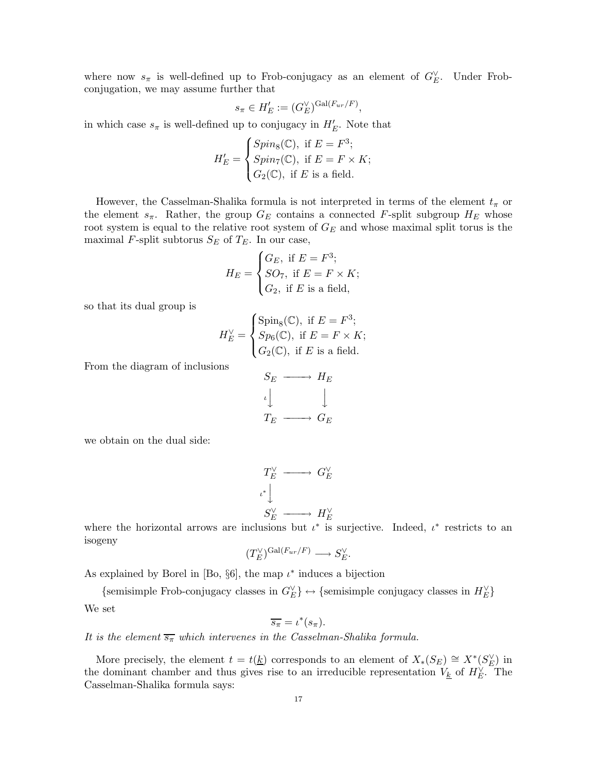where now  $s_{\pi}$  is well-defined up to Frob-conjugacy as an element of  $G_{E}^{\vee}$ . Under Frobconjugation, we may assume further that

$$
s_{\pi} \in H'_{E} := (G_{E}^{\vee})^{\mathrm{Gal}(F_{ur}/F)},
$$

in which case  $s_{\pi}$  is well-defined up to conjugacy in  $H'_{E}$ . Note that

$$
H'_E = \begin{cases} Spin_8(\mathbb{C}), \text{ if } E = F^3; \\ Spin_7(\mathbb{C}), \text{ if } E = F \times K; \\ G_2(\mathbb{C}), \text{ if } E \text{ is a field.} \end{cases}
$$

However, the Casselman-Shalika formula is not interpreted in terms of the element  $t_{\pi}$  or the element  $s_{\pi}$ . Rather, the group  $G_E$  contains a connected F-split subgroup  $H_E$  whose root system is equal to the relative root system of  $G_E$  and whose maximal split torus is the maximal F-split subtorus  $S_E$  of  $T_E$ . In our case,

$$
H_E = \begin{cases} G_E, \text{ if } E = F^3; \\ SO_7, \text{ if } E = F \times K; \\ G_2, \text{ if } E \text{ is a field,} \end{cases}
$$

so that its dual group is

$$
H_E^{\vee} = \begin{cases} \text{Spin}_8(\mathbb{C}), \text{ if } E = F^3; \\ Sp_6(\mathbb{C}), \text{ if } E = F \times K; \\ G_2(\mathbb{C}), \text{ if } E \text{ is a field.} \end{cases}
$$

From the diagram of inclusions

$$
S_E \longrightarrow H_E
$$
  
\n
$$
\downarrow \qquad \qquad \downarrow
$$
  
\n
$$
T_E \longrightarrow G_E
$$

we obtain on the dual side:

$$
T_E^{\vee} \longrightarrow G_E^{\vee}
$$
  

$$
\downarrow^*
$$
  

$$
S_E^{\vee} \longrightarrow H_E^{\vee}
$$

where the horizontal arrows are inclusions but  $\iota^*$  is surjective. Indeed,  $\iota^*$  restricts to an isogeny

$$
(T_E^{\vee})^{\operatorname{Gal}(F_{ur}/F)} \longrightarrow S_E^{\vee}.
$$

As explained by Borel in [Bo,  $\S6$ ], the map  $\iota^*$  induces a bijection

{semisimple Frob-conjugacy classes in  $G_E^{\vee}$ }  $\leftrightarrow$  {semisimple conjugacy classes in  $H_E^{\vee}$ } We set

$$
\overline{s_{\pi}}=\iota^*(s_{\pi}).
$$

It is the element  $\overline{s_{\pi}}$  which intervenes in the Casselman-Shalika formula.

More precisely, the element  $t = t(\underline{k})$  corresponds to an element of  $X_*(S_E) \cong X^*(S_E^{\vee})$  in the dominant chamber and thus gives rise to an irreducible representation  $V_{\underline{k}}$  of  $H_E^{\vee}$ . The Casselman-Shalika formula says: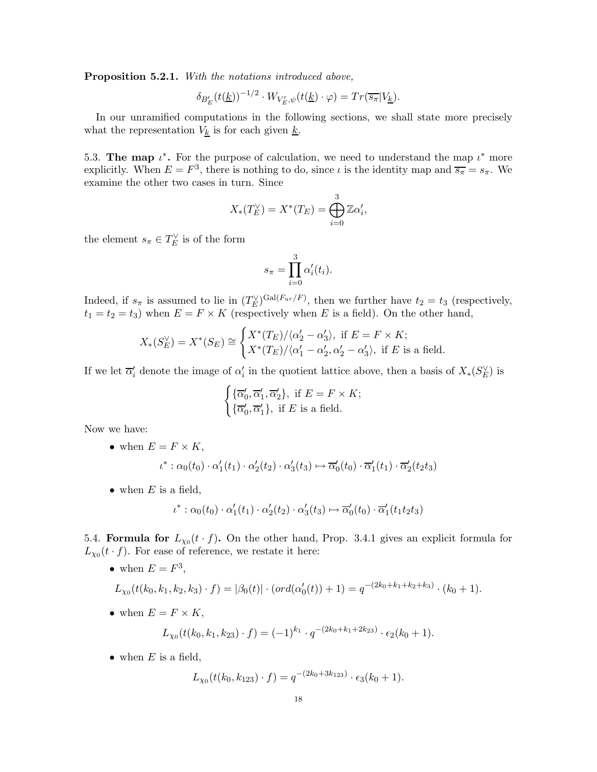Proposition 5.2.1. With the notations introduced above,

$$
\delta_{B'_E}(t(\underline{k}))^{-1/2} \cdot W_{V'_E,\psi}(t(\underline{k}) \cdot \varphi) = Tr(\overline{s_{\pi}}|V_{\underline{k}}).
$$

In our unramified computations in the following sections, we shall state more precisely what the representation  $V_k$  is for each given  $\underline{k}$ .

5.3. The map  $\iota^*$ . For the purpose of calculation, we need to understand the map  $\iota^*$  more explicitly. When  $E = F^3$ , there is nothing to do, since  $\iota$  is the identity map and  $\overline{s_{\pi}} = s_{\pi}$ . We examine the other two cases in turn. Since

$$
X_*(T_E^{\vee}) = X^*(T_E) = \bigoplus_{i=0}^3 \mathbb{Z} \alpha_i',
$$

the element  $s_{\pi} \in T_E^{\vee}$  is of the form

$$
s_{\pi} = \prod_{i=0}^{3} \alpha'_i(t_i).
$$

Indeed, if  $s_{\pi}$  is assumed to lie in  $(T_E^{\vee})^{\text{Gal}(F_{ur}/F)}$ , then we further have  $t_2 = t_3$  (respectively,  $t_1 = t_2 = t_3$ ) when  $E = F \times K$  (respectively when E is a field). On the other hand,

$$
X_*(S_E^{\vee}) = X^*(S_E) \cong \begin{cases} X^*(T_E)/\langle \alpha_2' - \alpha_3' \rangle, & \text{if } E = F \times K; \\ X^*(T_E)/\langle \alpha_1' - \alpha_2', \alpha_2' - \alpha_3' \rangle, & \text{if } E \text{ is a field.} \end{cases}
$$

If we let  $\overline{\alpha}'_i$  denote the image of  $\alpha'_i$  in the quotient lattice above, then a basis of  $X_*(S_E^{\vee})$  is

$$
\begin{cases} \{\overline{\alpha}_0',\overline{\alpha}_1',\overline{\alpha}_2'\}, \text{ if } E = F \times K; \\ \{\overline{\alpha}_0',\overline{\alpha}_1'\}, \text{ if } E \text{ is a field.} \end{cases}
$$

Now we have:

• when  $E = F \times K$ ,

$$
\iota^* : \alpha_0(t_0) \cdot \alpha'_1(t_1) \cdot \alpha'_2(t_2) \cdot \alpha'_3(t_3) \mapsto \overline{\alpha}'_0(t_0) \cdot \overline{\alpha}'_1(t_1) \cdot \overline{\alpha}'_2(t_2 t_3)
$$

• when  $E$  is a field,

$$
\iota^* : \alpha_0(t_0) \cdot \alpha'_1(t_1) \cdot \alpha'_2(t_2) \cdot \alpha'_3(t_3) \mapsto \overline{\alpha}'_0(t_0) \cdot \overline{\alpha}'_1(t_1 t_2 t_3)
$$

5.4. Formula for  $L_{\chi_0}(t \cdot f)$ . On the other hand, Prop. 3.4.1 gives an explicit formula for  $L_{\chi_0}(t \cdot f)$ . For ease of reference, we restate it here:

• when  $E = F^3$ ,  $L_{\chi_0}(t(k_0,k_1,k_2,k_3)\cdot f) = |\beta_0(t)| \cdot (ord(\alpha_0'(t)) + 1) = q^{-(2k_0+k_1+k_2+k_3)} \cdot (k_0+1).$ • when  $E = F \times K$ ,

$$
L_{\chi_0}(t(k_0,k_1,k_{23})\cdot f) = (-1)^{k_1} \cdot q^{-(2k_0+k_1+2k_{23})} \cdot \epsilon_2(k_0+1).
$$

• when  $E$  is a field,

$$
L_{\chi_0}(t(k_0,k_{123})\cdot f) = q^{-(2k_0+3k_{123})}\cdot \epsilon_3(k_0+1).
$$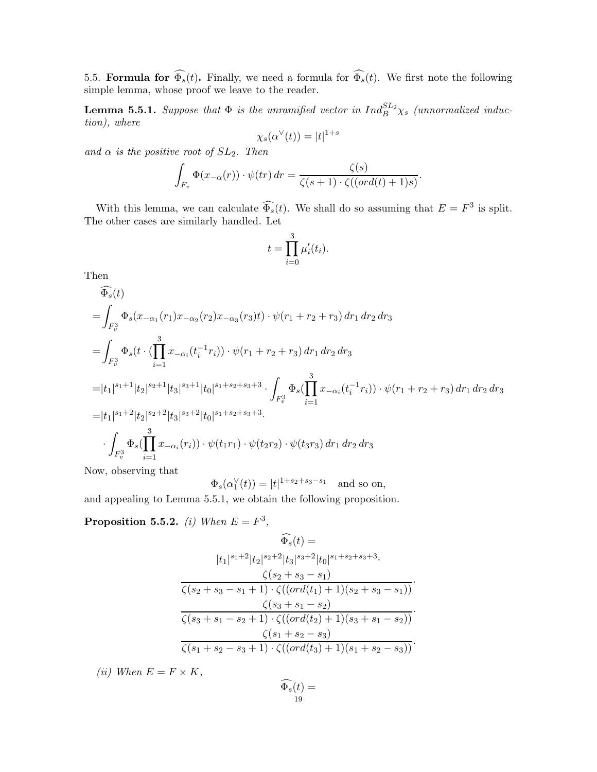5.5. **Formula for**  $\Phi_s(t)$ . Finally, we need a formula for  $\Phi_s(t)$ . We first note the following simple lemma, whose proof we leave to the reader.

**Lemma 5.5.1.** Suppose that  $\Phi$  is the unramified vector in  $Ind_B^{SL_2}\chi_s$  (unnormalized induction), where

$$
\chi_s(\alpha^{\vee}(t)) = |t|^{1+s}
$$

and  $\alpha$  is the positive root of  $SL_2$ . Then

$$
\int_{F_v} \Phi(x_{-\alpha}(r)) \cdot \psi(tr) dr = \frac{\zeta(s)}{\zeta(s+1) \cdot \zeta((ord(t)+1)s)}.
$$

With this lemma, we can calculate  $\widehat{\Phi_s}(t)$ . We shall do so assuming that  $E = F^3$  is split. The other cases are similarly handled. Let

$$
t = \prod_{i=0}^{3} \mu'_i(t_i).
$$

Then

$$
\widehat{\Phi}_{s}(t)
$$
\n
$$
= \int_{F_{v}^{3}} \Phi_{s}(x_{-\alpha_{1}}(r_{1})x_{-\alpha_{2}}(r_{2})x_{-\alpha_{3}}(r_{3})t) \cdot \psi(r_{1} + r_{2} + r_{3}) dr_{1} dr_{2} dr_{3}
$$
\n
$$
= \int_{F_{v}^{3}} \Phi_{s}(t \cdot (\prod_{i=1}^{3} x_{-\alpha_{i}}(t_{i}^{-1}r_{i})) \cdot \psi(r_{1} + r_{2} + r_{3}) dr_{1} dr_{2} dr_{3}
$$
\n
$$
= |t_{1}|^{s_{1}+1} |t_{2}|^{s_{2}+1} |t_{3}|^{s_{3}+1} |t_{0}|^{s_{1}+s_{2}+s_{3}+3} \cdot \int_{F_{v}^{3}} \Phi_{s}(\prod_{i=1}^{3} x_{-\alpha_{i}}(t_{i}^{-1}r_{i})) \cdot \psi(r_{1} + r_{2} + r_{3}) dr_{1} dr_{2} dr_{3}
$$
\n
$$
= |t_{1}|^{s_{1}+2} |t_{2}|^{s_{2}+2} |t_{3}|^{s_{3}+2} |t_{0}|^{s_{1}+s_{2}+s_{3}+3}.
$$
\n
$$
\cdot \int_{F_{v}^{3}} \Phi_{s}(\prod_{i=1}^{3} x_{-\alpha_{i}}(r_{i})) \cdot \psi(t_{1}r_{1}) \cdot \psi(t_{2}r_{2}) \cdot \psi(t_{3}r_{3}) dr_{1} dr_{2} dr_{3}
$$

Now, observing that

 $\Phi_s(\alpha_1^{\vee}(t)) = |t|^{1+s_2+s_3-s_1}$  and so on,

and appealing to Lemma 5.5.1, we obtain the following proposition.

**Proposition 5.5.2.** (i) When  $E = F^3$ ,

$$
\widehat{\Phi_s}(t) =
$$
\n
$$
|t_1|^{s_1+2} |t_2|^{s_2+2} |t_3|^{s_3+2} |t_0|^{s_1+s_2+s_3+3}.
$$
\n
$$
\frac{\zeta(s_2+s_3-s_1)}{\zeta(s_2+s_3-s_1+1) \cdot \zeta((ord(t_1)+1)(s_2+s_3-s_1))}.
$$
\n
$$
\frac{\zeta(s_3+s_1-s_2)}{\zeta(s_3+s_1-s_2+1) \cdot \zeta((ord(t_2)+1)(s_3+s_1-s_2))}.
$$
\n
$$
\frac{\zeta(s_1+s_2-s_3)}{\zeta(s_1+s_2-s_3+1) \cdot \zeta((ord(t_3)+1)(s_1+s_2-s_3))}.
$$

(ii) When  $E = F \times K$ ,

$$
\widehat{\Phi_s}(t) = \frac{19}{}
$$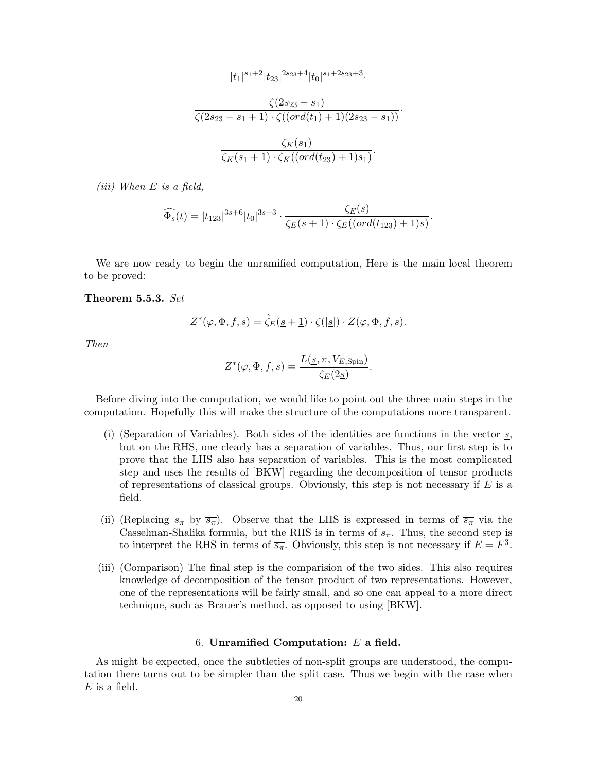$$
|t_1|^{s_1+2}|t_{23}|^{2s_{23}+4}|t_0|^{s_1+2s_{23}+3}.
$$

$$
\frac{\zeta(2s_{23}-s_1)}{\zeta(2s_{23}-s_1+1)\cdot\zeta((ord(t_1)+1)(2s_{23}-s_1))}.
$$

$$
\frac{\zeta_K(s_1)}{\zeta_K(s_1+1)\cdot\zeta_K((ord(t_{23})+1)s_1)}.
$$

(iii) When  $E$  is a field,

$$
\widehat{\Phi_s}(t) = |t_{123}|^{3s+6} |t_0|^{3s+3} \cdot \frac{\zeta_E(s)}{\zeta_E(s+1) \cdot \zeta_E((ord(t_{123})+1)s)}.
$$

We are now ready to begin the unramified computation, Here is the main local theorem to be proved:

#### Theorem 5.5.3. Set

$$
Z^*(\varphi,\Phi,f,s)=\widehat{\zeta}_E(\underline{s+1})\cdot \zeta(|\underline{s}|)\cdot Z(\varphi,\Phi,f,s).
$$

Then

$$
Z^*(\varphi, \Phi, f, s) = \frac{L(\underline{s}, \pi, V_{E, \text{Spin}})}{\zeta_E(2\underline{s})}.
$$

Before diving into the computation, we would like to point out the three main steps in the computation. Hopefully this will make the structure of the computations more transparent.

- (i) (Separation of Variables). Both sides of the identities are functions in the vector  $s$ , but on the RHS, one clearly has a separation of variables. Thus, our first step is to prove that the LHS also has separation of variables. This is the most complicated step and uses the results of [BKW] regarding the decomposition of tensor products of representations of classical groups. Obviously, this step is not necessary if  $E$  is a field.
- (ii) (Replacing  $s_{\pi}$  by  $\overline{s_{\pi}}$ ). Observe that the LHS is expressed in terms of  $\overline{s_{\pi}}$  via the Casselman-Shalika formula, but the RHS is in terms of  $s_{\pi}$ . Thus, the second step is to interpret the RHS in terms of  $\overline{s_{\pi}}$ . Obviously, this step is not necessary if  $E = F^3$ .
- (iii) (Comparison) The final step is the comparision of the two sides. This also requires knowledge of decomposition of the tensor product of two representations. However, one of the representations will be fairly small, and so one can appeal to a more direct technique, such as Brauer's method, as opposed to using [BKW].

#### 6. Unramified Computation:  $E$  a field.

As might be expected, once the subtleties of non-split groups are understood, the computation there turns out to be simpler than the split case. Thus we begin with the case when  $E$  is a field.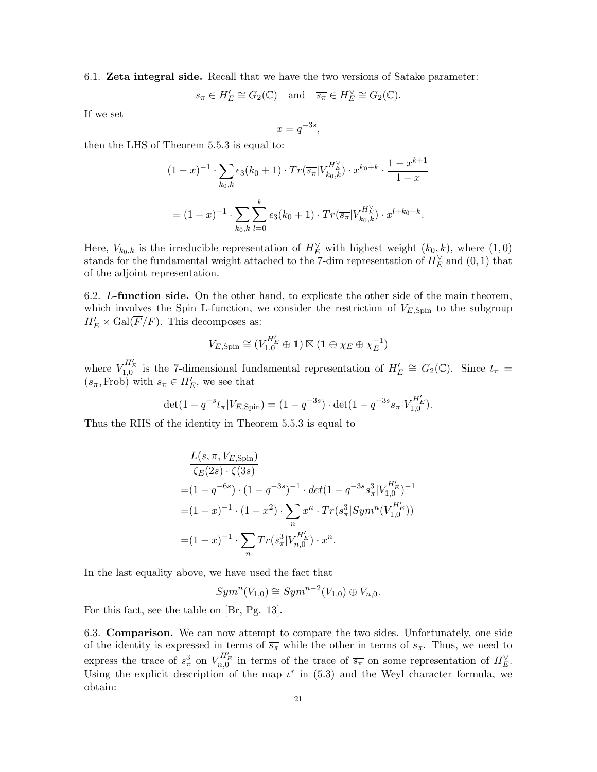6.1. Zeta integral side. Recall that we have the two versions of Satake parameter:

$$
s_{\pi} \in H'_E \cong G_2(\mathbb{C})
$$
 and  $\overline{s_{\pi}} \in H'_E \cong G_2(\mathbb{C}).$ 

If we set

$$
x = q^{-3s},
$$

then the LHS of Theorem 5.5.3 is equal to:

$$
(1-x)^{-1} \cdot \sum_{k_0,k} \epsilon_3(k_0+1) \cdot Tr(\overline{s}_{\pi} | V_{k_0,k}^{H_E^{\vee}}) \cdot x^{k_0+k} \cdot \frac{1-x^{k+1}}{1-x}
$$

$$
= (1-x)^{-1} \cdot \sum_{k_0,k} \sum_{l=0}^k \epsilon_3(k_0+1) \cdot Tr(\overline{s}_{\pi} | V_{k_0,k}^{H_E^{\vee}}) \cdot x^{l+k_0+k}.
$$

Here,  $V_{k_0,k}$  is the irreducible representation of  $H_E^{\vee}$  with highest weight  $(k_0, k)$ , where  $(1, 0)$ stands for the fundamental weight attached to the 7-dim representation of  $H_E^{\vee}$  and  $(0,1)$  that of the adjoint representation.

6.2. L-function side. On the other hand, to explicate the other side of the main theorem, which involves the Spin L-function, we consider the restriction of  $V_{E,Spin}$  to the subgroup  $H'_E \times \text{Gal}(\overline{F}/F)$ . This decomposes as:

$$
V_{E,{\rm Spin}} \cong (V_{1,0}^{H_E'}\oplus \mathbf{1})\boxtimes (\mathbf{1}\oplus \chi_E\oplus \chi_E^{-1})
$$

where  $V_{1,0}^{H'_E}$  is the 7-dimensional fundamental representation of  $H'_E \cong G_2(\mathbb{C})$ . Since  $t_{\pi}$  =  $(s_{\pi}, \text{Frob})$  with  $s_{\pi} \in H'_{E}$ , we see that

$$
\det(1 - q^{-s}t_{\pi}|V_{E,\text{Spin}}) = (1 - q^{-3s}) \cdot \det(1 - q^{-3s}s_{\pi}|V_{1,0}^{H'_{E}}).
$$

Thus the RHS of the identity in Theorem 5.5.3 is equal to

$$
\frac{L(s, \pi, V_{E, Spin})}{\zeta_{E}(2s) \cdot \zeta(3s)}
$$
\n
$$
= (1 - q^{-6s}) \cdot (1 - q^{-3s})^{-1} \cdot det(1 - q^{-3s} s_{\pi}^{3} |V_{1,0}^{H_{E}^{\prime}})^{-1}
$$
\n
$$
= (1 - x)^{-1} \cdot (1 - x^{2}) \cdot \sum_{n} x^{n} \cdot Tr(s_{\pi}^{3} | Sym^{n}(V_{1,0}^{H_{E}^{\prime}}))
$$
\n
$$
= (1 - x)^{-1} \cdot \sum_{n} Tr(s_{\pi}^{3} | V_{n,0}^{H_{E}^{\prime}}) \cdot x^{n}.
$$

In the last equality above, we have used the fact that

$$
Sym^n(V_{1,0}) \cong Sym^{n-2}(V_{1,0}) \oplus V_{n,0}.
$$

For this fact, see the table on [Br, Pg. 13].

6.3. Comparison. We can now attempt to compare the two sides. Unfortunately, one side of the identity is expressed in terms of  $\overline{s_{\pi}}$  while the other in terms of  $s_{\pi}$ . Thus, we need to express the trace of  $s_{\pi}^3$  on  $V_{n,0}^{H'_E}$  in terms of the trace of  $\overline{s_{\pi}}$  on some representation of  $H_E^{\vee}$ . Using the explicit description of the map  $\iota^*$  in (5.3) and the Weyl character formula, we obtain: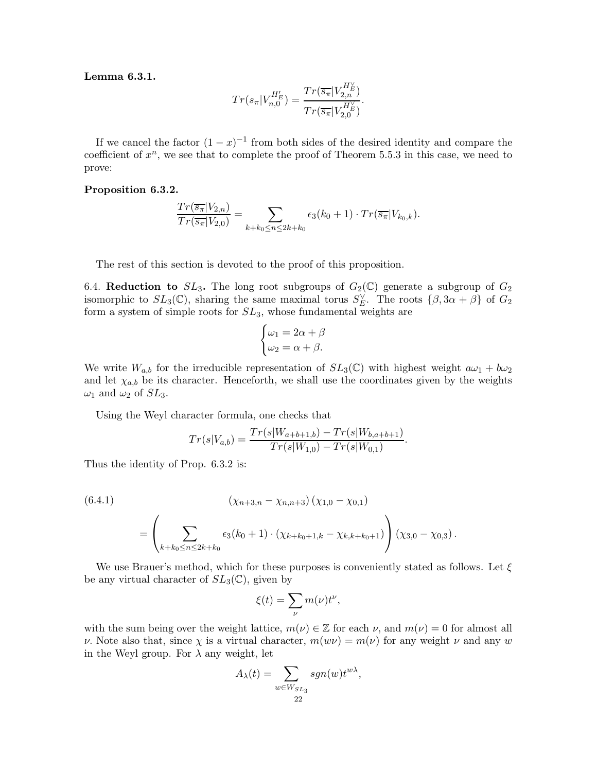Lemma 6.3.1.

$$
Tr(s_{\pi}|V_{n,0}^{H'_{E}}) = \frac{Tr(\overline{s_{\pi}}|V_{2,n}^{H'_{E}})}{Tr(\overline{s_{\pi}}|V_{2,0}^{H'_{E}})}.
$$

If we cancel the factor  $(1-x)^{-1}$  from both sides of the desired identity and compare the coefficient of  $x^n$ , we see that to complete the proof of Theorem 5.5.3 in this case, we need to prove:

#### Proposition 6.3.2.

$$
\frac{Tr(\overline{s_{\pi}}|V_{2,n})}{Tr(\overline{s_{\pi}}|V_{2,0})} = \sum_{k+k_0 \le n \le 2k+k_0} \epsilon_3(k_0+1) \cdot Tr(\overline{s_{\pi}}|V_{k_0,k}).
$$

The rest of this section is devoted to the proof of this proposition.

6.4. Reduction to  $SL_3$ . The long root subgroups of  $G_2(\mathbb{C})$  generate a subgroup of  $G_2$ isomorphic to  $SL_3(\mathbb{C})$ , sharing the same maximal torus  $S_E^{\vee}$ . The roots  $\{\beta, 3\alpha + \beta\}$  of  $G_2$ form a system of simple roots for  $SL_3$ , whose fundamental weights are

$$
\begin{cases} \omega_1 = 2\alpha + \beta \\ \omega_2 = \alpha + \beta. \end{cases}
$$

We write  $W_{a,b}$  for the irreducible representation of  $SL_3(\mathbb{C})$  with highest weight  $a\omega_1 + b\omega_2$ and let  $\chi_{a,b}$  be its character. Henceforth, we shall use the coordinates given by the weights  $\omega_1$  and  $\omega_2$  of  $SL_3$ .

Using the Weyl character formula, one checks that

$$
Tr(s|V_{a,b}) = \frac{Tr(s|W_{a+b+1,b}) - Tr(s|W_{b,a+b+1})}{Tr(s|W_{1,0}) - Tr(s|W_{0,1})}.
$$

Thus the identity of Prop. 6.3.2 is:

(6.4.1)  
\n
$$
(\chi_{n+3,n} - \chi_{n,n+3}) (\chi_{1,0} - \chi_{0,1})
$$
\n
$$
= \left( \sum_{k+k_0 \le n \le 2k+k_0} \epsilon_3(k_0+1) \cdot (\chi_{k+k_0+1,k} - \chi_{k,k+k_0+1}) \right) (\chi_{3,0} - \chi_{0,3}).
$$

We use Brauer's method, which for these purposes is conveniently stated as follows. Let  $\xi$ be any virtual character of  $SL_3(\mathbb{C})$ , given by

$$
\xi(t)=\sum_{\nu}m(\nu)t^{\nu},
$$

with the sum being over the weight lattice,  $m(\nu) \in \mathbb{Z}$  for each  $\nu$ , and  $m(\nu) = 0$  for almost all ν. Note also that, since  $\chi$  is a virtual character,  $m(w\nu) = m(\nu)$  for any weight  $\nu$  and any w in the Weyl group. For  $\lambda$  any weight, let

$$
A_{\lambda}(t) = \sum_{\substack{w \in W_{SL_3} \\ 22}} sgn(w) t^{w\lambda},
$$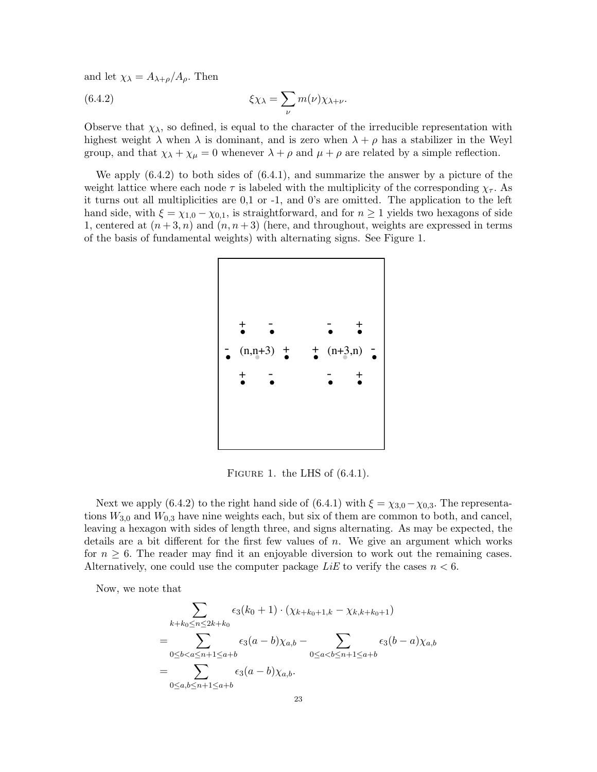and let  $\chi_{\lambda} = A_{\lambda+\rho}/A_{\rho}$ . Then

(6.4.2) 
$$
\xi \chi_{\lambda} = \sum_{\nu} m(\nu) \chi_{\lambda + \nu}.
$$

Observe that  $\chi_{\lambda}$ , so defined, is equal to the character of the irreducible representation with highest weight  $\lambda$  when  $\lambda$  is dominant, and is zero when  $\lambda + \rho$  has a stabilizer in the Weyl group, and that  $\chi_{\lambda} + \chi_{\mu} = 0$  whenever  $\lambda + \rho$  and  $\mu + \rho$  are related by a simple reflection.

We apply (6.4.2) to both sides of (6.4.1), and summarize the answer by a picture of the weight lattice where each node  $\tau$  is labeled with the multiplicity of the corresponding  $\chi_{\tau}$ . As it turns out all multiplicities are 0,1 or -1, and 0's are omitted. The application to the left hand side, with  $\xi = \chi_{1,0} - \chi_{0,1}$ , is straightforward, and for  $n \ge 1$  yields two hexagons of side 1, centered at  $(n+3, n)$  and  $(n, n+3)$  (here, and throughout, weights are expressed in terms of the basis of fundamental weights) with alternating signs. See Figure 1.



FIGURE 1. the LHS of  $(6.4.1)$ .

Next we apply (6.4.2) to the right hand side of (6.4.1) with  $\xi = \chi_{3,0} - \chi_{0,3}$ . The representations  $W_{3,0}$  and  $W_{0,3}$  have nine weights each, but six of them are common to both, and cancel, leaving a hexagon with sides of length three, and signs alternating. As may be expected, the details are a bit different for the first few values of  $n$ . We give an argument which works for  $n \geq 6$ . The reader may find it an enjoyable diversion to work out the remaining cases. Alternatively, one could use the computer package  $Lie$  to verify the cases  $n < 6$ .

Now, we note that

$$
\sum_{k+k_0 \le n \le 2k+k_0} \epsilon_3(k_0+1) \cdot (\chi_{k+k_0+1,k} - \chi_{k,k+k_0+1})
$$
\n
$$
= \sum_{0 \le b < a \le n+1 \le a+b} \epsilon_3(a-b)\chi_{a,b} - \sum_{0 \le a < b \le n+1 \le a+b} \epsilon_3(b-a)\chi_{a,b}
$$
\n
$$
= \sum_{0 \le a,b \le n+1 \le a+b} \epsilon_3(a-b)\chi_{a,b}.
$$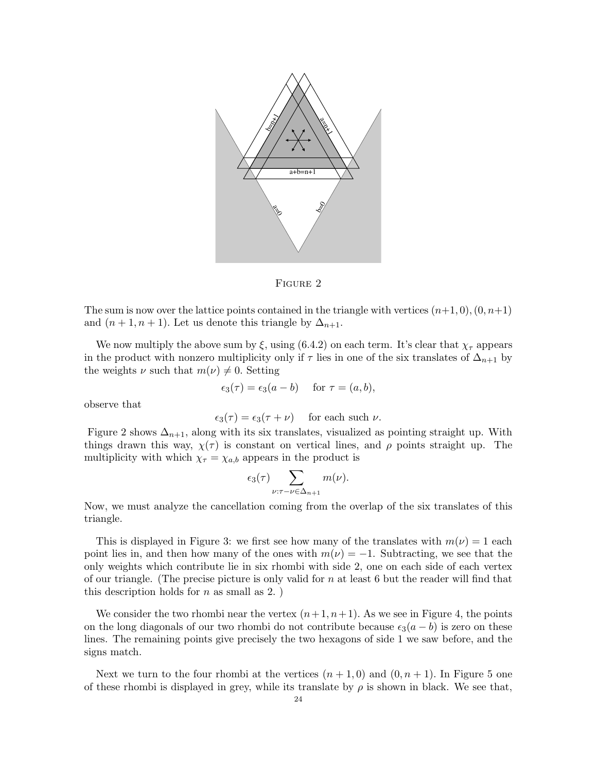

Figure 2

The sum is now over the lattice points contained in the triangle with vertices  $(n+1, 0), (0, n+1)$ and  $(n + 1, n + 1)$ . Let us denote this triangle by  $\Delta_{n+1}$ .

We now multiply the above sum by  $\xi$ , using (6.4.2) on each term. It's clear that  $\chi_{\tau}$  appears in the product with nonzero multiplicity only if  $\tau$  lies in one of the six translates of  $\Delta_{n+1}$  by the weights  $\nu$  such that  $m(\nu) \neq 0$ . Setting

$$
\epsilon_3(\tau) = \epsilon_3(a - b)
$$
 for  $\tau = (a, b)$ ,

observe that

$$
\epsilon_3(\tau) = \epsilon_3(\tau + \nu) \quad \text{ for each such } \nu.
$$

Figure 2 shows  $\Delta_{n+1}$ , along with its six translates, visualized as pointing straight up. With things drawn this way,  $\chi(\tau)$  is constant on vertical lines, and  $\rho$  points straight up. The multiplicity with which  $\chi_{\tau} = \chi_{a,b}$  appears in the product is

$$
\epsilon_3(\tau) \sum_{\nu:\tau-\nu \in \Delta_{n+1}} m(\nu).
$$

Now, we must analyze the cancellation coming from the overlap of the six translates of this triangle.

This is displayed in Figure 3: we first see how many of the translates with  $m(\nu) = 1$  each point lies in, and then how many of the ones with  $m(\nu) = -1$ . Subtracting, we see that the only weights which contribute lie in six rhombi with side 2, one on each side of each vertex of our triangle. (The precise picture is only valid for  $n$  at least 6 but the reader will find that this description holds for  $n$  as small as 2.

We consider the two rhombi near the vertex  $(n+1, n+1)$ . As we see in Figure 4, the points on the long diagonals of our two rhombi do not contribute because  $\epsilon_3(a - b)$  is zero on these lines. The remaining points give precisely the two hexagons of side 1 we saw before, and the signs match.

Next we turn to the four rhombi at the vertices  $(n + 1, 0)$  and  $(0, n + 1)$ . In Figure 5 one of these rhombi is displayed in grey, while its translate by  $\rho$  is shown in black. We see that,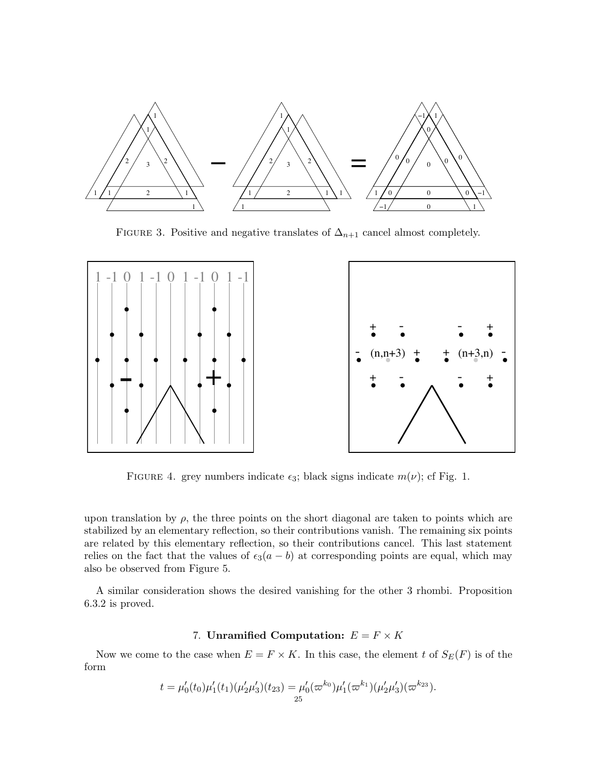

FIGURE 3. Positive and negative translates of  $\Delta_{n+1}$  cancel almost completely.



FIGURE 4. grey numbers indicate  $\epsilon_3$ ; black signs indicate  $m(\nu)$ ; cf Fig. 1.

upon translation by  $\rho$ , the three points on the short diagonal are taken to points which are stabilized by an elementary reflection, so their contributions vanish. The remaining six points are related by this elementary reflection, so their contributions cancel. This last statement relies on the fact that the values of  $\epsilon_3(a - b)$  at corresponding points are equal, which may also be observed from Figure 5.

A similar consideration shows the desired vanishing for the other 3 rhombi. Proposition 6.3.2 is proved.

#### 7. Unramified Computation:  $E = F \times K$

Now we come to the case when  $E = F \times K$ . In this case, the element t of  $S_E(F)$  is of the form

$$
t = \mu'_0(t_0)\mu'_1(t_1)(\mu'_2\mu'_3)(t_{23}) = \mu'_0(\varpi^{k_0})\mu'_1(\varpi^{k_1})(\mu'_2\mu'_3)(\varpi^{k_{23}}).
$$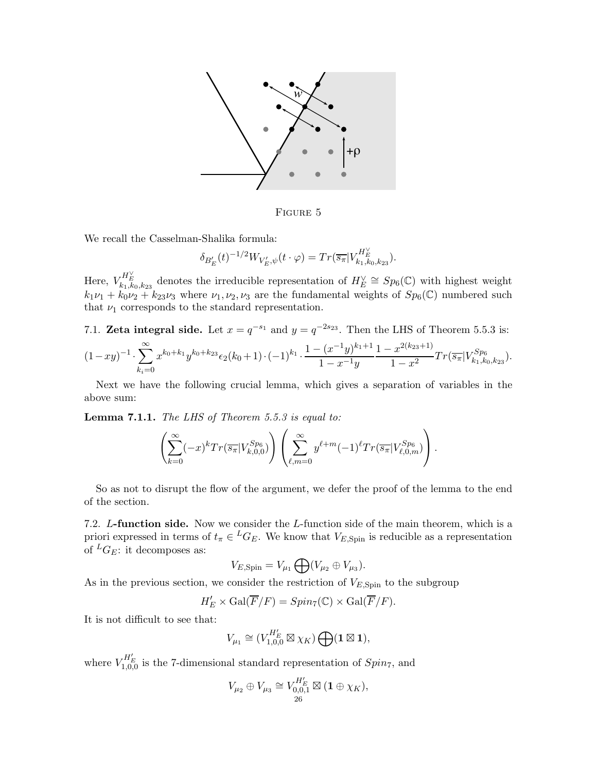

Figure 5

We recall the Casselman-Shalika formula:

$$
\delta_{B'_E}(t)^{-1/2} W_{V'_E, \psi}(t \cdot \varphi) = Tr(\overline{s_{\pi}} | V_{k_1, k_0, k_{23}}^{H'_E}).
$$

Here,  $V_{k_1,k_0,k_{23}}^{H_E^{\vee}}$  denotes the irreducible representation of  $H_E^{\vee} \cong Sp_6(\mathbb{C})$  with highest weight  $k_1\nu_1 + k_0\nu_2 + k_2\nu_3$  where  $\nu_1, \nu_2, \nu_3$  are the fundamental weights of  $Sp_6(\mathbb{C})$  numbered such that  $\nu_1$  corresponds to the standard representation.

7.1. **Zeta integral side.** Let  $x = q^{-s_1}$  and  $y = q^{-2s_2}$ . Then the LHS of Theorem 5.5.3 is:  $(1-xy)^{-1} \cdot \sum^{\infty}$  $k_i=0$  $x^{k_0+k_1}y^{k_0+k_{23}}\epsilon_2(k_0+1)\cdot(-1)^{k_1}\cdot\frac{1-(x^{-1}y)^{k_1+1}}{1-x^{-1}y}$  $1 - x^{-1}y$  $\frac{1-x^{2(k_{23}+1)}}{1-x^2}Tr(\overline{s_{\pi}}|V^{Sp_6}_{k_1,k_0,k_{23}}).$ 

Next we have the following crucial lemma, which gives a separation of variables in the above sum:

Lemma 7.1.1. The LHS of Theorem 5.5.3 is equal to:

$$
\left(\sum_{k=0}^{\infty}(-x)^kTr(\overline{s_{\pi}}|V^{Sp_6}_{k,0,0})\right)\left(\sum_{\ell,m=0}^{\infty}y^{\ell+m}(-1)^{\ell}Tr(\overline{s_{\pi}}|V^{Sp_6}_{\ell,0,m})\right).
$$

So as not to disrupt the flow of the argument, we defer the proof of the lemma to the end of the section.

7.2. L-function side. Now we consider the L-function side of the main theorem, which is a priori expressed in terms of  $t_{\pi} \in {}^L G_E$ . We know that  $V_{E,Spin}$  is reducible as a representation of  ${}^L G_E$ : it decomposes as:

$$
V_{E,\text{Spin}} = V_{\mu_1} \bigoplus (V_{\mu_2} \oplus V_{\mu_3}).
$$

As in the previous section, we consider the restriction of  $V_{E,Spin}$  to the subgroup

$$
H'_{E} \times \text{Gal}(\overline{F}/F) = Spin_{7}(\mathbb{C}) \times \text{Gal}(\overline{F}/F).
$$

It is not difficult to see that:

$$
V_{\mu_1} \cong (V_{1,0,0}^{H'_E} \boxtimes \chi_K) \bigoplus (\mathbf{1} \boxtimes \mathbf{1}),
$$

where  $V_{1,0,0}^{H'_E}$  is the 7-dimensional standard representation of  $Spin_7$ , and

$$
V_{\mu_2} \oplus V_{\mu_3} \cong V_{0,0,1}^{H'_E} \boxtimes (\mathbf{1} \oplus \chi_K),
$$
  
<sub>26</sub>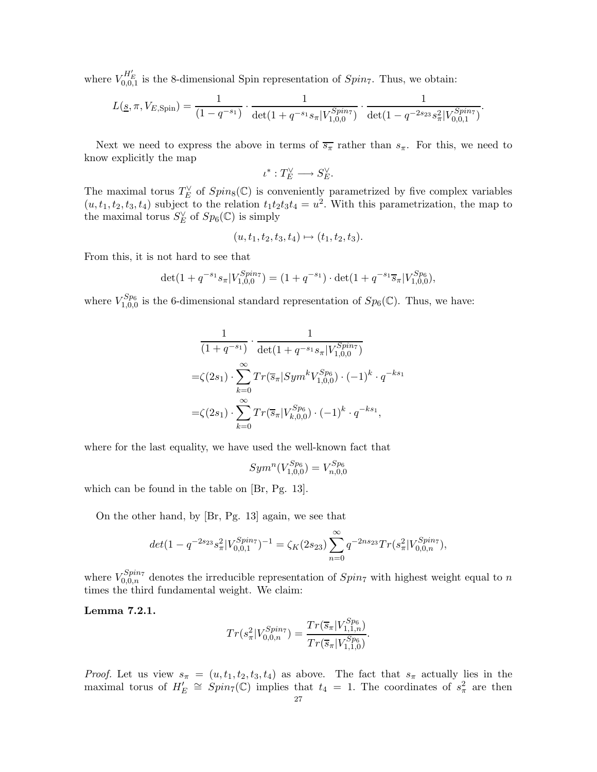where  $V_{0,0,1}^{H'_E}$  is the 8-dimensional Spin representation of  $Spin_7$ . Thus, we obtain:

$$
L(\underline{s}, \pi, V_{E, \text{Spin}}) = \frac{1}{(1 - q^{-s_1})} \cdot \frac{1}{\det(1 + q^{-s_1} s_{\pi} | V_{1,0,0}^{Spin7})} \cdot \frac{1}{\det(1 - q^{-2s_{23}} s_{\pi}^2 | V_{0,0,1}^{Spin7})}.
$$

Next we need to express the above in terms of  $\overline{s_{\pi}}$  rather than  $s_{\pi}$ . For this, we need to know explicitly the map

$$
\iota^*:T_E^\vee\longrightarrow S_E^\vee.
$$

The maximal torus  $T_E^{\vee}$  of  $Spin_8(\mathbb{C})$  is conveniently parametrized by five complex variables  $(u, t_1, t_2, t_3, t_4)$  subject to the relation  $t_1t_2t_3t_4 = u^2$ . With this parametrization, the map to the maximal torus  $S_E^{\vee}$  of  $Sp_6(\mathbb{C})$  is simply

$$
(u, t_1, t_2, t_3, t_4) \mapsto (t_1, t_2, t_3).
$$

From this, it is not hard to see that

$$
\det(1 + q^{-s_1} s_{\pi} | V_{1,0,0}^{Spin7}) = (1 + q^{-s_1}) \cdot \det(1 + q^{-s_1} \overline{s}_{\pi} | V_{1,0,0}^{Sp_6}),
$$

where  $V_{1,0,0}^{Sp_6}$  is the 6-dimensional standard representation of  $Sp_6(\mathbb{C})$ . Thus, we have:

$$
\frac{1}{(1+q^{-s_1})} \cdot \frac{1}{\det(1+q^{-s_1}s_\pi|V_{1,0,0}^{Spin7})}
$$
  
= $\zeta(2s_1) \cdot \sum_{k=0}^{\infty} Tr(\overline{s}_\pi|Sym^k V_{1,0,0}^{Sp_6}) \cdot (-1)^k \cdot q^{-ks_1}$   
= $\zeta(2s_1) \cdot \sum_{k=0}^{\infty} Tr(\overline{s}_\pi|V_{k,0,0}^{Sp_6}) \cdot (-1)^k \cdot q^{-ks_1},$ 

where for the last equality, we have used the well-known fact that

$$
Sym^n(V_{1,0,0}^{Sp_6})=V_{n,0,0}^{Sp_6}
$$

which can be found in the table on [Br, Pg. 13].

On the other hand, by [Br, Pg. 13] again, we see that

$$
det(1 - q^{-2s_{23}} s_{\pi}^2 |V_{0,0,1}^{Spin7})^{-1} = \zeta_K(2s_{23}) \sum_{n=0}^{\infty} q^{-2ns_{23}} Tr(s_{\pi}^2 |V_{0,0,n}^{Spin7}),
$$

where  $V_{0,0,n}^{Spin7}$  denotes the irreducible representation of  $Spin7$  with highest weight equal to n times the third fundamental weight. We claim:

Lemma 7.2.1.

$$
Tr(s_{\pi}^{2}|V_{0,0,n}^{Spin7}) = \frac{Tr(\overline{s}_{\pi}|V_{1,1,n}^{Sp_6})}{Tr(\overline{s}_{\pi}|V_{1,1,0}^{Sp_6})}.
$$

*Proof.* Let us view  $s_{\pi} = (u, t_1, t_2, t_3, t_4)$  as above. The fact that  $s_{\pi}$  actually lies in the maximal torus of  $H'_E \cong Spin_7(\mathbb{C})$  implies that  $t_4 = 1$ . The coordinates of  $s^2_{\pi}$  are then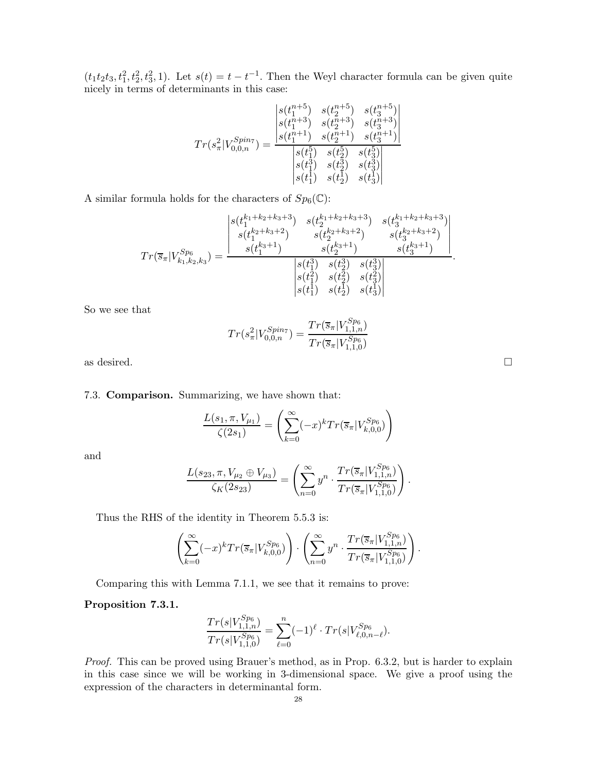$(t_1t_2t_3,t_1^2,t_2^2,t_3^2,1)$ . Let  $s(t) = t - t^{-1}$ . Then the Weyl character formula can be given quite nicely in terms of determinants in this case:

$$
Tr(s_{\pi}^{2}|V_{0,0,n}^{Spin7})=\frac{\begin{vmatrix} s(t_{1}^{n+5}) & s(t_{2}^{n+5}) & s(t_{3}^{n+5})\\ s(t_{1}^{n+3}) & s(t_{2}^{n+3}) & s(t_{3}^{n+3})\\ s(t_{1}^{n+1}) & s(t_{2}^{n+1}) & s(t_{3}^{n+1})\\ \end{vmatrix}}{\begin{vmatrix} s(t_{1}^{5}) & s(t_{2}^{5}) & s(t_{3}^{5})\\ s(t_{1}^{3}) & s(t_{2}^{5}) & s(t_{3}^{5})\\ s(t_{1}^{1}) & s(t_{2}^{1}) & s(t_{3}^{1})\\ \end{vmatrix}}
$$

A similar formula holds for the characters of  $Sp_6(\mathbb{C})$ :

$$
Tr(\overline{s}_{\pi}|V_{k_1,k_2,k_3}^{Sp_6}) = \frac{\begin{vmatrix} s(t_1^{k_1+k_2+k_3+3}) & s(t_2^{k_1+k_2+k_3+3}) & s(t_3^{k_1+k_2+k_3+3}) \\ s(t_1^{k_2+k_3+2}) & s(t_2^{k_2+k_3+2}) & s(t_3^{k_3+k_3+2}) \\ s(t_1^{k_3+1}) & s(t_2^{k_3+1}) & s(t_3^{k_3+1}) \end{vmatrix}}{\begin{vmatrix} s(t_1^3) & s(t_2^3) & s(t_3^3) \\ s(t_1^1) & s(t_2^2) & s(t_3^3) \\ s(t_1^1) & s(t_2^1) & s(t_3^1) \end{vmatrix}}.
$$

So we see that

$$
Tr(s_{\pi}^{2}|V_{0,0,n}^{Spin7}) = \frac{Tr(\overline{s}_{\pi}|V_{1,1,n}^{Sp_6})}{Tr(\overline{s}_{\pi}|V_{1,1,0}^{Sp_6})}
$$

as desired.  $\Box$ 

7.3. Comparison. Summarizing, we have shown that:

$$
\frac{L(s_1, \pi, V_{\mu_1})}{\zeta(2s_1)} = \left(\sum_{k=0}^{\infty} (-x)^k Tr(\overline{s}_{\pi} | V_{k,0,0}^{Sp_6})\right)
$$

and

$$
\frac{L(s_{23}, \pi, V_{\mu_2} \oplus V_{\mu_3})}{\zeta_K(2s_{23})} = \left(\sum_{n=0}^{\infty} y^n \cdot \frac{Tr(\overline{s}_{\pi}|V_{1,1,n}^{Sp_6})}{Tr(\overline{s}_{\pi}|V_{1,1,0}^{Sp_6})}\right)
$$

.

Thus the RHS of the identity in Theorem 5.5.3 is:

$$
\left(\sum_{k=0}^{\infty}(-x)^k Tr(\overline{s}_{\pi}|V_{k,0,0}^{Sp_6})\right) \cdot \left(\sum_{n=0}^{\infty}y^n \cdot \frac{Tr(\overline{s}_{\pi}|V_{1,1,n}^{Sp_6})}{Tr(\overline{s}_{\pi}|V_{1,1,0}^{Sp_6})}\right).
$$

Comparing this with Lemma 7.1.1, we see that it remains to prove:

### Proposition 7.3.1.

$$
\frac{Tr(s|V_{1,1,n}^{Sp_6})}{Tr(s|V_{1,1,0}^{Sp_6})}=\sum_{\ell=0}^n(-1)^\ell\cdot Tr(s|V_{\ell,0,n-\ell}^{Sp_6}).
$$

Proof. This can be proved using Brauer's method, as in Prop. 6.3.2, but is harder to explain in this case since we will be working in 3-dimensional space. We give a proof using the expression of the characters in determinantal form.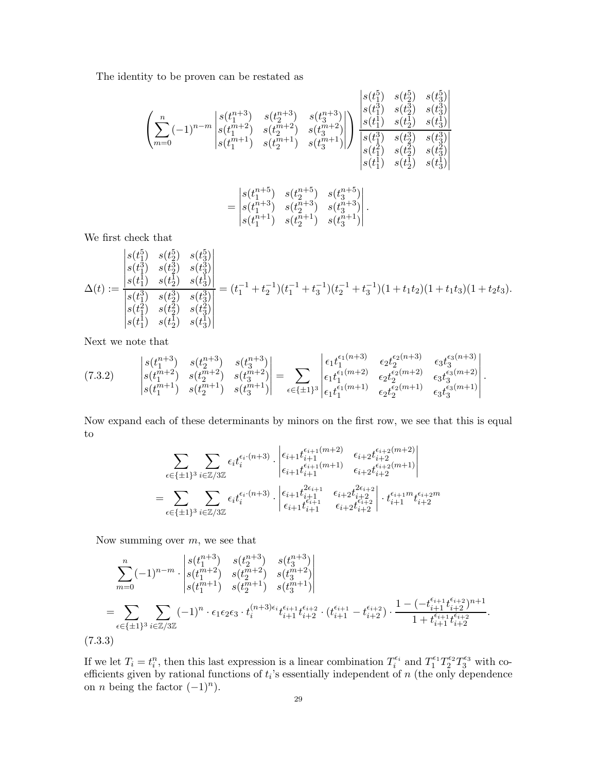The identity to be proven can be restated as

$$
\left(\sum_{m=0}^{n}(-1)^{n-m}\begin{vmatrix} s(t_1^{n+3}) & s(t_2^{n+3}) & s(t_3^{n+3}) \\ s(t_1^{n+2}) & s(t_2^{n+2}) & s(t_3^{n+3}) \\ s(t_1^{m+1}) & s(t_2^{m+1}) & s(t_3^{m+1}) \end{vmatrix} \right) \begin{vmatrix} s(t_1^5) & s(t_2^5) & s(t_3^5) \\ s(t_1^3) & s(t_2^3) & s(t_3^3) \\ s(t_1^1) & s(t_2^1) & s(t_3^1) \\ s(t_1^3) & s(t_2^3) & s(t_3^3) \\ s(t_1^1) & s(t_2^1) & s(t_3^2) \\ s(t_1^1) & s(t_2^1) & s(t_3^1) \end{vmatrix}
$$

$$
=\begin{vmatrix} s(t_1^{n+5}) & s(t_2^{n+5}) & s(t_3^{n+5}) \\ s(t_1^{n+3}) & s(t_2^{n+3}) & s(t_3^{n+3}) \\ s(t_1^{n+1}) & s(t_2^{n+1}) & s(t_3^{n+1}) \end{vmatrix}.
$$

We first check that

$$
\Delta(t) := \frac{\begin{vmatrix} s(t_1^5) & s(t_2^5) & s(t_3^5) \\ s(t_1^3) & s(t_2^3) & s(t_3^3) \\ s(t_1^1) & s(t_2^1) & s(t_3^3) \\ s(t_1^2) & s(t_2^3) & s(t_3^3) \\ s(t_1^2) & s(t_2^2) & s(t_3^3) \\ s(t_1^1) & s(t_2^1) & s(t_3^1) \end{vmatrix} = (t_1^{-1} + t_2^{-1})(t_1^{-1} + t_3^{-1})(t_2^{-1} + t_3^{-1})(1 + t_1t_2)(1 + t_1t_3)(1 + t_2t_3).
$$

Next we note that

$$
(7.3.2) \qquad \begin{vmatrix} s(t_1^{n+3}) & s(t_2^{n+3}) & s(t_3^{n+3}) \\ s(t_1^{n+2}) & s(t_2^{n+2}) & s(t_3^{n+2}) \\ s(t_1^{n+1}) & s(t_2^{n+1}) & s(t_3^{n+1}) \end{vmatrix} = \sum_{\epsilon \in \{\pm 1\}^3} \begin{vmatrix} \epsilon_1 t_1^{\epsilon_1(n+3)} & \epsilon_2 t_2^{\epsilon_2(n+3)} & \epsilon_3 t_3^{\epsilon_3(n+3)} \\ \epsilon_1 t_1^{\epsilon_1(m+2)} & \epsilon_2 t_2^{\epsilon_2(m+2)} & \epsilon_3 t_3^{\epsilon_3(m+2)} \\ \epsilon_1 t_1^{\epsilon_1(m+1)} & \epsilon_2 t_2^{\epsilon_2(m+1)} & \epsilon_3 t_3^{\epsilon_3(m+1)} \end{vmatrix}.
$$

Now expand each of these determinants by minors on the first row, we see that this is equal to

$$
\sum_{\epsilon \in \{\pm 1\}^3} \sum_{i \in \mathbb{Z}/3\mathbb{Z}} \epsilon_i t_i^{\epsilon_i \cdot (n+3)} \cdot \begin{vmatrix} \epsilon_{i+1} t_{i+1}^{\epsilon_{i+1}(m+2)} & \epsilon_{i+2} t_{i+2}^{\epsilon_{i+2}(m+2)} \\ \epsilon_{i+1} t_{i+1}^{\epsilon_{i+1}(m+1)} & \epsilon_{i+2} t_{i+2}^{\epsilon_{i+2}(m+1)} \end{vmatrix} \\ = \sum_{\epsilon \in \{\pm 1\}^3} \sum_{i \in \mathbb{Z}/3\mathbb{Z}} \epsilon_i t_i^{\epsilon_i \cdot (n+3)} \cdot \begin{vmatrix} \epsilon_{i+1} t_{i+1}^{2\epsilon_{i+1}} & \epsilon_{i+2} t_{i+2}^{2\epsilon_{i+2}} \\ \epsilon_{i+1} t_{i+1}^{\epsilon_{i+1}} & \epsilon_{i+2} t_{i+2}^{\epsilon_{i+2}} \end{vmatrix} \cdot t_{i+1}^{\epsilon_{i+1}m} t_{i+2}^{\epsilon_{i+2}m}
$$

Now summing over  $m$ , we see that

$$
\sum_{m=0}^{n} (-1)^{n-m} \cdot \begin{vmatrix} s(t_1^{n+3}) & s(t_2^{n+3}) & s(t_3^{n+3}) \\ s(t_1^{m+2}) & s(t_2^{m+2}) & s(t_3^{m+2}) \\ s(t_1^{m+1}) & s(t_2^{m+1}) & s(t_3^{m+1}) \end{vmatrix}
$$
  
= 
$$
\sum_{\epsilon \in \{\pm 1\}^3} \sum_{i \in \mathbb{Z}/3\mathbb{Z}} (-1)^n \cdot \epsilon_1 \epsilon_2 \epsilon_3 \cdot t_i^{(n+3)\epsilon_i} t_{i+1}^{\epsilon_{i+1}} t_{i+2}^{\epsilon_{i+2}} \cdot (t_{i+1}^{\epsilon_{i+1}} - t_{i+2}^{\epsilon_{i+2}}) \cdot \frac{1 - (-t_{i+1}^{\epsilon_{i+1}} t_{i+2}^{\epsilon_{i+2}})^{n+1}}{1 + t_{i+1}^{\epsilon_{i+1}} t_{i+2}^{\epsilon_{i+2}}}.
$$
  
(7.3.3)

If we let  $T_i = t_i^n$ , then this last expression is a linear combination  $T_i^{\epsilon_i}$  and  $T_1^{\epsilon_1}T_2^{\epsilon_2}T_3^{\epsilon_3}$  with coefficients given by rational functions of  $t_i$ 's essentially independent of  $n$  (the only dependence on *n* being the factor  $(-1)^n$ ).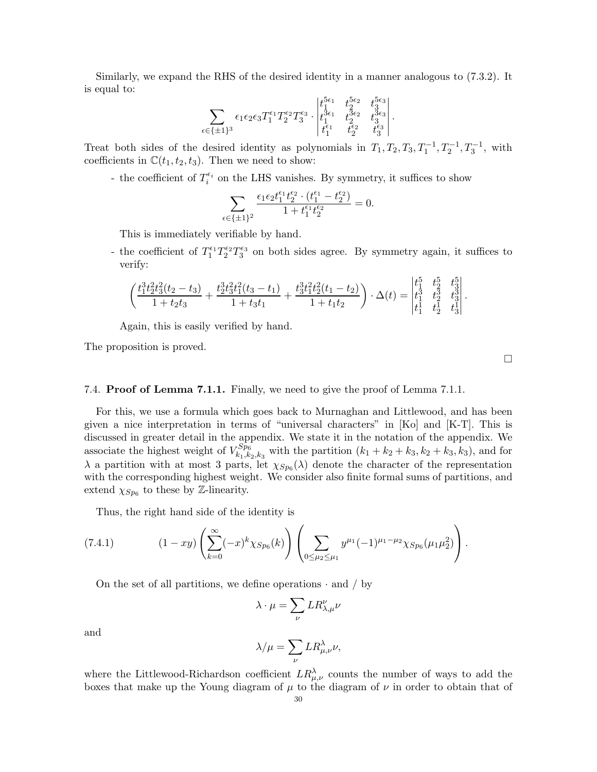Similarly, we expand the RHS of the desired identity in a manner analogous to (7.3.2). It is equal to:

$$
\sum_{\epsilon \in \{\pm 1\}^3}\epsilon_1\epsilon_2\epsilon_3T_1^{\epsilon_1}T_2^{\epsilon_2}T_3^{\epsilon_3}\cdot \begin{vmatrix} t_1^{5\epsilon_1} & t_2^{5\epsilon_2} & t_3^{5\epsilon_3} \\ t_1^{3\epsilon_1} & t_2^{3\epsilon_2} & t_3^{3\epsilon_3} \\ t_1^{\epsilon_1} & t_2^{\epsilon_2} & t_3^{\epsilon_3} \\ \end{vmatrix}.
$$

Treat both sides of the desired identity as polynomials in  $T_1, T_2, T_3, T_1^{-1}, T_2^{-1}, T_3^{-1}$ , with coefficients in  $\mathbb{C}(t_1,t_2,t_3)$ . Then we need to show:

- the coefficient of  $T_i^{\epsilon_i}$  on the LHS vanishes. By symmetry, it suffices to show

$$
\sum_{\epsilon \in \{\pm 1\}^2} \frac{\epsilon_1 \epsilon_2 t_1^{\epsilon_1} t_2^{\epsilon_2} \cdot (t_1^{\epsilon_1} - t_2^{\epsilon_2})}{1 + t_1^{\epsilon_1} t_2^{\epsilon_2}} = 0.
$$

This is immediately verifiable by hand.

- the coefficient of  $T_1^{\epsilon_1}T_2^{\epsilon_2}T_3^{\epsilon_3}$  on both sides agree. By symmetry again, it suffices to verify:

$$
\left(\frac{t_1^3t_2^2t_3^2(t_2-t_3)}{1+t_2t_3}+\frac{t_2^3t_3^2t_1^2(t_3-t_1)}{1+t_3t_1}+\frac{t_3^3t_1^2t_2^2(t_1-t_2)}{1+t_1t_2}\right)\cdot \Delta(t)=\begin{vmatrix} t_1^5 & t_2^5 & t_3^5\\ t_1^3 & t_2^3 & t_3^3\\ t_1^1 & t_2^1 & t_3^1 \end{vmatrix}.
$$

Again, this is easily verified by hand.

The proposition is proved.

### 7.4. Proof of Lemma 7.1.1. Finally, we need to give the proof of Lemma 7.1.1.

For this, we use a formula which goes back to Murnaghan and Littlewood, and has been given a nice interpretation in terms of "universal characters" in [Ko] and [K-T]. This is discussed in greater detail in the appendix. We state it in the notation of the appendix. We associate the highest weight of  $V_{k_1,k_2,k_3}^{Sp_6}$  with the partition  $(k_1 + k_2 + k_3, k_2 + k_3, k_3)$ , and for  $\lambda$  a partition with at most 3 parts, let  $\chi_{Sp_6}(\lambda)$  denote the character of the representation with the corresponding highest weight. We consider also finite formal sums of partitions, and extend  $\chi_{Sp_6}$  to these by Z-linearity.

Thus, the right hand side of the identity is

(7.4.1) 
$$
(1 - xy) \left( \sum_{k=0}^{\infty} (-x)^k \chi_{Sp_6}(k) \right) \left( \sum_{0 \le \mu_2 \le \mu_1} y^{\mu_1} (-1)^{\mu_1 - \mu_2} \chi_{Sp_6}(\mu_1 \mu_2^2) \right).
$$

On the set of all partitions, we define operations  $\cdot$  and  $/$  by

$$
\lambda\cdot\mu=\sum_{\nu}LR_{\lambda,\mu}^{\nu}\nu
$$

and

$$
\lambda/\mu = \sum_{\nu} L R^{\lambda}_{\mu,\nu} \nu,
$$

where the Littlewood-Richardson coefficient  $LR_{\mu,\nu}^{\lambda}$  counts the number of ways to add the boxes that make up the Young diagram of  $\mu$  to the diagram of  $\nu$  in order to obtain that of

 $\Box$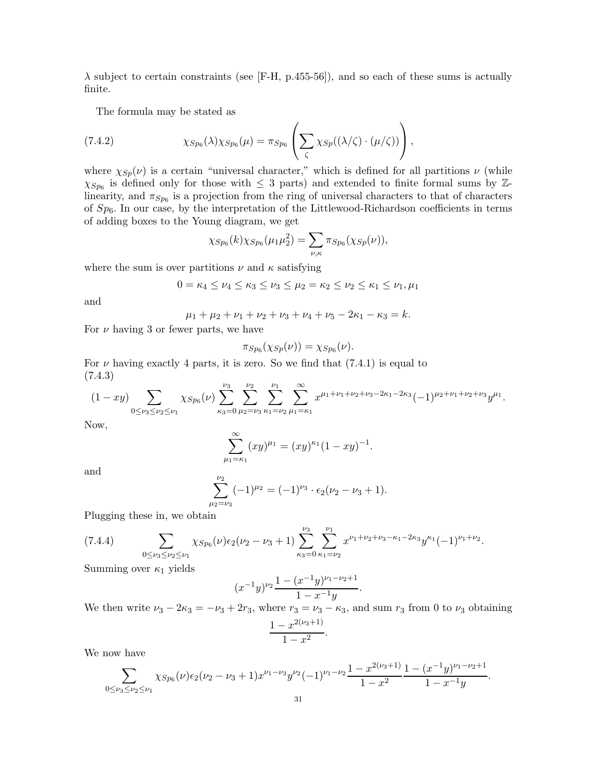$\lambda$  subject to certain constraints (see [F-H, p.455-56]), and so each of these sums is actually finite.

The formula may be stated as

(7.4.2) 
$$
\chi_{Sp_6}(\lambda)\chi_{Sp_6}(\mu) = \pi_{Sp_6}\left(\sum_{\zeta}\chi_{Sp}((\lambda/\zeta)\cdot(\mu/\zeta))\right),
$$

where  $\chi_{Sp}(\nu)$  is a certain "universal character," which is defined for all partitions  $\nu$  (while  $\chi_{Sp_6}$  is defined only for those with  $\leq$  3 parts) and extended to finite formal sums by Zlinearity, and  $\pi_{Sp_6}$  is a projection from the ring of universal characters to that of characters of  $Sp_6$ . In our case, by the interpretation of the Littlewood-Richardson coefficients in terms of adding boxes to the Young diagram, we get

$$
\chi_{Sp_6}(k)\chi_{Sp_6}(\mu_1\mu_2^2) = \sum_{\nu,\kappa} \pi_{Sp_6}(\chi_{Sp}(\nu)),
$$

where the sum is over partitions  $\nu$  and  $\kappa$  satisfying

$$
0 = \kappa_4 \le \nu_4 \le \kappa_3 \le \nu_3 \le \mu_2 = \kappa_2 \le \nu_2 \le \kappa_1 \le \nu_1, \mu_1
$$

and

$$
\mu_1 + \mu_2 + \nu_1 + \nu_2 + \nu_3 + \nu_4 + \nu_5 - 2\kappa_1 - \kappa_3 = k.
$$

For  $\nu$  having 3 or fewer parts, we have

$$
\pi_{Sp_6}(\chi_{Sp}(\nu))=\chi_{Sp_6}(\nu).
$$

For  $\nu$  having exactly 4 parts, it is zero. So we find that (7.4.1) is equal to (7.4.3)

$$
(1 - xy) \sum_{0 \le \nu_3 \le \nu_2 \le \nu_1} \chi_{Sp_6}(\nu) \sum_{\kappa_3=0}^{\nu_3} \sum_{\mu_2=\nu_3}^{\nu_2} \sum_{\kappa_1=\nu_2}^{\nu_1} \sum_{\mu_1=\kappa_1}^{\infty} x^{\mu_1+\nu_1+\nu_2+\nu_3-2\kappa_1-2\kappa_3} (-1)^{\mu_2+\nu_1+\nu_2+\nu_3} y^{\mu_1}.
$$

Now,

$$
\sum_{\mu_1=\kappa_1}^{\infty} (xy)^{\mu_1} = (xy)^{\kappa_1} (1 - xy)^{-1}.
$$

and

$$
\sum_{\mu_2=\nu_3}^{\nu_2} (-1)^{\mu_2} = (-1)^{\nu_3} \cdot \epsilon_2 (\nu_2 - \nu_3 + 1).
$$

Plugging these in, we obtain

$$
(7.4.4) \qquad \sum_{0 \leq \nu_3 \leq \nu_2 \leq \nu_1} \chi_{Sp_6}(\nu) \epsilon_2(\nu_2 - \nu_3 + 1) \sum_{\kappa_3=0}^{\nu_3} \sum_{\kappa_1=\nu_2}^{\nu_1} x^{\nu_1 + \nu_2 + \nu_3 - \kappa_1 - 2\kappa_3} y^{\kappa_1} (-1)^{\nu_1 + \nu_2}.
$$

Summing over  $\kappa_1$  yields

$$
(x^{-1}y)^{\nu_2} \frac{1 - (x^{-1}y)^{\nu_1 - \nu_2 + 1}}{1 - x^{-1}y}.
$$

We then write  $\nu_3 - 2\kappa_3 = -\nu_3 + 2r_3$ , where  $r_3 = \nu_3 - \kappa_3$ , and sum  $r_3$  from 0 to  $\nu_3$  obtaining <br> $1 - x^{2(\nu_3 + 1)}$  $-\frac{x^{2(\nu_3+1)}}{2}$ .

$$
\frac{1-x^{(3+)} }{1-x^2}.
$$

We now have

$$
\sum_{0 \le \nu_3 \le \nu_2 \le \nu_1} \chi_{Sp_6}(\nu) \epsilon_2 (\nu_2 - \nu_3 + 1) x^{\nu_1 - \nu_3} y^{\nu_2} (-1)^{\nu_1 - \nu_2} \frac{1 - x^{2(\nu_3 + 1)}}{1 - x^2} \frac{1 - (x^{-1}y)^{\nu_1 - \nu_2 + 1}}{1 - x^{-1}y}.
$$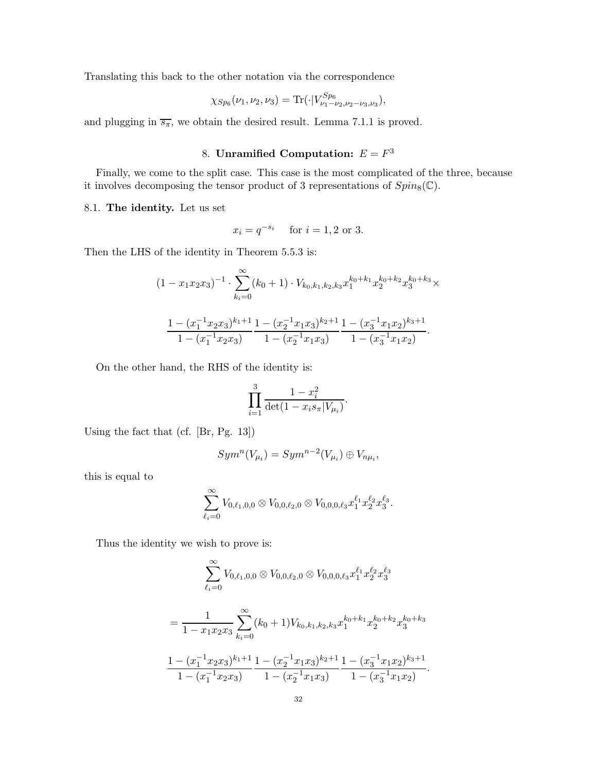Translating this back to the other notation via the correspondence

$$
\chi_{Sp_6}(\nu_1,\nu_2,\nu_3) = \text{Tr}(\cdot|V_{\nu_1-\nu_2,\nu_2-\nu_3,\nu_3}^{Sp_6}),
$$

and plugging in  $\overline{s_{\pi}}$ , we obtain the desired result. Lemma 7.1.1 is proved.

## 8. Unramified Computation:  $E = F^3$

Finally, we come to the split case. This case is the most complicated of the three, because it involves decomposing the tensor product of 3 representations of  $Spin_8(\mathbb{C})$ .

#### 8.1. The identity. Let us set

$$
x_i = q^{-s_i}
$$
 for  $i = 1, 2$  or 3.

Then the LHS of the identity in Theorem 5.5.3 is:

$$
(1 - x_1x_2x_3)^{-1} \cdot \sum_{k_i=0}^{\infty} (k_0 + 1) \cdot V_{k_0, k_1, k_2, k_3} x_1^{k_0 + k_1} x_2^{k_0 + k_2} x_3^{k_0 + k_3} \times
$$

$$
\frac{1 - (x_1^{-1}x_2x_3)^{k_1 + 1}}{1 - (x_1^{-1}x_2x_3)} \frac{1 - (x_2^{-1}x_1x_3)^{k_2 + 1}}{1 - (x_2^{-1}x_1x_3)} \frac{1 - (x_3^{-1}x_1x_2)^{k_3 + 1}}{1 - (x_3^{-1}x_1x_2)}.
$$

On the other hand, the RHS of the identity is:

$$
\prod_{i=1}^{3} \frac{1 - x_i^2}{\det(1 - x_i s_{\pi} | V_{\mu_i})}.
$$

Using the fact that (cf. [Br, Pg. 13])

$$
Sym^n(V_{\mu_i})=Sym^{n-2}(V_{\mu_i})\oplus V_{n\mu_i},
$$

this is equal to

$$
\sum_{\ell_i=0}^{\infty} V_{0,\ell_1,0,0}\otimes V_{0,0,\ell_2,0}\otimes V_{0,0,0,\ell_3}x_1^{\ell_1}x_2^{\ell_2}x_3^{\ell_3}.
$$

Thus the identity we wish to prove is:

$$
\sum_{\ell_i=0}^{\infty} V_{0,\ell_1,0,0} \otimes V_{0,0,\ell_2,0} \otimes V_{0,0,0,\ell_3} x_1^{\ell_1} x_2^{\ell_2} x_3^{\ell_3}
$$
  
= 
$$
\frac{1}{1 - x_1 x_2 x_3} \sum_{k_i=0}^{\infty} (k_0 + 1) V_{k_0,k_1,k_2,k_3} x_1^{k_0 + k_1} x_2^{k_0 + k_2} x_3^{k_0 + k_3}
$$
  

$$
\frac{1 - (x_1^{-1} x_2 x_3)^{k_1 + 1}}{1 - (x_1^{-1} x_2 x_3)} \frac{1 - (x_2^{-1} x_1 x_3)^{k_2 + 1}}{1 - (x_2^{-1} x_1 x_3)} \frac{1 - (x_3^{-1} x_1 x_2)^{k_3 + 1}}{1 - (x_3^{-1} x_1 x_2)}.
$$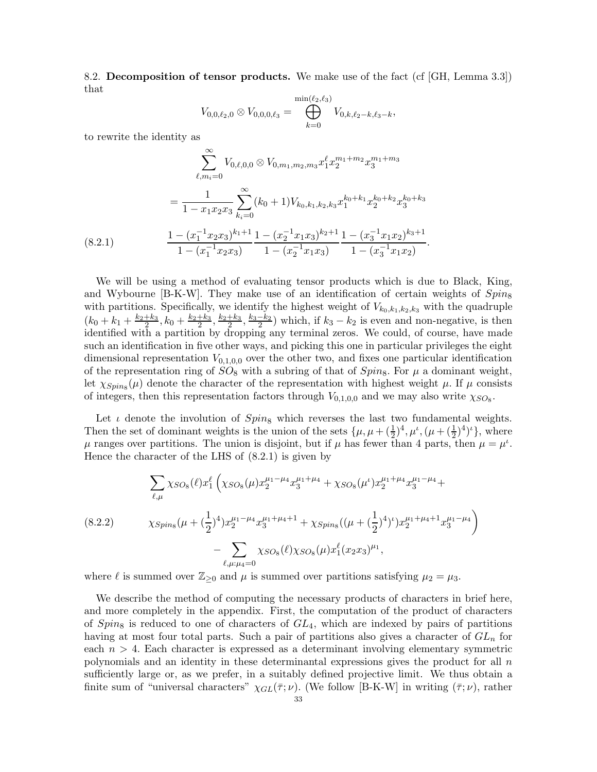8.2. Decomposition of tensor products. We make use of the fact (cf [GH, Lemma 3.3]) that

$$
V_{0,0,\ell_2,0}\otimes V_{0,0,0,\ell_3}=\bigoplus_{k=0}^{\min(\ell_2,\ell_3)}V_{0,k,\ell_2-k,\ell_3-k},
$$

to rewrite the identity as

$$
\sum_{\ell,m_i=0}^{\infty} V_{0,\ell,0,0} \otimes V_{0,m_1,m_2,m_3} x_1^{\ell} x_2^{m_1+m_2} x_3^{m_1+m_3}
$$
  
= 
$$
\frac{1}{1 - x_1 x_2 x_3} \sum_{k_i=0}^{\infty} (k_0 + 1) V_{k_0,k_1,k_2,k_3} x_1^{k_0+k_1} x_2^{k_0+k_2} x_3^{k_0+k_3}
$$
  
= 
$$
\frac{1 - (x_1^{-1} x_2 x_3)^{k_1+1}}{1 - (x_1^{-1} x_2 x_3)} \frac{1 - (x_2^{-1} x_1 x_3)^{k_2+1}}{1 - (x_2^{-1} x_1 x_3)} \frac{1 - (x_3^{-1} x_1 x_2)^{k_3+1}}{1 - (x_3^{-1} x_1 x_2)}.
$$
  
(8.2.1)

We will be using a method of evaluating tensor products which is due to Black, King, and Wybourne [B-K-W]. They make use of an identification of certain weights of  $Spin_8$ with partitions. Specifically, we identify the highest weight of  $V_{k_0,k_1,k_2,k_3}$  with the quadruple  $(k_0 + k_1 + \frac{k_2 + k_3}{2}, k_0 + \frac{k_2 + k_3}{2}, \frac{k_2 + k_3}{2}, \frac{k_3 - k_2}{2})$  which, if  $k_3 - k_2$  is even and non-negative, is then identified with a partition by dropping any terminal zeros. We could, of course, have made such an identification in five other ways, and picking this one in particular privileges the eight dimensional representation  $V_{0,1,0,0}$  over the other two, and fixes one particular identification of the representation ring of  $SO_8$  with a subring of that of  $Spin_8$ . For  $\mu$  a dominant weight, let  $\chi_{Spin_8}(\mu)$  denote the character of the representation with highest weight  $\mu$ . If  $\mu$  consists of integers, then this representation factors through  $V_{0,1,0,0}$  and we may also write  $\chi_{SO_8}$ .

Let  $\iota$  denote the involution of  $Spin_8$  which reverses the last two fundamental weights. Then the set of dominant weights is the union of the sets  $\{\mu, \mu + (\frac{1}{2})^4, \mu^i, (\mu + (\frac{1}{2})^4)^i\}$ , where  $\mu$  ranges over partitions. The union is disjoint, but if  $\mu$  has fewer than 4 parts, then  $\mu = \mu^i$ . Hence the character of the LHS of (8.2.1) is given by

$$
\sum_{\ell,\mu} \chi_{SO_8}(\ell) x_1^{\ell} \left( \chi_{SO_8}(\mu) x_2^{\mu_1-\mu_4} x_3^{\mu_1+\mu_4} + \chi_{SO_8}(\mu^{\iota}) x_2^{\mu_1+\mu_4} x_3^{\mu_1-\mu_4} + \right.
$$
\n
$$
(8.2.2) \qquad \chi_{Spin_8}(\mu + (\frac{1}{2})^4) x_2^{\mu_1-\mu_4} x_3^{\mu_1+\mu_4+1} + \chi_{Spin_8}((\mu + (\frac{1}{2})^4)^{\iota}) x_2^{\mu_1+\mu_4+1} x_3^{\mu_1-\mu_4} \right)
$$
\n
$$
- \sum_{\ell,\mu:\mu_4=0} \chi_{SO_8}(\ell) \chi_{SO_8}(\mu) x_1^{\ell} (x_2 x_3)^{\mu_1},
$$

where  $\ell$  is summed over  $\mathbb{Z}_{\geq 0}$  and  $\mu$  is summed over partitions satisfying  $\mu_2 = \mu_3$ .

We describe the method of computing the necessary products of characters in brief here, and more completely in the appendix. First, the computation of the product of characters of  $Spin_8$  is reduced to one of characters of  $GL_4$ , which are indexed by pairs of partitions having at most four total parts. Such a pair of partitions also gives a character of  $GL_n$  for each  $n > 4$ . Each character is expressed as a determinant involving elementary symmetric polynomials and an identity in these determinantal expressions gives the product for all n sufficiently large or, as we prefer, in a suitably defined projective limit. We thus obtain a finite sum of "universal characters"  $\chi_{GL}(\overline{\tau}; \nu)$ . (We follow [B-K-W] in writing  $(\overline{\tau}; \nu)$ , rather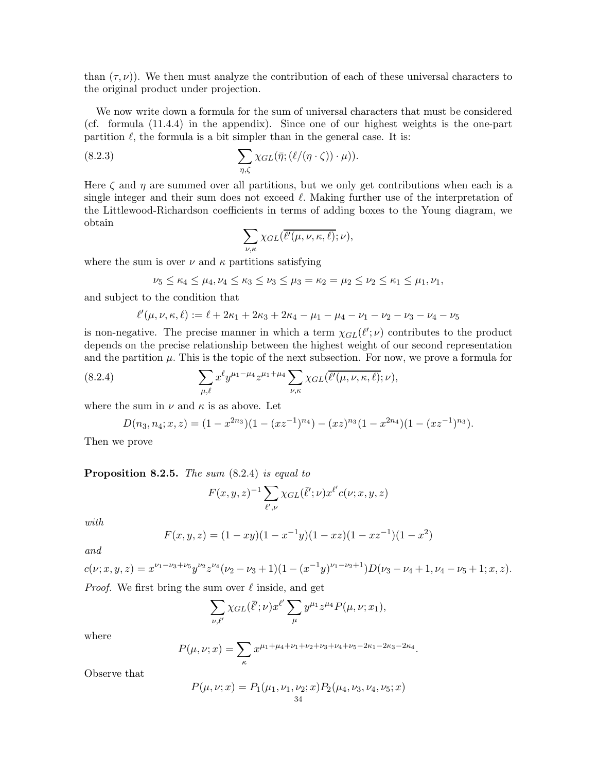than  $(\tau, \nu)$ ). We then must analyze the contribution of each of these universal characters to the original product under projection.

We now write down a formula for the sum of universal characters that must be considered (cf. formula (11.4.4) in the appendix). Since one of our highest weights is the one-part partition  $\ell$ , the formula is a bit simpler than in the general case. It is:

(8.2.3) 
$$
\sum_{\eta,\zeta} \chi_{GL}(\bar{\eta};(\ell/(\eta\cdot\zeta))\cdot\mu)).
$$

Here  $\zeta$  and  $\eta$  are summed over all partitions, but we only get contributions when each is a single integer and their sum does not exceed  $\ell$ . Making further use of the interpretation of the Littlewood-Richardson coefficients in terms of adding boxes to the Young diagram, we obtain

$$
\sum_{\nu,\kappa}\chi_{GL}(\overline{\ell'(\mu,\nu,\kappa,\ell)};\nu),
$$

where the sum is over  $\nu$  and  $\kappa$  partitions satisfying

$$
\nu_5 \le \kappa_4 \le \mu_4, \nu_4 \le \kappa_3 \le \nu_3 \le \mu_3 = \kappa_2 = \mu_2 \le \nu_2 \le \kappa_1 \le \mu_1, \nu_1,
$$

and subject to the condition that

$$
\ell'(\mu, \nu, \kappa, \ell) := \ell + 2\kappa_1 + 2\kappa_3 + 2\kappa_4 - \mu_1 - \mu_4 - \nu_1 - \nu_2 - \nu_3 - \nu_4 - \nu_5
$$

is non-negative. The precise manner in which a term  $\chi_{GL}(\ell';\nu)$  contributes to the product depends on the precise relationship between the highest weight of our second representation and the partition  $\mu$ . This is the topic of the next subsection. For now, we prove a formula for

(8.2.4) 
$$
\sum_{\mu,\ell} x^{\ell} y^{\mu_1-\mu_4} z^{\mu_1+\mu_4} \sum_{\nu,\kappa} \chi_{GL}(\overline{\ell'(\mu,\nu,\kappa,\ell)};\nu),
$$

where the sum in  $\nu$  and  $\kappa$  is as above. Let

$$
D(n_3, n_4; x, z) = (1 - x^{2n_3})(1 - (xz^{-1})^{n_4}) - (xz)^{n_3}(1 - x^{2n_4})(1 - (xz^{-1})^{n_3}).
$$

Then we prove

#### Proposition 8.2.5. The sum  $(8.2.4)$  is equal to

$$
F(x, y, z)^{-1} \sum_{\ell',\nu} \chi_{GL}(\overline{\ell'}; \nu) x^{\ell'} c(\nu; x, y, z)
$$

with

$$
F(x, y, z) = (1 - xy)(1 - x^{-1}y)(1 - xz)(1 - xz^{-1})(1 - x^2)
$$

and

$$
c(\nu;x,y,z) = x^{\nu_1-\nu_3+\nu_5} y^{\nu_2} z^{\nu_4} (\nu_2-\nu_3+1)(1-(x^{-1}y)^{\nu_1-\nu_2+1}) D(\nu_3-\nu_4+1,\nu_4-\nu_5+1;x,z).
$$

*Proof.* We first bring the sum over  $\ell$  inside, and get

$$
\sum_{\nu,\ell'} \chi_{GL}(\overline{\ell}';\nu) x^{\ell'} \sum_{\mu} y^{\mu_1} z^{\mu_4} P(\mu,\nu;x_1),
$$

where

$$
P(\mu, \nu; x) = \sum_{\kappa} x^{\mu_1 + \mu_4 + \nu_1 + \nu_2 + \nu_3 + \nu_4 + \nu_5 - 2\kappa_1 - 2\kappa_3 - 2\kappa_4}.
$$

Observe that

$$
P(\mu, \nu; x) = P_1(\mu_1, \nu_1, \nu_2; x) P_2(\mu_4, \nu_3, \nu_4, \nu_5; x)
$$
  
<sub>34</sub>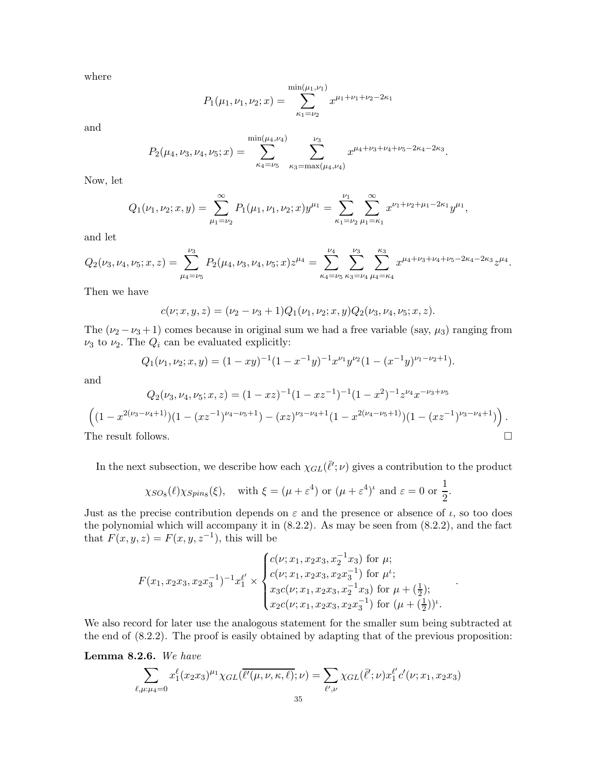where

$$
P_1(\mu_1, \nu_1, \nu_2; x) = \sum_{\kappa_1 = \nu_2}^{\min(\mu_1, \nu_1)} x^{\mu_1 + \nu_1 + \nu_2 - 2\kappa_1}
$$

and

$$
P_2(\mu_4, \nu_3, \nu_4, \nu_5; x) = \sum_{\kappa_4 = \nu_5}^{\min(\mu_4, \nu_4)} \sum_{\kappa_3 = \max(\mu_4, \nu_4)}^{\nu_3} x^{\mu_4 + \nu_3 + \nu_4 + \nu_5 - 2\kappa_4 - 2\kappa_3}.
$$

Now, let

$$
Q_1(\nu_1, \nu_2; x, y) = \sum_{\mu_1 = \nu_2}^{\infty} P_1(\mu_1, \nu_1, \nu_2; x) y^{\mu_1} = \sum_{\kappa_1 = \nu_2}^{\nu_1} \sum_{\mu_1 = \kappa_1}^{\infty} x^{\nu_1 + \nu_2 + \mu_1 - 2\kappa_1} y^{\mu_1},
$$

and let

$$
Q_2(\nu_3, \nu_4, \nu_5; x, z) = \sum_{\mu_4=\nu_5}^{\nu_3} P_2(\mu_4, \nu_3, \nu_4, \nu_5; x) z^{\mu_4} = \sum_{\kappa_4=\nu_5}^{\nu_4} \sum_{\kappa_3=\nu_4}^{\nu_3} \sum_{\mu_4=\kappa_4}^{\kappa_3} x^{\mu_4+\nu_3+\nu_4+\nu_5-2\kappa_4-2\kappa_3} z^{\mu_4}.
$$

Then we have

$$
c(\nu; x, y, z) = (\nu_2 - \nu_3 + 1)Q_1(\nu_1, \nu_2; x, y)Q_2(\nu_3, \nu_4, \nu_5; x, z).
$$

The  $(\nu_2 - \nu_3 + 1)$  comes because in original sum we had a free variable (say,  $\mu_3$ ) ranging from  $\nu_3$  to  $\nu_2$ . The  $Q_i$  can be evaluated explicitly:

$$
Q_1(\nu_1, \nu_2; x, y) = (1 - xy)^{-1} (1 - x^{-1}y)^{-1} x^{\nu_1} y^{\nu_2} (1 - (x^{-1}y)^{\nu_1 - \nu_2 + 1}).
$$

and

$$
Q_2(\nu_3, \nu_4, \nu_5; x, z) = (1 - xz)^{-1} (1 - xz^{-1})^{-1} (1 - x^2)^{-1} z^{\nu_4} x^{-\nu_3 + \nu_5}
$$

$$
\left( (1 - x^{2(\nu_3 - \nu_4 + 1)}) (1 - (xz^{-1})^{\nu_4 - \nu_5 + 1}) - (xz)^{\nu_3 - \nu_4 + 1} (1 - x^{2(\nu_4 - \nu_5 + 1)}) (1 - (xz^{-1})^{\nu_3 - \nu_4 + 1}) \right).
$$
The result follows.

In the next subsection, we describe how each  $\chi_{GL}(\bar{\ell}';\nu)$  gives a contribution to the product

$$
\chi_{SO_8}(\ell)\chi_{Spin_8}(\xi), \quad \text{with } \xi = (\mu + \varepsilon^4) \text{ or } (\mu + \varepsilon^4)^{\iota} \text{ and } \varepsilon = 0 \text{ or } \frac{1}{2}.
$$

Just as the precise contribution depends on  $\varepsilon$  and the presence or absence of  $\iota$ , so too does the polynomial which will accompany it in (8.2.2). As may be seen from (8.2.2), and the fact that  $F(x, y, z) = F(x, y, z^{-1})$ , this will be

$$
F(x_1, x_2x_3, x_2x_3^{-1})^{-1}x_1^{\ell'} \times \begin{cases} c(\nu; x_1, x_2x_3, x_2^{-1}x_3) \text{ for } \mu; \\ c(\nu; x_1, x_2x_3, x_2x_3^{-1}) \text{ for } \mu^{\iota}; \\ x_3c(\nu; x_1, x_2x_3, x_2^{-1}x_3) \text{ for } \mu + (\frac{1}{2}); \\ x_2c(\nu; x_1, x_2x_3, x_2x_3^{-1}) \text{ for } (\mu + (\frac{1}{2}))^{\iota}. \end{cases}
$$

.

We also record for later use the analogous statement for the smaller sum being subtracted at the end of (8.2.2). The proof is easily obtained by adapting that of the previous proposition:

Lemma 8.2.6. We have

$$
\sum_{\ell,\mu:\mu_4=0} x_1^{\ell} (x_2 x_3)^{\mu_1} \chi_{GL}(\overline{\ell'(\mu,\nu,\kappa,\ell)};\nu) = \sum_{\ell',\nu} \chi_{GL}(\overline{\ell'};\nu) x_1^{\ell'} c'(\nu;x_1,x_2 x_3)
$$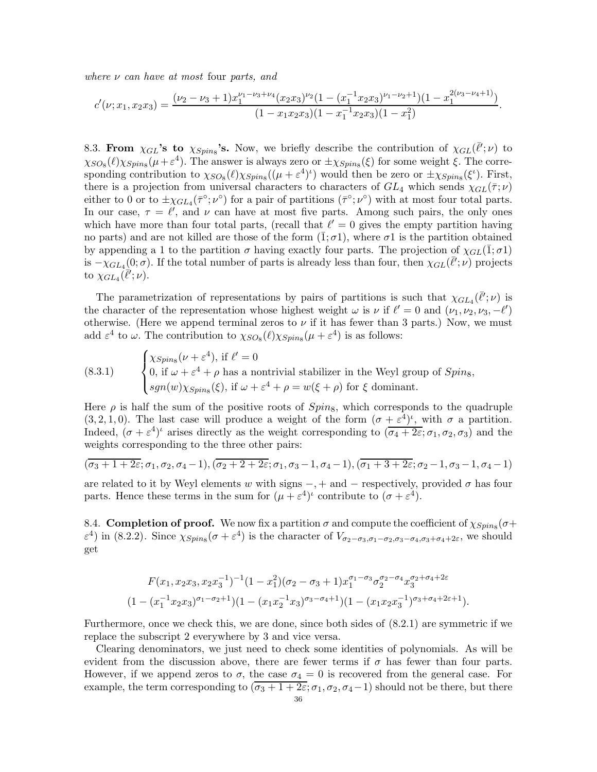where  $\nu$  can have at most four parts, and

$$
c'(\nu;x_1,x_2x_3)=\frac{(\nu_2-\nu_3+1)x_1^{\nu_1-\nu_3+\nu_4}(x_2x_3)^{\nu_2}(1-(x_1^{-1}x_2x_3)^{\nu_1-\nu_2+1})(1-x_1^{2(\nu_3-\nu_4+1)})}{(1-x_1x_2x_3)(1-x_1^{-1}x_2x_3)(1-x_1^2)}.
$$

8.3. From  $\chi_{GL}$ 's to  $\chi_{Spin_8}$ 's. Now, we briefly describe the contribution of  $\chi_{GL}(\bar{\ell}';\nu)$  to  $\chi_{SO_8}(\ell)\chi_{Spin_8}(\mu+\epsilon^4)$ . The answer is always zero or  $\pm\chi_{Spin_8}(\xi)$  for some weight  $\xi$ . The corresponding contribution to  $\chi_{SO_8}(\ell)\chi_{Spins}((\mu + \varepsilon^4)^{\iota})$  would then be zero or  $\pm \chi_{Spins}(\xi^{\iota})$ . First, there is a projection from universal characters to characters of  $GL_4$  which sends  $\chi_{GL}(\bar{\tau}; \nu)$ either to 0 or to  $\pm \chi_{GL_4}(\bar{\tau}^{\circ}; \nu^{\circ})$  for a pair of partitions  $(\bar{\tau}^{\circ}; \nu^{\circ})$  with at most four total parts. In our case,  $\tau = \ell'$ , and  $\nu$  can have at most five parts. Among such pairs, the only ones which have more than four total parts, (recall that  $\ell' = 0$  gives the empty partition having no parts) and are not killed are those of the form  $(\bar{1}; \sigma 1)$ , where  $\sigma 1$  is the partition obtained by appending a 1 to the partition  $\sigma$  having exactly four parts. The projection of  $\chi_{GL}(\bar{1}; \sigma_1)$ is  $-\chi_{GL_4(0;\sigma)}$ . If the total number of parts is already less than four, then  $\chi_{GL}(\bar{\ell}';\nu)$  projects to  $\chi_{GL_4}(\vec{\ell}';\nu)$ .

The parametrization of representations by pairs of partitions is such that  $\chi_{GL_4}(\bar{l'}; \nu)$  is the character of the representation whose highest weight  $\omega$  is  $\nu$  if  $\ell' = 0$  and  $(\nu_1, \nu_2, \nu_3, -\ell')$ otherwise. (Here we append terminal zeros to  $\nu$  if it has fewer than 3 parts.) Now, we must add  $\varepsilon^4$  to  $\omega$ . The contribution to  $\chi_{SO_8}(\ell)\chi_{Spin_8}(\mu+\varepsilon^4)$  is as follows:

(8.3.1) 
$$
\begin{cases} \chi_{Spin_8}(\nu + \varepsilon^4), \text{ if } \ell' = 0\\ 0, \text{ if } \omega + \varepsilon^4 + \rho \text{ has a nontrivial stabilizer in the Weyl group of } Spin_8, \\ sgn(w)\chi_{Spin_8}(\xi), \text{ if } \omega + \varepsilon^4 + \rho = w(\xi + \rho) \text{ for } \xi \text{ dominant.} \end{cases}
$$

Here  $\rho$  is half the sum of the positive roots of  $Spin_8$ , which corresponds to the quadruple  $(3, 2, 1, 0)$ . The last case will produce a weight of the form  $(\sigma + \varepsilon^4)^t$ , with  $\sigma$  a partition. Indeed,  $(\sigma + \varepsilon^4)$ <sup>t</sup> arises directly as the weight corresponding to  $(\overline{\sigma_4 + 2\varepsilon}; \sigma_1, \sigma_2, \sigma_3)$  and the weights corresponding to the three other pairs:

$$
(\overline{\sigma_3+1+2\varepsilon}; \sigma_1, \sigma_2, \sigma_4-1), (\overline{\sigma_2+2+2\varepsilon}; \sigma_1, \sigma_3-1, \sigma_4-1), (\overline{\sigma_1+3+2\varepsilon}; \sigma_2-1, \sigma_3-1, \sigma_4-1)
$$

are related to it by Weyl elements w with signs  $-, +$  and  $-$  respectively, provided  $\sigma$  has four parts. Hence these terms in the sum for  $(\mu + \varepsilon^4)^t$  contribute to  $(\sigma + \varepsilon^4)$ .

8.4. Completion of proof. We now fix a partition  $\sigma$  and compute the coefficient of  $\chi_{Spins}(\sigma +$  $ε<sup>4</sup>$ ) in (8.2.2). Since  $χ<sub>Spins</sub>(σ + ε<sup>4</sup>)$  is the character of  $V<sub>σ2−σ3,σ1−σ2,σ3−σ4,σ3+σ4+2ε</sub>$ , we should get

$$
F(x_1, x_2x_3, x_2x_3^{-1})^{-1}(1-x_1^2)(\sigma_2 - \sigma_3 + 1)x_1^{\sigma_1 - \sigma_3}\sigma_2^{\sigma_2 - \sigma_4}x_3^{\sigma_2 + \sigma_4 + 2\varepsilon}
$$
  

$$
(1 - (x_1^{-1}x_2x_3)^{\sigma_1 - \sigma_2 + 1})(1 - (x_1x_2^{-1}x_3)^{\sigma_3 - \sigma_4 + 1})(1 - (x_1x_2x_3^{-1})^{\sigma_3 + \sigma_4 + 2\varepsilon + 1}).
$$

Furthermore, once we check this, we are done, since both sides of (8.2.1) are symmetric if we replace the subscript 2 everywhere by 3 and vice versa.

Clearing denominators, we just need to check some identities of polynomials. As will be evident from the discussion above, there are fewer terms if  $\sigma$  has fewer than four parts. However, if we append zeros to  $\sigma$ , the case  $\sigma_4 = 0$  is recovered from the general case. For example, the term corresponding to  $(\overline{\sigma_3 + 1 + 2\varepsilon}; \sigma_1, \sigma_2, \sigma_4 - 1)$  should not be there, but there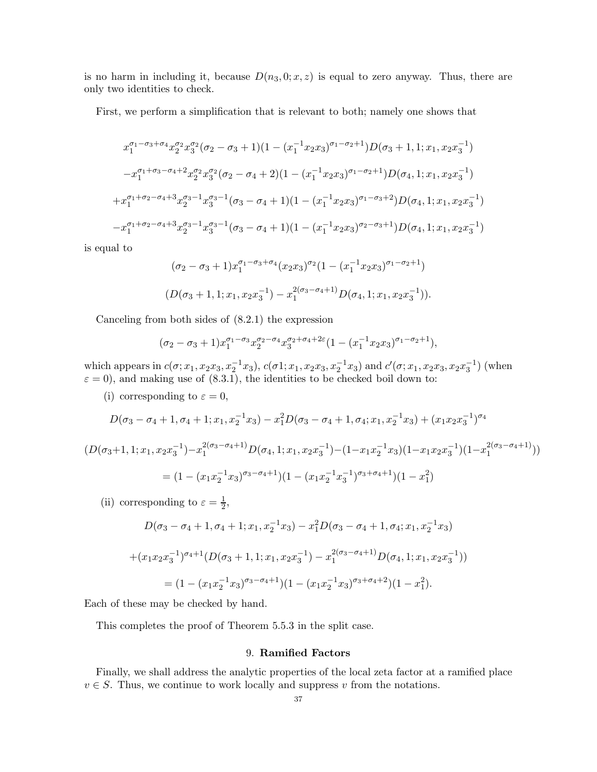is no harm in including it, because  $D(n_3, 0; x, z)$  is equal to zero anyway. Thus, there are only two identities to check.

First, we perform a simplification that is relevant to both; namely one shows that

$$
x_1^{\sigma_1-\sigma_3+\sigma_4} x_2^{\sigma_2} x_3^{\sigma_2} (\sigma_2-\sigma_3+1)(1-(x_1^{-1}x_2x_3)^{\sigma_1-\sigma_2+1})D(\sigma_3+1,1;x_1,x_2x_3^{-1})
$$
  

$$
-x_1^{\sigma_1+\sigma_3-\sigma_4+2} x_2^{\sigma_2} x_3^{\sigma_2} (\sigma_2-\sigma_4+2)(1-(x_1^{-1}x_2x_3)^{\sigma_1-\sigma_2+1})D(\sigma_4,1;x_1,x_2x_3^{-1})
$$
  

$$
+x_1^{\sigma_1+\sigma_2-\sigma_4+3} x_2^{\sigma_3-1} x_3^{\sigma_3-1} (\sigma_3-\sigma_4+1)(1-(x_1^{-1}x_2x_3)^{\sigma_1-\sigma_3+2})D(\sigma_4,1;x_1,x_2x_3^{-1})
$$
  

$$
-x_1^{\sigma_1+\sigma_2-\sigma_4+3} x_2^{\sigma_3-1} x_3^{\sigma_3-1} (\sigma_3-\sigma_4+1)(1-(x_1^{-1}x_2x_3)^{\sigma_2-\sigma_3+1})D(\sigma_4,1;x_1,x_2x_3^{-1})
$$

is equal to

$$
(\sigma_2 - \sigma_3 + 1)x_1^{\sigma_1 - \sigma_3 + \sigma_4} (x_2 x_3)^{\sigma_2} (1 - (x_1^{-1} x_2 x_3)^{\sigma_1 - \sigma_2 + 1})
$$
  

$$
(D(\sigma_3 + 1, 1; x_1, x_2 x_3^{-1}) - x_1^{2(\sigma_3 - \sigma_4 + 1)} D(\sigma_4, 1; x_1, x_2 x_3^{-1})).
$$

Canceling from both sides of (8.2.1) the expression

$$
(\sigma_2 - \sigma_3 + 1)x_1^{\sigma_1 - \sigma_3} x_2^{\sigma_2 - \sigma_4} x_3^{\sigma_2 + \sigma_4 + 2\varepsilon} (1 - (x_1^{-1}x_2x_3)^{\sigma_1 - \sigma_2 + 1}),
$$

which appears in  $c(\sigma; x_1, x_2x_3, x_2^{-1}x_3)$ ,  $c(\sigma1; x_1, x_2x_3, x_2^{-1}x_3)$  and  $c'(\sigma; x_1, x_2x_3, x_2x_3^{-1})$  (when  $\varepsilon = 0$ , and making use of  $(8.3.1)$ , the identities to be checked boil down to:

(i) corresponding to  $\varepsilon = 0$ ,

$$
D(\sigma_3-\sigma_4+1,\sigma_4+1;x_1,x_2^{-1}x_3)-x_1^2D(\sigma_3-\sigma_4+1,\sigma_4;x_1,x_2^{-1}x_3)+(x_1x_2x_3^{-1})^{\sigma_4}
$$

$$
(D(\sigma_3+1, 1; x_1, x_2x_3^{-1}) - x_1^{2(\sigma_3-\sigma_4+1)}D(\sigma_4, 1; x_1, x_2x_3^{-1}) - (1-x_1x_2^{-1}x_3)(1-x_1x_2x_3^{-1})(1-x_1^{2(\sigma_3-\sigma_4+1)}))
$$
  
=  $(1 - (x_1x_2^{-1}x_3)^{\sigma_3-\sigma_4+1})(1 - (x_1x_2^{-1}x_3^{-1})^{\sigma_3+\sigma_4+1})(1-x_1^2)$ 

(ii) corresponding to  $\varepsilon = \frac{1}{2}$ ,

$$
D(\sigma_3 - \sigma_4 + 1, \sigma_4 + 1; x_1, x_2^{-1}x_3) - x_1^2 D(\sigma_3 - \sigma_4 + 1, \sigma_4; x_1, x_2^{-1}x_3)
$$
  
+
$$
(x_1x_2x_3^{-1})^{\sigma_4+1}(D(\sigma_3 + 1, 1; x_1, x_2x_3^{-1}) - x_1^{2(\sigma_3 - \sigma_4 + 1)}D(\sigma_4, 1; x_1, x_2x_3^{-1}))
$$
  
= 
$$
(1 - (x_1x_2^{-1}x_3)^{\sigma_3 - \sigma_4 + 1})(1 - (x_1x_2^{-1}x_3)^{\sigma_3 + \sigma_4 + 2})(1 - x_1^2).
$$

Each of these may be checked by hand.

This completes the proof of Theorem 5.5.3 in the split case.

#### 9. Ramified Factors

Finally, we shall address the analytic properties of the local zeta factor at a ramified place  $v \in S$ . Thus, we continue to work locally and suppress v from the notations.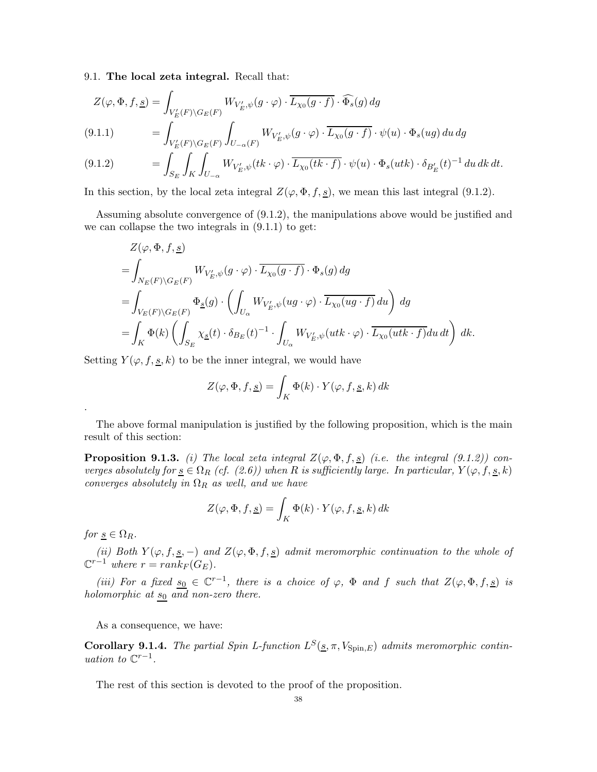9.1. The local zeta integral. Recall that:

 $S_E$  JK  $JU_{-\alpha}$ 

$$
Z(\varphi, \Phi, f, \underline{s}) = \int_{V'_E(F)\backslash G_E(F)} W_{V'_E, \psi}(g \cdot \varphi) \cdot \overline{L_{\chi_0}(g \cdot f)} \cdot \widehat{\Phi_s}(g) dg
$$
  
(9.1.1)  

$$
= \int_{V'_E(F)\backslash G_E(F)} \int_{U_{-\alpha}(F)} W_{V'_E, \psi}(g \cdot \varphi) \cdot \overline{L_{\chi_0}(g \cdot f)} \cdot \psi(u) \cdot \Phi_s(ug) du dg
$$
  
(9.1.2)  

$$
= \int_{G} \int_{V'} \int_{V'} W_{V'_E, \psi}(tk \cdot \varphi) \cdot \overline{L_{\chi_0}(tk \cdot f)} \cdot \psi(u) \cdot \Phi_s(utk) \cdot \delta_{B'_E}(t)^{-1} du dk dt.
$$

In this section, by the local zeta integral  $Z(\varphi, \Phi, f, \underline{s})$ , we mean this last integral (9.1.2).

Assuming absolute convergence of (9.1.2), the manipulations above would be justified and we can collapse the two integrals in (9.1.1) to get:

$$
\begin{split} &Z(\varphi,\Phi,f,\underline{s})\\ =&\int_{N_E(F)\backslash G_E(F)} W_{V'_E,\psi}(g\cdot\varphi)\cdot\overline{L_{\chi_0}(g\cdot f)}\cdot\Phi_s(g)\,dg\\ =&\int_{V_E(F)\backslash G_E(F)} \Phi_{\underline{s}}(g)\cdot\left(\int_{U_\alpha} W_{V'_E,\psi}(ug\cdot\varphi)\cdot\overline{L_{\chi_0}(ug\cdot f)}\,du\right)\,dg\\ =&\int_K \Phi(k)\left(\int_{S_E}\chi_{\underline{s}}(t)\cdot\delta_{B_E}(t)^{-1}\cdot\int_{U_\alpha} W_{V'_E,\psi}(utk\cdot\varphi)\cdot\overline{L_{\chi_0}(utk\cdot f)}du\,dt\right)\,dk. \end{split}
$$

Setting  $Y(\varphi, f, \underline{s}, k)$  to be the inner integral, we would have

$$
Z(\varphi, \Phi, f, \underline{s}) = \int_K \Phi(k) \cdot Y(\varphi, f, \underline{s}, k) \, dk
$$

The above formal manipulation is justified by the following proposition, which is the main result of this section:

**Proposition 9.1.3.** (i) The local zeta integral  $Z(\varphi, \Phi, f, \underline{s})$  (i.e. the integral (9.1.2)) converges absolutely for  $\underline{s} \in \Omega_R$  (cf. (2.6)) when R is sufficiently large. In particular,  $Y(\varphi, f, \underline{s}, k)$ converges absolutely in  $\Omega_R$  as well, and we have

$$
Z(\varphi, \Phi, f, \underline{s}) = \int_K \Phi(k) \cdot Y(\varphi, f, \underline{s}, k) \, dk
$$

for  $s \in \Omega_R$ .

.

(ii) Both  $Y(\varphi, f, \underline{s}, -)$  and  $Z(\varphi, \Phi, f, \underline{s})$  admit meromorphic continuation to the whole of  $\mathbb{C}^{r-1}$  where  $r = rank_F(G_E)$ .

(iii) For a fixed  $s_0 \in \mathbb{C}^{r-1}$ , there is a choice of  $\varphi$ ,  $\Phi$  and f such that  $Z(\varphi, \Phi, f, \underline{s})$  is holomorphic at  $s_0$  and non-zero there.

As a consequence, we have:

Corollary 9.1.4. The partial Spin L-function  $L^{S}(\underline{s}, \pi, V_{\text{Spin},E})$  admits meromorphic continuation to  $\mathbb{C}^{r-1}$ .

The rest of this section is devoted to the proof of the proposition.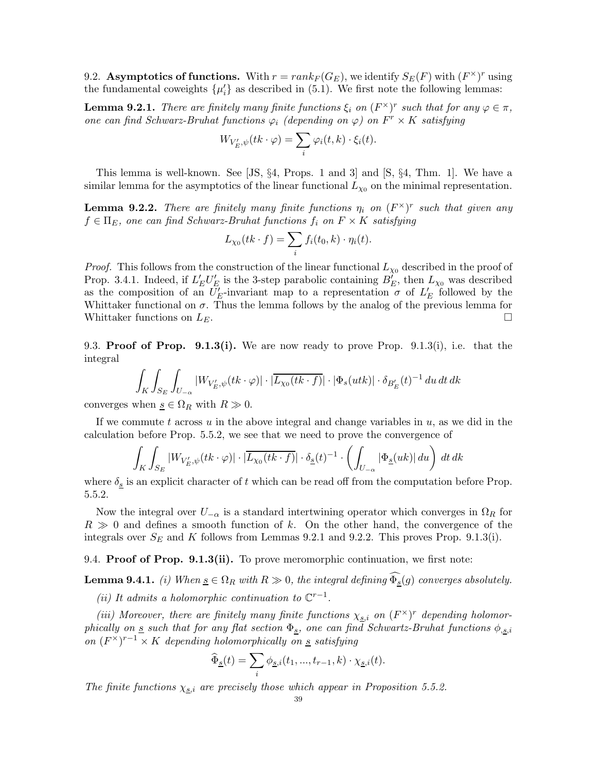9.2. Asymptotics of functions. With  $r = rank_F(G_E)$ , we identify  $S_E(F)$  with  $(F^{\times})^r$  using the fundamental coweights  $\{\mu'_i\}$  as described in (5.1). We first note the following lemmas:

**Lemma 9.2.1.** There are finitely many finite functions  $\xi_i$  on  $(F^{\times})^r$  such that for any  $\varphi \in \pi$ , one can find Schwarz-Bruhat functions  $\varphi_i$  (depending on  $\varphi$ ) on  $F^r \times K$  satisfying

$$
W_{V'_{E},\psi}(tk\cdot\varphi)=\sum_{i}\varphi_{i}(t,k)\cdot\xi_{i}(t).
$$

This lemma is well-known. See [JS, §4, Props. 1 and 3] and [S, §4, Thm. 1]. We have a similar lemma for the asymptotics of the linear functional  $L_{\chi_0}$  on the minimal representation.

**Lemma 9.2.2.** There are finitely many finite functions  $\eta_i$  on  $(F^{\times})^r$  such that given any  $f \in \Pi_E$ , one can find Schwarz-Bruhat functions  $f_i$  on  $F \times K$  satisfying

$$
L_{\chi_0}(tk \cdot f) = \sum_i f_i(t_0, k) \cdot \eta_i(t).
$$

*Proof.* This follows from the construction of the linear functional  $L_{\chi_0}$  described in the proof of Prop. 3.4.1. Indeed, if  $L'_E U'_E$  is the 3-step parabolic containing  $B'_E$ , then  $L_{\chi_0}$  was described as the composition of an  $U_E'$ -invariant map to a representation  $\sigma$  of  $L_E'$  followed by the Whittaker functional on  $\sigma$ . Thus the lemma follows by the analog of the previous lemma for Whittaker functions on  $L_E$ .

9.3. **Proof of Prop.** 9.1.3(i). We are now ready to prove Prop. 9.1.3(i), i.e. that the integral

$$
\int_{K} \int_{S_{E}} \int_{U_{-\alpha}} |W_{V'_{E},\psi}(tk \cdot \varphi)| \cdot |\overline{L_{\chi_{0}}(tk \cdot f)}| \cdot |\Phi_{s}(utk)| \cdot \delta_{B'_{E}}(t)^{-1} du dt dk
$$

converges when  $s \in \Omega_R$  with  $R \gg 0$ .

If we commute t across u in the above integral and change variables in  $u$ , as we did in the calculation before Prop. 5.5.2, we see that we need to prove the convergence of

$$
\int_K \int_{S_E} |W_{V'_E, \psi}(tk \cdot \varphi)| \cdot |\overline{L_{\chi_0}(tk \cdot f)}| \cdot \delta_{\underline{s}}(t)^{-1} \cdot \left( \int_{U_{-\alpha}} |\Phi_{\underline{s}}(uk)| du \right) dt dk
$$

where  $\delta_{\underline{s}}$  is an explicit character of t which can be read off from the computation before Prop. 5.5.2.

Now the integral over  $U_{-\alpha}$  is a standard intertwining operator which converges in  $\Omega_R$  for  $R \gg 0$  and defines a smooth function of k. On the other hand, the convergence of the integrals over  $S_E$  and K follows from Lemmas 9.2.1 and 9.2.2. This proves Prop. 9.1.3(i).

9.4. **Proof of Prop. 9.1.3(ii).** To prove meromorphic continuation, we first note:

**Lemma 9.4.1.** (i) When  $\underline{s} \in \Omega_R$  with  $R \gg 0$ , the integral defining  $\Phi_{\underline{s}}(g)$  converges absolutely.

(ii) It admits a holomorphic continuation to  $\mathbb{C}^{r-1}$ .

(iii) Moreover, there are finitely many finite functions  $\chi_{s,i}$  on  $(F^{\times})^r$  depending holomorphically on s such that for any flat section  $\Phi_s$ , one can find Schwartz-Bruhat functions  $\phi_{s,i}$ on  $(F^{\times})^{r-1} \times K$  depending holomorphically on <u>s</u> satisfying

$$
\widehat{\Phi}_{\underline{s}}(t) = \sum_{i} \phi_{\underline{s},i}(t_1, ..., t_{r-1}, k) \cdot \chi_{\underline{s},i}(t).
$$

The finite functions  $\chi_{\underline{s},i}$  are precisely those which appear in Proposition 5.5.2.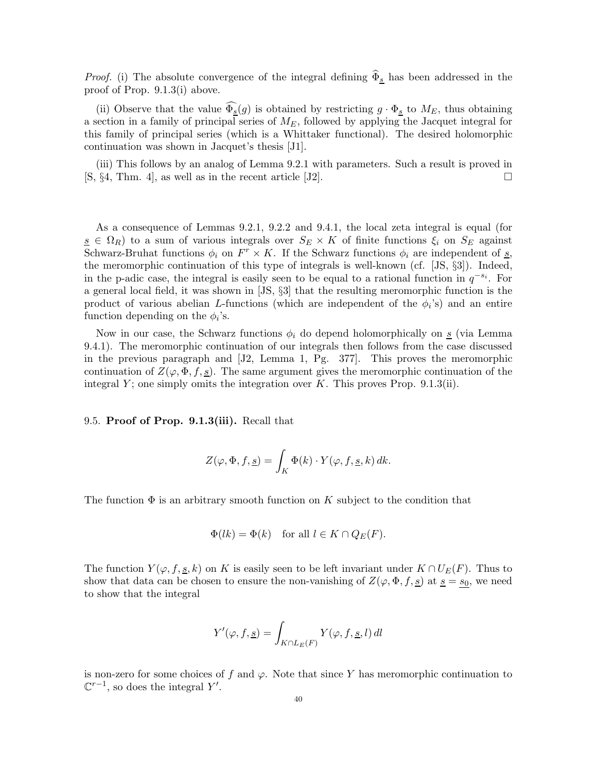*Proof.* (i) The absolute convergence of the integral defining  $\hat{\Phi}_s$  has been addressed in the proof of Prop. 9.1.3(i) above.

(ii) Observe that the value  $\Phi_{\underline{s}}(g)$  is obtained by restricting  $g \cdot \Phi_{\underline{s}}$  to  $M_E$ , thus obtaining a section in a family of principal series of  $M_E$ , followed by applying the Jacquet integral for this family of principal series (which is a Whittaker functional). The desired holomorphic continuation was shown in Jacquet's thesis [J1].

(iii) This follows by an analog of Lemma 9.2.1 with parameters. Such a result is proved in  $[S, §4, Thm. 4]$ , as well as in the recent article  $[J2]$ .

As a consequence of Lemmas 9.2.1, 9.2.2 and 9.4.1, the local zeta integral is equal (for  $s \in \Omega_R$ ) to a sum of various integrals over  $S_E \times K$  of finite functions  $\xi_i$  on  $S_E$  against Schwarz-Bruhat functions  $\phi_i$  on  $F^r \times K$ . If the Schwarz functions  $\phi_i$  are independent of s, the meromorphic continuation of this type of integrals is well-known (cf. [JS, §3]). Indeed, in the p-adic case, the integral is easily seen to be equal to a rational function in  $q^{-s_i}$ . For a general local field, it was shown in [JS, §3] that the resulting meromorphic function is the product of various abelian L-functions (which are independent of the  $\phi_i$ 's) and an entire function depending on the  $\phi_i$ 's.

Now in our case, the Schwarz functions  $\phi_i$  do depend holomorphically on  $s$  (via Lemma 9.4.1). The meromorphic continuation of our integrals then follows from the case discussed in the previous paragraph and [J2, Lemma 1, Pg. 377]. This proves the meromorphic continuation of  $Z(\varphi, \Phi, f, \underline{s})$ . The same argument gives the meromorphic continuation of the integral Y; one simply omits the integration over K. This proves Prop.  $9.1.3(i)$ .

9.5. Proof of Prop. 9.1.3(iii). Recall that

$$
Z(\varphi, \Phi, f, \underline{s}) = \int_K \Phi(k) \cdot Y(\varphi, f, \underline{s}, k) \, dk.
$$

The function  $\Phi$  is an arbitrary smooth function on K subject to the condition that

$$
\Phi(lk) = \Phi(k) \quad \text{for all } l \in K \cap Q_E(F).
$$

The function  $Y(\varphi, f, g, k)$  on K is easily seen to be left invariant under  $K \cap U_F(F)$ . Thus to show that data can be chosen to ensure the non-vanishing of  $Z(\varphi, \Phi, f, g)$  at  $\underline{s} = s_0$ , we need to show that the integral

$$
Y'(\varphi, f, \underline{s}) = \int_{K \cap L_E(F)} Y(\varphi, f, \underline{s}, l) \, dl
$$

is non-zero for some choices of f and  $\varphi$ . Note that since Y has meromorphic continuation to  $\mathbb{C}^{r-1}$ , so does the integral Y'.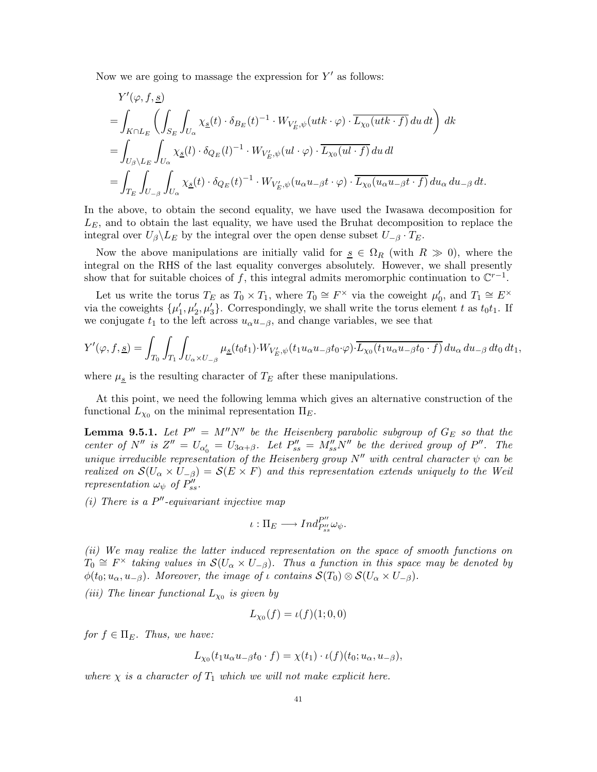Now we are going to massage the expression for  $Y'$  as follows:

$$
\begin{split} &Y'(\varphi,f,\underline{s})\\ =&\int_{K\cap L_E}\left(\int_{S_E}\int_{U_\alpha}\chi_{\underline{s}}(t)\cdot\delta_{B_E}(t)^{-1}\cdot W_{V'_E,\psi}(utk\cdot\varphi)\cdot\overline{L_{\chi_0}(utk\cdot f)}\,du\,dt\right)\,dk\\ =&\int_{U_\beta\backslash L_E}\int_{U_\alpha}\chi_{\underline{s}}(l)\cdot\delta_{Q_E}(l)^{-1}\cdot W_{V'_E,\psi}(ul\cdot\varphi)\cdot\overline{L_{\chi_0}(ul\cdot f)}\,du\,dl\\ =&\int_{T_E}\int_{U_{-\beta}}\int_{U_\alpha}\chi_{\underline{s}}(t)\cdot\delta_{Q_E}(t)^{-1}\cdot W_{V'_E,\psi}(u_\alpha u_{-\beta}t\cdot\varphi)\cdot\overline{L_{\chi_0}(u_\alpha u_{-\beta}t\cdot f)}\,du_\alpha\,du_{-\beta}\,dt. \end{split}
$$

In the above, to obtain the second equality, we have used the Iwasawa decomposition for  $L<sub>E</sub>$ , and to obtain the last equality, we have used the Bruhat decomposition to replace the integral over  $U_\beta \backslash L_E$  by the integral over the open dense subset  $U_{-\beta} \cdot T_E$ .

Now the above manipulations are initially valid for  $s \in \Omega_R$  (with  $R \gg 0$ ), where the integral on the RHS of the last equality converges absolutely. However, we shall presently show that for suitable choices of f, this integral admits meromorphic continuation to  $\mathbb{C}^{r-1}$ .

Let us write the torus  $T_E$  as  $T_0 \times T_1$ , where  $T_0 \cong F^\times$  via the coweight  $\mu'_0$ , and  $T_1 \cong E^\times$ via the coweights  $\{\mu'_1, \mu'_2, \mu'_3\}$ . Correspondingly, we shall write the torus element t as  $t_0t_1$ . If we conjugate  $t_1$  to the left across  $u_{\alpha}u_{-\beta}$ , and change variables, we see that

$$
Y'(\varphi, f, \underline{s}) = \int_{T_0} \int_{T_1} \int_{U_{\alpha} \times U_{-\beta}} \mu_{\underline{s}}(t_0 t_1) \cdot W_{V'_E, \psi}(t_1 u_{\alpha} u_{-\beta} t_0 \cdot \varphi) \cdot \overline{L_{\chi_0}(t_1 u_{\alpha} u_{-\beta} t_0 \cdot f)} du_{\alpha} du_{-\beta} dt_0 dt_1,
$$

where  $\mu_{\underline{s}}$  is the resulting character of  $T_E$  after these manipulations.

At this point, we need the following lemma which gives an alternative construction of the functional  $L_{\chi_0}$  on the minimal representation  $\Pi_E$ .

**Lemma 9.5.1.** Let  $P'' = M''N''$  be the Heisenberg parabolic subgroup of  $G_E$  so that the center of  $N''$  is  $Z'' = U_{\alpha'_0} = U_{3\alpha+\beta}$ . Let  $P''_{ss} = M''_{ss}N''$  be the derived group of  $P''$ . The unique irreducible representation of the Heisenberg group  $N''$  with central character  $\psi$  can be realized on  $\mathcal{S}(U_\alpha \times U_{-\beta}) = \mathcal{S}(E \times F)$  and this representation extends uniquely to the Weil representation  $\omega_{\psi}$  of  $P''_{ss}$ .

(i) There is a  $P''$ -equivariant injective map

$$
\iota:\Pi_E\longrightarrow Ind_{P''_{ss}}^{P''}\omega_\psi.
$$

(ii) We may realize the latter induced representation on the space of smooth functions on  $T_0 \cong F^\times$  taking values in  $\mathcal{S}(U_\alpha \times U_{-\beta})$ . Thus a function in this space may be denoted by  $\phi(t_0; u_\alpha, u_{-\beta})$ . Moreover, the image of  $\iota$  contains  $\mathcal{S}(T_0) \otimes \mathcal{S}(U_\alpha \times U_{-\beta})$ .

(iii) The linear functional  $L_{\chi_0}$  is given by

$$
L_{\chi_0}(f) = \iota(f)(1;0,0)
$$

for  $f \in \Pi_E$ . Thus, we have:

$$
L_{\chi_0}(t_1 u_\alpha u_{-\beta} t_0 \cdot f) = \chi(t_1) \cdot \iota(f)(t_0; u_\alpha, u_{-\beta}),
$$

where  $\chi$  is a character of  $T_1$  which we will not make explicit here.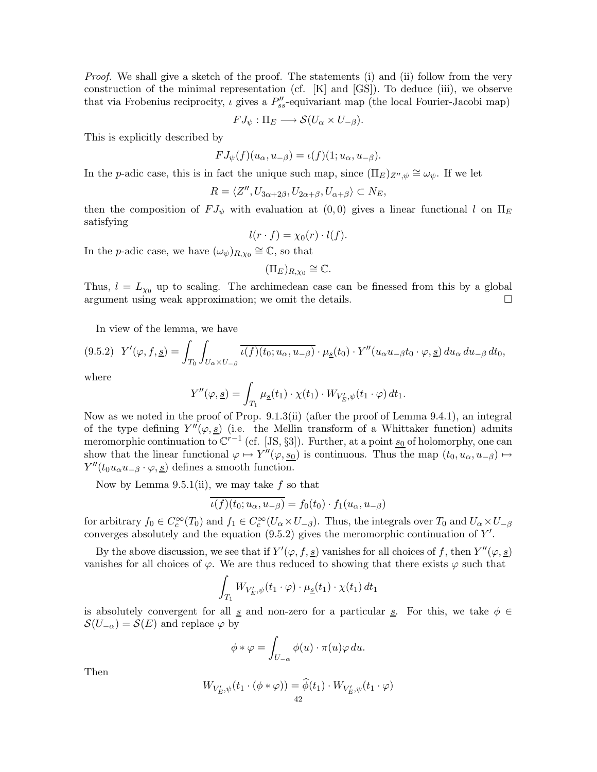Proof. We shall give a sketch of the proof. The statements (i) and (ii) follow from the very construction of the minimal representation (cf.  $[K]$  and  $[GS]$ ). To deduce (iii), we observe that via Frobenius reciprocity,  $\iota$  gives a  $P''_{ss}$ -equivariant map (the local Fourier-Jacobi map)

$$
FJ_{\psi}:\Pi_E\longrightarrow \mathcal{S}(U_{\alpha}\times U_{-\beta}).
$$

This is explicitly described by

$$
FJ_{\psi}(f)(u_{\alpha}, u_{-\beta}) = \iota(f)(1; u_{\alpha}, u_{-\beta}).
$$

In the p-adic case, this is in fact the unique such map, since  $(\Pi_E)_{Z'',\psi} \cong \omega_{\psi}$ . If we let

$$
R = \langle Z'', U_{3\alpha+2\beta}, U_{2\alpha+\beta}, U_{\alpha+\beta} \rangle \subset N_E,
$$

then the composition of  $FJ_{\psi}$  with evaluation at  $(0,0)$  gives a linear functional l on  $\Pi_E$ satisfying

$$
l(r \cdot f) = \chi_0(r) \cdot l(f).
$$

In the p-adic case, we have  $(\omega_{\psi})_{R,\chi_0} \cong \mathbb{C}$ , so that

$$
(\Pi_E)_{R,\chi_0}\cong\mathbb{C}.
$$

Thus,  $l = L_{\chi_0}$  up to scaling. The archimedean case can be finessed from this by a global argument using weak approximation; we omit the details.  $\Box$ 

In view of the lemma, we have

$$
(9.5.2) \quad Y'(\varphi, f, \underline{s}) = \int_{T_0} \int_{U_\alpha \times U_{-\beta}} \overline{\iota(f)(t_0; u_\alpha, u_{-\beta})} \cdot \mu_{\underline{s}}(t_0) \cdot Y''(u_\alpha u_{-\beta} t_0 \cdot \varphi, \underline{s}) \, du_\alpha \, du_{-\beta} \, dt_0,
$$

where

$$
Y''(\varphi, \underline{s}) = \int_{T_1} \mu_{\underline{s}}(t_1) \cdot \chi(t_1) \cdot W_{V'_E, \psi}(t_1 \cdot \varphi) dt_1.
$$

Now as we noted in the proof of Prop. 9.1.3(ii) (after the proof of Lemma 9.4.1), an integral of the type defining  $Y''(\varphi, \underline{s})$  (i.e. the Mellin transform of a Whittaker function) admits meromorphic continuation to  $\mathbb{C}^{r-1}$  (cf. [JS, §3]). Further, at a point  $s_0$  of holomorphy, one can show that the linear functional  $\varphi \mapsto Y''(\varphi, \underline{s_0})$  is continuous. Thus the map  $(t_0, u_\alpha, u_{-\beta}) \mapsto$  $Y''(t_0u_\alpha u_{-\beta}\cdot\varphi, \underline{s})$  defines a smooth function.

Now by Lemma 9.5.1(ii), we may take  $f$  so that

$$
\iota(f)(t_0; u_{\alpha}, u_{-\beta}) = f_0(t_0) \cdot f_1(u_{\alpha}, u_{-\beta})
$$

for arbitrary  $f_0 \in C_c^{\infty}(T_0)$  and  $f_1 \in C_c^{\infty}(U_\alpha \times U_{-\beta})$ . Thus, the integrals over  $T_0$  and  $U_\alpha \times U_{-\beta}$ converges absolutely and the equation  $(9.5.2)$  gives the meromorphic continuation of Y'.

By the above discussion, we see that if  $Y'(\varphi, f, \underline{s})$  vanishes for all choices of f, then  $Y''(\varphi, \underline{s})$ vanishes for all choices of  $\varphi$ . We are thus reduced to showing that there exists  $\varphi$  such that

$$
\int_{T_1} W_{V'_E, \psi}(t_1 \cdot \varphi) \cdot \mu_{\underline{s}}(t_1) \cdot \chi(t_1) dt_1
$$

is absolutely convergent for all s and non-zero for a particular s. For this, we take  $\phi \in$  $\mathcal{S}(U_{-\alpha}) = \mathcal{S}(E)$  and replace  $\varphi$  by

$$
\phi * \varphi = \int_{U_{-\alpha}} \phi(u) \cdot \pi(u) \varphi du.
$$

Then

$$
W_{V'_E, \psi}(t_1 \cdot (\phi * \varphi)) = \widehat{\phi}(t_1) \cdot W_{V'_E, \psi}(t_1 \cdot \varphi)
$$
  
42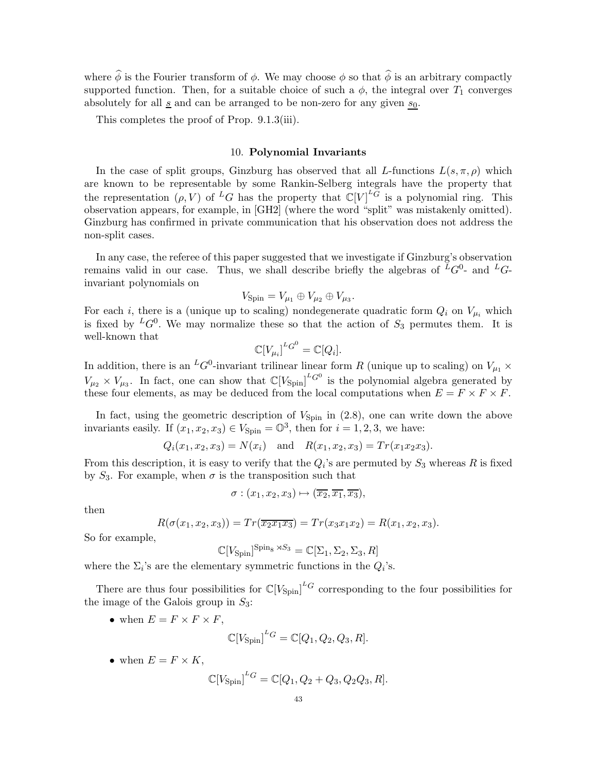where  $\hat{\phi}$  is the Fourier transform of  $\phi$ . We may choose  $\phi$  so that  $\hat{\phi}$  is an arbitrary compactly supported function. Then, for a suitable choice of such a  $\phi$ , the integral over  $T_1$  converges absolutely for all  $\underline{s}$  and can be arranged to be non-zero for any given  $s_0$ .

This completes the proof of Prop. 9.1.3(iii).

#### 10. Polynomial Invariants

In the case of split groups, Ginzburg has observed that all L-functions  $L(s, \pi, \rho)$  which are known to be representable by some Rankin-Selberg integrals have the property that the representation  $(\rho, V)$  of <sup>L</sup>G has the property that  $\mathbb{C}[V]^{L_G}$  is a polynomial ring. This observation appears, for example, in [GH2] (where the word "split" was mistakenly omitted). Ginzburg has confirmed in private communication that his observation does not address the non-split cases.

In any case, the referee of this paper suggested that we investigate if Ginzburg's observation remains valid in our case. Thus, we shall describe briefly the algebras of  $\overline{L}G^0$ - and  $L$  $G$ invariant polynomials on

$$
V_{\text{Spin}} = V_{\mu_1} \oplus V_{\mu_2} \oplus V_{\mu_3}.
$$

For each *i*, there is a (unique up to scaling) nondegenerate quadratic form  $Q_i$  on  $V_{\mu_i}$  which is fixed by  ${}^L G^0$ . We may normalize these so that the action of  $S_3$  permutes them. It is well-known that

$$
\mathbb{C}[V_{\mu_i}]^{LG^0} = \mathbb{C}[Q_i].
$$

In addition, there is an <sup>L</sup>G<sup>0</sup>-invariant trilinear linear form R (unique up to scaling) on  $V_{\mu_1} \times$  $V_{\mu_2} \times V_{\mu_3}$ . In fact, one can show that  $\mathbb{C}[V_{\text{Spin}}]^{L_G}$  is the polynomial algebra generated by these four elements, as may be deduced from the local computations when  $E = F \times F \times F$ .

In fact, using the geometric description of  $V_{\text{Spin}}$  in  $(2.8)$ , one can write down the above invariants easily. If  $(x_1, x_2, x_3) \in V_{\text{Spin}} = \mathbb{O}^3$ , then for  $i = 1, 2, 3$ , we have:

$$
Q_i(x_1, x_2, x_3) = N(x_i)
$$
 and  $R(x_1, x_2, x_3) = Tr(x_1x_2x_3).$ 

From this description, it is easy to verify that the  $Q_i$ 's are permuted by  $S_3$  whereas R is fixed by  $S_3$ . For example, when  $\sigma$  is the transposition such that

$$
\sigma: (x_1, x_2, x_3) \mapsto (\overline{x_2}, \overline{x_1}, \overline{x_3}),
$$

then

$$
R(\sigma(x_1, x_2, x_3)) = Tr(\overline{x_2 x_1 x_3}) = Tr(x_3 x_1 x_2) = R(x_1, x_2, x_3).
$$

So for example,

$$
\mathbb{C}[V_{\text{Spin}}]^{\text{Spin}_8 \rtimes S_3} = \mathbb{C}[\Sigma_1, \Sigma_2, \Sigma_3, R]
$$

where the  $\Sigma_i$ 's are the elementary symmetric functions in the  $Q_i$ 's.

There are thus four possibilities for  $\mathbb{C}[V_{\text{Spin}}]^L$  corresponding to the four possibilities for the image of the Galois group in  $S_3$ :

• when  $E = F \times F \times F$ ,

$$
\mathbb{C}[V_{\text{Spin}}]^{LG} = \mathbb{C}[Q_1, Q_2, Q_3, R].
$$

• when  $E = F \times K$ ,

$$
\mathbb{C}[V_{\text{Spin}}]^{LG} = \mathbb{C}[Q_1, Q_2 + Q_3, Q_2 Q_3, R].
$$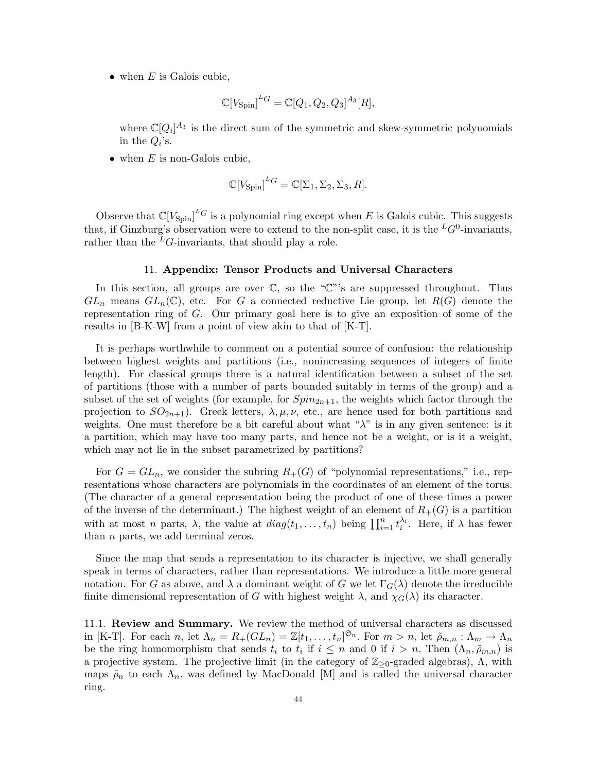• when  $E$  is Galois cubic,

$$
\mathbb{C}[V_{\text{Spin}}]^{L_G} = \mathbb{C}[Q_1, Q_2, Q_3]^{A_3}[R],
$$

where  $\mathbb{C}[Q_i]^{A_3}$  is the direct sum of the symmetric and skew-symmetric polynomials in the  $Q_i$ 's.

• when  $E$  is non-Galois cubic,

$$
\mathbb{C}[V_{\text{Spin}}]^{L_G} = \mathbb{C}[\Sigma_1, \Sigma_2, \Sigma_3, R].
$$

Observe that  $\mathbb{C}[V_{\text{Spin}}]^{L}$  is a polynomial ring except when E is Galois cubic. This suggests that, if Ginzburg's observation were to extend to the non-split case, it is the  ${}^L G^0$ -invariants, rather than the  ${}^L G$ -invariants, that should play a role.

#### 11. Appendix: Tensor Products and Universal Characters

In this section, all groups are over  $\mathbb{C}$ , so the " $\mathbb{C}$ "'s are suppressed throughout. Thus  $GL_n$  means  $GL_n(\mathbb{C})$ , etc. For G a connected reductive Lie group, let  $R(G)$  denote the representation ring of G. Our primary goal here is to give an exposition of some of the results in [B-K-W] from a point of view akin to that of [K-T].

It is perhaps worthwhile to comment on a potential source of confusion: the relationship between highest weights and partitions (i.e., nonincreasing sequences of integers of finite length). For classical groups there is a natural identification between a subset of the set of partitions (those with a number of parts bounded suitably in terms of the group) and a subset of the set of weights (for example, for  $Spin_{2n+1}$ , the weights which factor through the projection to  $SO_{2n+1}$ ). Greek letters,  $\lambda, \mu, \nu$ , etc., are hence used for both partitions and weights. One must therefore be a bit careful about what " $\lambda$ " is in any given sentence: is it a partition, which may have too many parts, and hence not be a weight, or is it a weight, which may not lie in the subset parametrized by partitions?

For  $G = GL_n$ , we consider the subring  $R_+(G)$  of "polynomial representations," i.e., representations whose characters are polynomials in the coordinates of an element of the torus. (The character of a general representation being the product of one of these times a power of the inverse of the determinant.) The highest weight of an element of  $R_{+}(G)$  is a partition with at most n parts,  $\lambda$ , the value at  $diag(t_1, \ldots, t_n)$  being  $\prod_{i=1}^n t_i^{\lambda_i}$ . Here, if  $\lambda$  has fewer than  $n$  parts, we add terminal zeros.

Since the map that sends a representation to its character is injective, we shall generally speak in terms of characters, rather than representations. We introduce a little more general notation. For G as above, and  $\lambda$  a dominant weight of G we let  $\Gamma_G(\lambda)$  denote the irreducible finite dimensional representation of G with highest weight  $\lambda$ , and  $\chi_G(\lambda)$  its character.

11.1. Review and Summary. We review the method of universal characters as discussed in [K-T]. For each n, let  $\Lambda_n = R_+(GL_n) = \mathbb{Z}[t_1,\ldots,t_n]^{\mathfrak{S}_n}$ . For  $m > n$ , let  $\tilde{\rho}_{m,n}: \Lambda_m \to \Lambda_n$ be the ring homomorphism that sends  $t_i$  to  $t_i$  if  $i \leq n$  and 0 if  $i > n$ . Then  $(\Lambda_n, \tilde{\rho}_{m,n})$  is a projective system. The projective limit (in the category of  $\mathbb{Z}_{\geq 0}$ -graded algebras),  $\Lambda$ , with maps  $\tilde{\rho}_n$  to each  $\Lambda_n$ , was defined by MacDonald [M] and is called the universal character ring.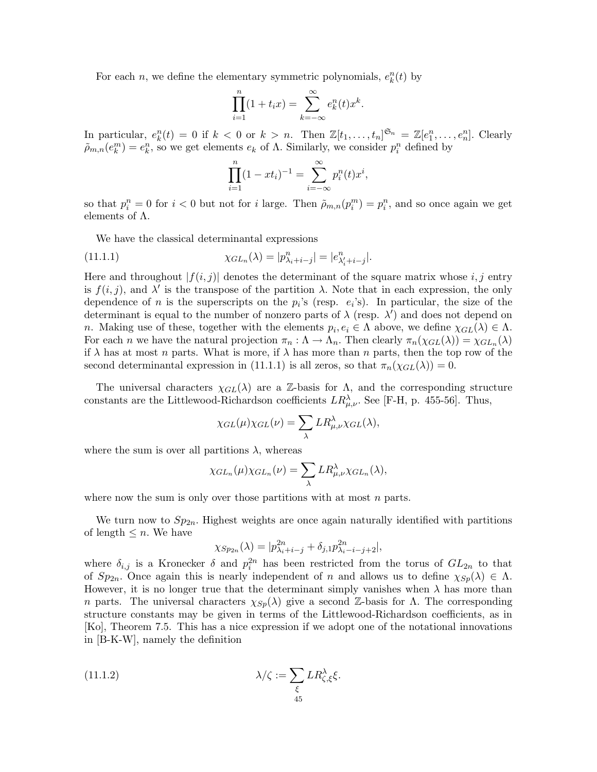For each n, we define the elementary symmetric polynomials,  $e_k^n(t)$  by

$$
\prod_{i=1}^{n}(1+t_ix) = \sum_{k=-\infty}^{\infty} e_k^n(t)x^k.
$$

In particular,  $e_k^n(t) = 0$  if  $k < 0$  or  $k > n$ . Then  $\mathbb{Z}[t_1, \ldots, t_n]^{\mathfrak{S}_n} = \mathbb{Z}[e_1^n, \ldots, e_n^n]$ . Clearly  $\tilde{\rho}_{m,n}(e_k^m) = e_k^n$ , so we get elements  $e_k$  of  $\Lambda$ . Similarly, we consider  $p_i^n$  defined by

$$
\prod_{i=1}^{n} (1 - xt_i)^{-1} = \sum_{i=-\infty}^{\infty} p_i^{n}(t) x^i,
$$

so that  $p_i^n = 0$  for  $i < 0$  but not for i large. Then  $\tilde{\rho}_{m,n}(p_i^m) = p_i^n$ , and so once again we get elements of  $\Lambda$ .

We have the classical determinantal expressions

(11.1.1) 
$$
\chi_{GL_n}(\lambda) = |p_{\lambda_i + i - j}^n| = |e_{\lambda_i' + i - j}^n|.
$$

Here and throughout  $|f(i, j)|$  denotes the determinant of the square matrix whose i, j entry is  $f(i, j)$ , and  $\lambda'$  is the transpose of the partition  $\lambda$ . Note that in each expression, the only dependence of n is the superscripts on the  $p_i$ 's (resp.  $e_i$ 's). In particular, the size of the determinant is equal to the number of nonzero parts of  $\lambda$  (resp.  $\lambda'$ ) and does not depend on n. Making use of these, together with the elements  $p_i, e_i \in \Lambda$  above, we define  $\chi_{GL}(\lambda) \in \Lambda$ . For each n we have the natural projection  $\pi_n : \Lambda \to \Lambda_n$ . Then clearly  $\pi_n(\chi_{GL}(\lambda)) = \chi_{GL_n}(\lambda)$ if  $\lambda$  has at most n parts. What is more, if  $\lambda$  has more than n parts, then the top row of the second determinantal expression in (11.1.1) is all zeros, so that  $\pi_n(\chi_{GL}(\lambda)) = 0$ .

The universal characters  $\chi_{GL}(\lambda)$  are a Z-basis for  $\Lambda$ , and the corresponding structure constants are the Littlewood-Richardson coefficients  $LR^{\lambda}_{\mu,\nu}$ . See [F-H, p. 455-56]. Thus,

$$
\chi_{GL}(\mu)\chi_{GL}(\nu)=\sum_{\lambda}LR_{\mu,\nu}^{\lambda}\chi_{GL}(\lambda),
$$

where the sum is over all partitions  $\lambda$ , whereas

$$
\chi_{GL_n}(\mu)\chi_{GL_n}(\nu)=\sum_{\lambda}LR_{\mu,\nu}^{\lambda}\chi_{GL_n}(\lambda),
$$

where now the sum is only over those partitions with at most  $n$  parts.

We turn now to  $Sp_{2n}$ . Highest weights are once again naturally identified with partitions of length  $\leq n$ . We have

$$
\chi_{Sp_{2n}}(\lambda) = |p_{\lambda_i + i - j}^{2n} + \delta_{j,1} p_{\lambda_i - i - j + 2}^{2n}|,
$$

where  $\delta_{i,j}$  is a Kronecker  $\delta$  and  $p_i^{2n}$  has been restricted from the torus of  $GL_{2n}$  to that of  $Sp_{2n}$ . Once again this is nearly independent of n and allows us to define  $\chi_{Sp}(\lambda) \in \Lambda$ . However, it is no longer true that the determinant simply vanishes when  $\lambda$  has more than n parts. The universal characters  $\chi_{Sp}(\lambda)$  give a second Z-basis for  $\Lambda$ . The corresponding structure constants may be given in terms of the Littlewood-Richardson coefficients, as in [Ko], Theorem 7.5. This has a nice expression if we adopt one of the notational innovations in [B-K-W], namely the definition

(11.1.2) 
$$
\lambda/\zeta := \sum_{\xi} LR_{\zeta,\xi}^{\lambda} \xi.
$$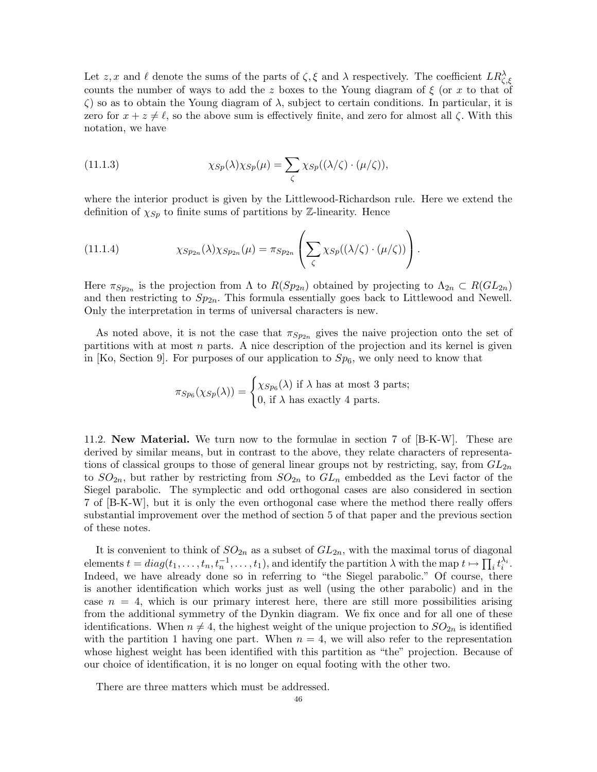Let z, x and  $\ell$  denote the sums of the parts of  $\zeta$ ,  $\xi$  and  $\lambda$  respectively. The coefficient  $LR_{\zeta,\xi}^{\lambda}$ counts the number of ways to add the z boxes to the Young diagram of  $\xi$  (or x to that of  $\zeta$ ) so as to obtain the Young diagram of  $\lambda$ , subject to certain conditions. In particular, it is zero for  $x + z \neq \ell$ , so the above sum is effectively finite, and zero for almost all  $\zeta$ . With this notation, we have

(11.1.3) 
$$
\chi_{Sp}(\lambda)\chi_{Sp}(\mu)=\sum_{\zeta}\chi_{Sp}((\lambda/\zeta)\cdot(\mu/\zeta)),
$$

where the interior product is given by the Littlewood-Richardson rule. Here we extend the definition of  $\chi_{Sp}$  to finite sums of partitions by Z-linearity. Hence

(11.1.4) 
$$
\chi_{Sp_{2n}}(\lambda)\chi_{Sp_{2n}}(\mu) = \pi_{Sp_{2n}}\left(\sum_{\zeta}\chi_{Sp}((\lambda/\zeta)\cdot(\mu/\zeta))\right).
$$

Here  $\pi_{Sp_{2n}}$  is the projection from  $\Lambda$  to  $R(Sp_{2n})$  obtained by projecting to  $\Lambda_{2n} \subset R(GL_{2n})$ and then restricting to  $Sp_{2n}$ . This formula essentially goes back to Littlewood and Newell. Only the interpretation in terms of universal characters is new.

As noted above, it is not the case that  $\pi_{Sp_{2n}}$  gives the naive projection onto the set of partitions with at most  $n$  parts. A nice description of the projection and its kernel is given in [Ko, Section 9]. For purposes of our application to  $Sp_6$ , we only need to know that

$$
\pi_{Sp_6}(\chi_{Sp}(\lambda)) = \begin{cases} \chi_{Sp_6}(\lambda) \text{ if } \lambda \text{ has at most 3 parts;} \\ 0, \text{ if } \lambda \text{ has exactly 4 parts.} \end{cases}
$$

11.2. New Material. We turn now to the formulae in section 7 of [B-K-W]. These are derived by similar means, but in contrast to the above, they relate characters of representations of classical groups to those of general linear groups not by restricting, say, from  $GL_{2n}$ to  $SO_{2n}$ , but rather by restricting from  $SO_{2n}$  to  $GL_n$  embedded as the Levi factor of the Siegel parabolic. The symplectic and odd orthogonal cases are also considered in section 7 of [B-K-W], but it is only the even orthogonal case where the method there really offers substantial improvement over the method of section 5 of that paper and the previous section of these notes.

It is convenient to think of  $SO_{2n}$  as a subset of  $GL_{2n}$ , with the maximal torus of diagonal elements  $t = diag(t_1, \ldots, t_n, t_n^{-1}, \ldots, t_1)$ , and identify the partition  $\lambda$  with the map  $t \mapsto \prod_i t_i^{\lambda_i}$ . Indeed, we have already done so in referring to "the Siegel parabolic." Of course, there is another identification which works just as well (using the other parabolic) and in the case  $n = 4$ , which is our primary interest here, there are still more possibilities arising from the additional symmetry of the Dynkin diagram. We fix once and for all one of these identifications. When  $n \neq 4$ , the highest weight of the unique projection to  $SO_{2n}$  is identified with the partition 1 having one part. When  $n = 4$ , we will also refer to the representation whose highest weight has been identified with this partition as "the" projection. Because of our choice of identification, it is no longer on equal footing with the other two.

There are three matters which must be addressed.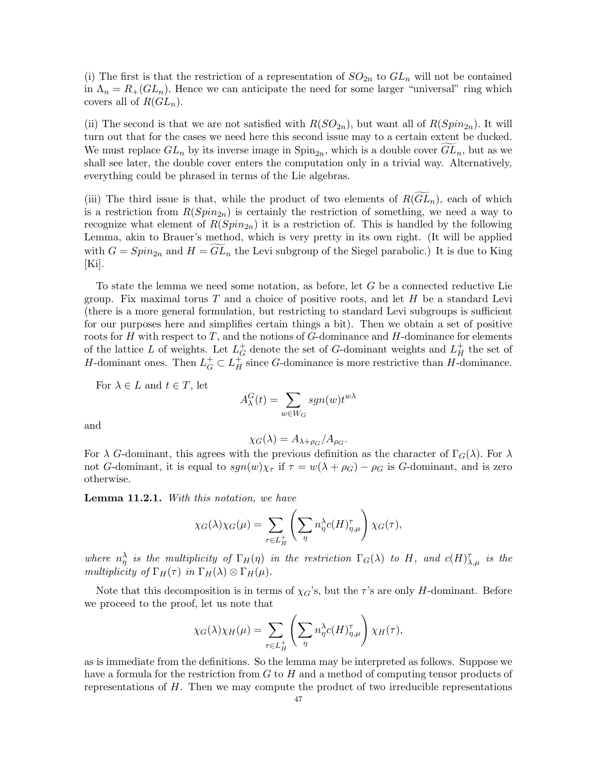(i) The first is that the restriction of a representation of  $SO_{2n}$  to  $GL_n$  will not be contained in  $\Lambda_n = R_+(GL_n)$ . Hence we can anticipate the need for some larger "universal" ring which covers all of  $R(GL_n)$ .

(ii) The second is that we are not satisfied with  $R(SO_{2n})$ , but want all of  $R(Spin_{2n})$ . It will turn out that for the cases we need here this second issue may to a certain extent be ducked. We must replace  $GL_n$  by its inverse image in  $\text{Spin}_{2n}$ , which is a double cover  $GL_n$ , but as we shall see later, the double cover enters the computation only in a trivial way. Alternatively, everything could be phrased in terms of the Lie algebras.

(iii) The third issue is that, while the product of two elements of  $R(GL_n)$ , each of which is a restriction from  $R(Spin_{2n})$  is certainly the restriction of something, we need a way to recognize what element of  $R(Spin_{2n})$  it is a restriction of. This is handled by the following Lemma, akin to Brauer's method, which is very pretty in its own right. (It will be applied with  $G = Spin_{2n}$  and  $H = GL_n$  the Levi subgroup of the Siegel parabolic.) It is due to King  $|Ki|.$ 

To state the lemma we need some notation, as before, let G be a connected reductive Lie group. Fix maximal torus  $T$  and a choice of positive roots, and let  $H$  be a standard Levi (there is a more general formulation, but restricting to standard Levi subgroups is sufficient for our purposes here and simplifies certain things a bit). Then we obtain a set of positive roots for H with respect to T, and the notions of  $G$ -dominance and H-dominance for elements of the lattice L of weights. Let  $L_G^+$  denote the set of G-dominant weights and  $L_H^+$  the set of H-dominant ones. Then  $L_G^+ \subset L_H^+$  since G-dominance is more restrictive than H-dominance.

For  $\lambda \in L$  and  $t \in T$ , let

$$
A_{\lambda}^{G}(t) = \sum_{w \in W_G} sgn(w) t^{w\lambda}
$$

and

$$
\chi_G(\lambda) = A_{\lambda + \rho_G}/A_{\rho_G}.
$$

For  $\lambda$  G-dominant, this agrees with the previous definition as the character of  $\Gamma_G(\lambda)$ . For  $\lambda$ not G-dominant, it is equal to  $sgn(w)\chi_{\tau}$  if  $\tau = w(\lambda + \rho_G) - \rho_G$  is G-dominant, and is zero otherwise.

Lemma 11.2.1. With this notation, we have

$$
\chi_G(\lambda)\chi_G(\mu) = \sum_{\tau \in L_H^+} \left( \sum_{\eta} n_{\eta}^{\lambda} c(H)_{\eta,\mu}^{\tau} \right) \chi_G(\tau),
$$

where  $n_{\eta}^{\lambda}$  is the multiplicity of  $\Gamma_H(\eta)$  in the restriction  $\Gamma_G(\lambda)$  to H, and  $c(H)_{\lambda,\mu}^{\tau}$  is the multiplicity of  $\Gamma_H(\tau)$  in  $\Gamma_H(\lambda) \otimes \Gamma_H(\mu)$ .

Note that this decomposition is in terms of  $\chi_G$ 's, but the  $\tau$ 's are only H-dominant. Before we proceed to the proof, let us note that

$$
\chi_G(\lambda)\chi_H(\mu) = \sum_{\tau \in L_H^+} \left( \sum_{\eta} n_{\eta}^{\lambda} c(H)_{\eta,\mu}^{\tau} \right) \chi_H(\tau),
$$

as is immediate from the definitions. So the lemma may be interpreted as follows. Suppose we have a formula for the restriction from G to H and a method of computing tensor products of representations of H. Then we may compute the product of two irreducible representations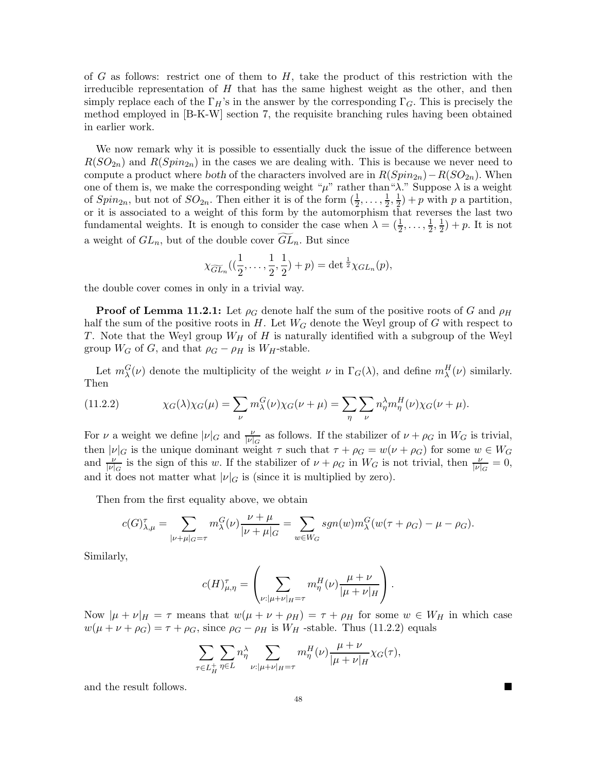of G as follows: restrict one of them to  $H$ , take the product of this restriction with the irreducible representation of  $H$  that has the same highest weight as the other, and then simply replace each of the  $\Gamma_H$ 's in the answer by the corresponding  $\Gamma_G$ . This is precisely the method employed in [B-K-W] section 7, the requisite branching rules having been obtained in earlier work.

We now remark why it is possible to essentially duck the issue of the difference between  $R(SO_{2n})$  and  $R(Spin_{2n})$  in the cases we are dealing with. This is because we never need to compute a product where both of the characters involved are in  $R(Spin_{2n})-R(SO_{2n})$ . When one of them is, we make the corresponding weight " $\mu$ " rather than " $\lambda$ ." Suppose  $\lambda$  is a weight of  $Spin_{2n}$ , but not of  $SO_{2n}$ . Then either it is of the form  $(\frac{1}{2}, \ldots, \frac{1}{2}, \frac{1}{2}) + p$  with p a partition, or it is associated to a weight of this form by the automorphism that reverses the last two fundamental weights. It is enough to consider the case when  $\lambda = (\frac{1}{2}, \ldots, \frac{1}{2}, \frac{1}{2}) + p$ . It is not a weight of  $GL_n$ , but of the double cover  $GL_n$ . But since

$$
\chi_{\widetilde{GL}_n}(\left(\frac{1}{2},\ldots,\frac{1}{2},\frac{1}{2}\right)+p)=\det{}^{\frac{1}{2}}\chi_{GL_n}(p),
$$

the double cover comes in only in a trivial way.

**Proof of Lemma 11.2.1:** Let  $\rho_G$  denote half the sum of the positive roots of G and  $\rho_H$ half the sum of the positive roots in  $H$ . Let  $W_G$  denote the Weyl group of G with respect to T. Note that the Weyl group  $W_H$  of H is naturally identified with a subgroup of the Weyl group  $W_G$  of G, and that  $\rho_G - \rho_H$  is  $W_H$ -stable.

Let  $m_\lambda^G(\nu)$  denote the multiplicity of the weight  $\nu$  in  $\Gamma_G(\lambda)$ , and define  $m_\lambda^H(\nu)$  similarly. Then

(11.2.2) 
$$
\chi_G(\lambda)\chi_G(\mu) = \sum_{\nu} m_{\lambda}^G(\nu)\chi_G(\nu+\mu) = \sum_{\eta} \sum_{\nu} n_{\eta}^{\lambda} m_{\eta}^H(\nu)\chi_G(\nu+\mu).
$$

For  $\nu$  a weight we define  $|\nu|_G$  and  $\frac{\nu}{|\nu|_G}$  as follows. If the stabilizer of  $\nu + \rho_G$  in  $W_G$  is trivial, then  $|\nu|_G$  is the unique dominant weight  $\tau$  such that  $\tau + \rho_G = w(\nu + \rho_G)$  for some  $w \in W_G$ and  $\frac{\nu}{|\nu|_G}$  is the sign of this w. If the stabilizer of  $\nu + \rho_G$  in  $W_G$  is not trivial, then  $\frac{\nu}{|\nu|_G} = 0$ , and it does not matter what  $|\nu|_G$  is (since it is multiplied by zero).

Then from the first equality above, we obtain

$$
c(G)_{\lambda,\mu}^{\tau} = \sum_{|\nu+\mu|_G=\tau} m_{\lambda}^G(\nu) \frac{\nu+\mu}{|\nu+\mu|_G} = \sum_{w \in W_G} sgn(w) m_{\lambda}^G(w(\tau+\rho_G) - \mu - \rho_G).
$$

Similarly,

$$
c(H)_{\mu,\eta}^{\tau} = \left(\sum_{\nu: |\mu+\nu|_{H}=\tau} m_{\eta}^{H}(\nu) \frac{\mu+\nu}{|\mu+\nu|_{H}}\right).
$$

Now  $|\mu + \nu|_H = \tau$  means that  $w(\mu + \nu + \rho_H) = \tau + \rho_H$  for some  $w \in W_H$  in which case  $w(\mu + \nu + \rho_G) = \tau + \rho_G$ , since  $\rho_G - \rho_H$  is  $W_H$ -stable. Thus (11.2.2) equals

$$
\sum_{\tau \in L_H^+} \sum_{\eta \in L} n_\eta^\lambda \sum_{\nu: |\mu + \nu|_H = \tau} m_\eta^H(\nu) \frac{\mu + \nu}{|\mu + \nu|_H} \chi_G(\tau),
$$

and the result follows.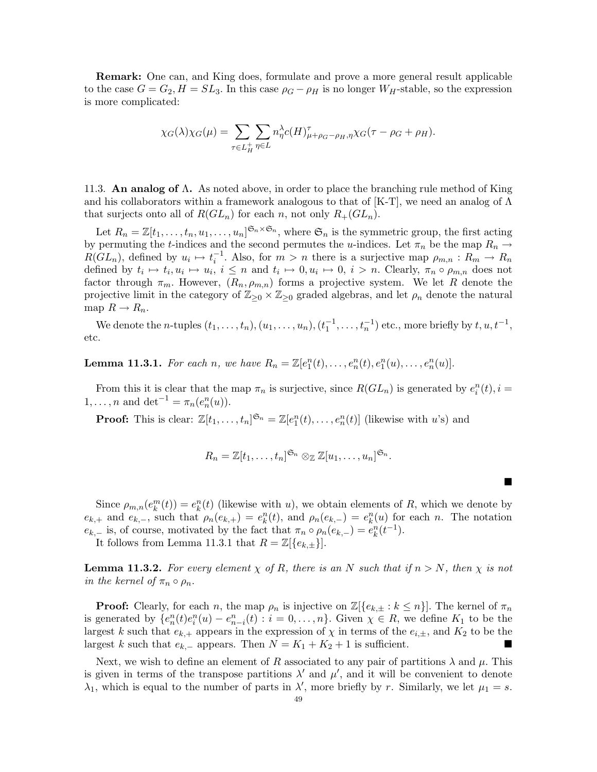Remark: One can, and King does, formulate and prove a more general result applicable to the case  $G = G_2, H = SL_3$ . In this case  $\rho_G - \rho_H$  is no longer  $W_H$ -stable, so the expression is more complicated:

$$
\chi_G(\lambda)\chi_G(\mu) = \sum_{\tau \in L_H^+} \sum_{\eta \in L} n_{\eta}^{\lambda} c(H)_{\mu + \rho_G - \rho_H, \eta}^{\tau} \chi_G(\tau - \rho_G + \rho_H).
$$

11.3. An analog of Λ. As noted above, in order to place the branching rule method of King and his collaborators within a framework analogous to that of [K-T], we need an analog of  $\Lambda$ that surjects onto all of  $R(GL_n)$  for each n, not only  $R_+(GL_n)$ .

Let  $R_n = \mathbb{Z}[t_1,\ldots,t_n,u_1,\ldots,u_n]^{\mathfrak{S}_n\times\mathfrak{S}_n}$ , where  $\mathfrak{S}_n$  is the symmetric group, the first acting by permuting the t-indices and the second permutes the u-indices. Let  $\pi_n$  be the map  $R_n \to$  $R(GL_n)$ , defined by  $u_i \mapsto t_i^{-1}$ . Also, for  $m > n$  there is a surjective map  $\rho_{m,n}: R_m \to R_n$ defined by  $t_i \mapsto t_i, u_i \mapsto u_i, i \leq n$  and  $t_i \mapsto 0, u_i \mapsto 0, i > n$ . Clearly,  $\pi_n \circ \rho_{m,n}$  does not factor through  $\pi_m$ . However,  $(R_n, \rho_{m,n})$  forms a projective system. We let R denote the projective limit in the category of  $\mathbb{Z}_{\geq 0} \times \mathbb{Z}_{\geq 0}$  graded algebras, and let  $\rho_n$  denote the natural map  $R \to R_n$ .

We denote the *n*-tuples  $(t_1, \ldots, t_n)$ ,  $(u_1, \ldots, u_n)$ ,  $(t_1^{-1}, \ldots, t_n^{-1})$  etc., more briefly by  $t, u, t^{-1}$ , etc.

**Lemma 11.3.1.** For each n, we have  $R_n = \mathbb{Z}[e_1^n(t), \ldots, e_n^n(t), e_1^n(u), \ldots, e_n^n(u)]$ .

From this it is clear that the map  $\pi_n$  is surjective, since  $R(GL_n)$  is generated by  $e_i^n(t)$ ,  $i =$ 1, ..., *n* and det<sup>-1</sup> =  $\pi_n(e_n^n(u))$ .

**Proof:** This is clear:  $\mathbb{Z}[t_1,\ldots,t_n]^{\mathfrak{S}_n} = \mathbb{Z}[e_1^n(t),\ldots,e_n^n(t)]$  (likewise with u's) and

$$
R_n=\mathbb{Z}[t_1,\ldots,t_n]^{\mathfrak{S}_n}\otimes_{\mathbb{Z}}\mathbb{Z}[u_1,\ldots,u_n]^{\mathfrak{S}_n}.
$$

 $\blacksquare$ 

Since  $\rho_{m,n}(e_k^m(t)) = e_k^n(t)$  (likewise with u), we obtain elements of R, which we denote by  $e_{k,+}$  and  $e_{k,-}$ , such that  $\rho_n(e_{k,+}) = e_k^n(t)$ , and  $\rho_n(e_{k,-}) = e_k^n(u)$  for each n. The notation  $e_{k,-}$  is, of course, motivated by the fact that  $\pi_n \circ \rho_n(e_{k,-}) = e_k^n(t^{-1}).$ 

It follows from Lemma 11.3.1 that  $R = \mathbb{Z}[\{e_{k,\pm}\}].$ 

**Lemma 11.3.2.** For every element  $\chi$  of R, there is an N such that if  $n > N$ , then  $\chi$  is not in the kernel of  $\pi_n \circ \rho_n$ .

**Proof:** Clearly, for each n, the map  $\rho_n$  is injective on  $\mathbb{Z}[\{e_{k,\pm}:k\leq n\}]$ . The kernel of  $\pi_n$ is generated by  $\{e_n^n(t)e_i^n(u) - e_{n-i}^n(t) : i = 0, \ldots, n\}$ . Given  $\chi \in R$ , we define  $K_1$  to be the largest k such that  $e_{k,+}$  appears in the expression of  $\chi$  in terms of the  $e_{i,+}$ , and  $K_2$  to be the largest k such that  $e_{k,-}$  appears. Then  $N = K_1 + K_2 + 1$  is sufficient.

Next, we wish to define an element of R associated to any pair of partitions  $\lambda$  and  $\mu$ . This is given in terms of the transpose partitions  $\lambda'$  and  $\mu'$ , and it will be convenient to denote  $\lambda_1$ , which is equal to the number of parts in  $\lambda'$ , more briefly by r. Similarly, we let  $\mu_1 = s$ .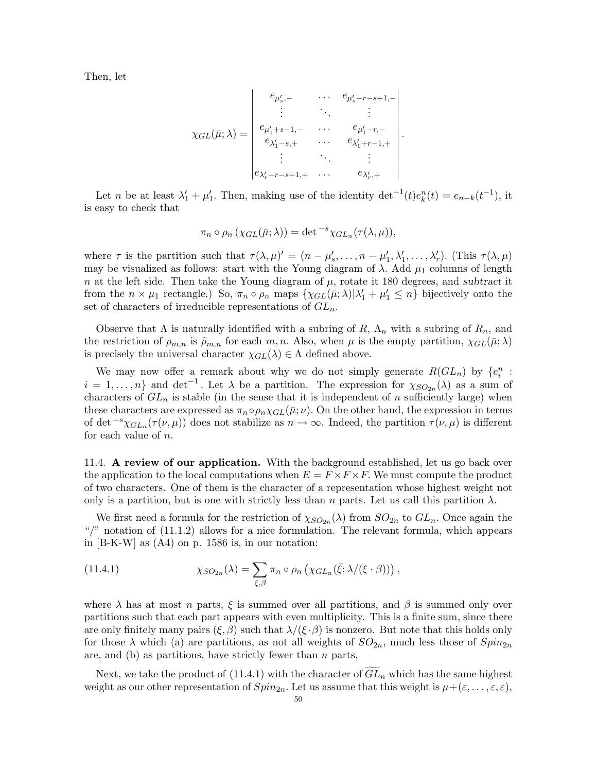Then, let

$$
\chi_{GL}(\bar{\mu};\lambda) = \begin{vmatrix} e_{\mu'_s,-} & \cdots & e_{\mu'_s-r-s+1,-} \\ \vdots & \ddots & \vdots \\ e_{\mu'_1+s-1,-} & \cdots & e_{\mu'_1-r,-} \\ e_{\lambda'_1-s,+} & \cdots & e_{\lambda'_1+r-1,+} \\ \vdots & \ddots & \vdots \\ e_{\lambda'_r-r-s+1,+} & \cdots & e_{\lambda'_r,+} \end{vmatrix}.
$$

Let *n* be at least  $\lambda'_1 + \mu'_1$ . Then, making use of the identity det<sup>-1</sup>(t)e<sub>k</sub><sup>n</sup>(t) = e<sub>n-k</sub>(t<sup>-1</sup>), it is easy to check that

$$
\pi_n \circ \rho_n \left( \chi_{GL}(\bar{\mu}; \lambda) \right) = \det^{-s} \chi_{GL_n}(\tau(\lambda, \mu)),
$$

where  $\tau$  is the partition such that  $\tau(\lambda, \mu)' = (n - \mu'_s, \dots, n - \mu'_1, \lambda'_1, \dots, \lambda'_r)$ . (This  $\tau(\lambda, \mu)$ may be visualized as follows: start with the Young diagram of  $\lambda$ . Add  $\mu_1$  columns of length n at the left side. Then take the Young diagram of  $\mu$ , rotate it 180 degrees, and subtract it from the  $n \times \mu_1$  rectangle.) So,  $\pi_n \circ \rho_n$  maps  $\{\chi_{GL}(\bar{\mu}; \lambda) | \lambda'_1 + \mu'_1 \leq n\}$  bijectively onto the set of characters of irreducible representations of  $GL_n$ .

Observe that  $\Lambda$  is naturally identified with a subring of  $R$ ,  $\Lambda_n$  with a subring of  $R_n$ , and the restriction of  $\rho_{m,n}$  is  $\tilde{\rho}_{m,n}$  for each m, n. Also, when  $\mu$  is the empty partition,  $\chi_{GL}(\bar{\mu};\lambda)$ is precisely the universal character  $\chi_{GL}(\lambda) \in \Lambda$  defined above.

We may now offer a remark about why we do not simply generate  $R(GL_n)$  by  $\{e_i^n\}$ :  $i = 1, \ldots, n$  and det<sup>-1</sup>. Let  $\lambda$  be a partition. The expression for  $\chi_{SO_{2n}}(\lambda)$  as a sum of characters of  $GL_n$  is stable (in the sense that it is independent of n sufficiently large) when these characters are expressed as  $\pi_n \circ \rho_n \chi_{GL}(\bar{\mu}; \nu)$ . On the other hand, the expression in terms of det  $^{-s}\chi_{GL_n}(\tau(\nu,\mu))$  does not stabilize as  $n\to\infty$ . Indeed, the partition  $\tau(\nu,\mu)$  is different for each value of n.

11.4. A review of our application. With the background established, let us go back over the application to the local computations when  $E = F \times F \times F$ . We must compute the product of two characters. One of them is the character of a representation whose highest weight not only is a partition, but is one with strictly less than n parts. Let us call this partition  $\lambda$ .

We first need a formula for the restriction of  $\chi_{SO_{2n}}(\lambda)$  from  $SO_{2n}$  to  $GL_n$ . Once again the "/" notation of (11.1.2) allows for a nice formulation. The relevant formula, which appears in [B-K-W] as (A4) on p. 1586 is, in our notation:

(11.4.1) 
$$
\chi_{SO_{2n}}(\lambda) = \sum_{\xi,\beta} \pi_n \circ \rho_n \left( \chi_{GL_n}(\bar{\xi}; \lambda/(\xi \cdot \beta)) \right),
$$

where  $\lambda$  has at most n parts,  $\xi$  is summed over all partitions, and  $\beta$  is summed only over partitions such that each part appears with even multiplicity. This is a finite sum, since there are only finitely many pairs  $(\xi, \beta)$  such that  $\lambda/(\xi \cdot \beta)$  is nonzero. But note that this holds only for those  $\lambda$  which (a) are partitions, as not all weights of  $SO_{2n}$ , much less those of  $Spin_{2n}$ are, and (b) as partitions, have strictly fewer than  $n$  parts,

Next, we take the product of  $(11.4.1)$  with the character of  $GL_n$  which has the same highest weight as our other representation of  $Spin_{2n}$ . Let us assume that this weight is  $\mu+(\varepsilon,\ldots,\varepsilon,\varepsilon)$ ,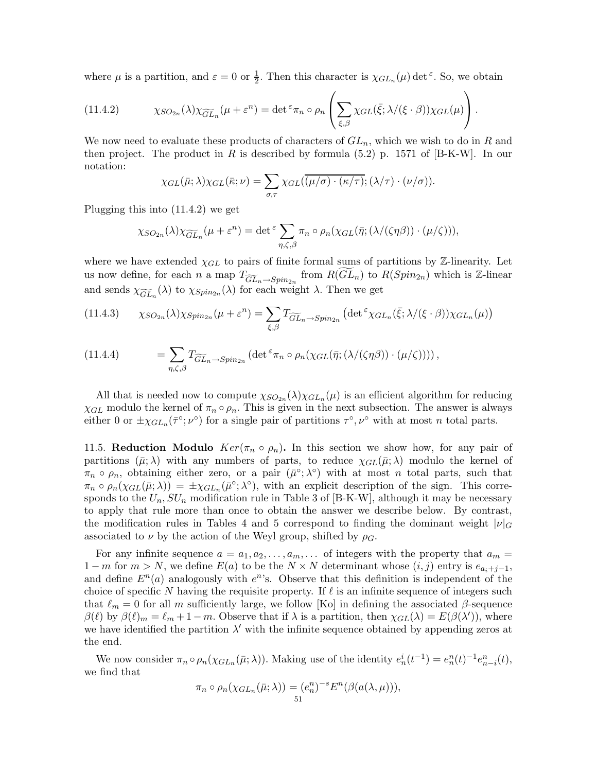where  $\mu$  is a partition, and  $\varepsilon = 0$  or  $\frac{1}{2}$ . Then this character is  $\chi_{GL_n}(\mu)$  det  $\varepsilon$ . So, we obtain

(11.4.2) 
$$
\chi_{SO_{2n}}(\lambda)\chi_{\widetilde{GL}_n}(\mu+\varepsilon^n)=\det^{\varepsilon}\pi_n\circ\rho_n\left(\sum_{\xi,\beta}\chi_{GL}(\bar{\xi};\lambda/(\xi\cdot\beta))\chi_{GL}(\mu)\right).
$$

We now need to evaluate these products of characters of  $GL_n$ , which we wish to do in R and then project. The product in R is described by formula  $(5.2)$  p. 1571 of  $[B-K-W]$ . In our notation:

$$
\chi_{GL}(\bar{\mu};\lambda)\chi_{GL}(\bar{\kappa};\nu)=\sum_{\sigma,\tau}\chi_{GL}(\overline{(\mu/\sigma)\cdot(\kappa/\tau)};(\lambda/\tau)\cdot(\nu/\sigma)).
$$

Plugging this into (11.4.2) we get

$$
\chi_{SO_{2n}}(\lambda)\chi_{\widetilde{GL}_n}(\mu+\varepsilon^n)=\det^{\varepsilon}\sum_{\eta,\zeta,\beta}\pi_n\circ\rho_n(\chi_{GL}(\bar{\eta};(\lambda/(\zeta\eta\beta))\cdot(\mu/\zeta))),
$$

where we have extended  $\chi_{GL}$  to pairs of finite formal sums of partitions by Z-linearity. Let us now define, for each n a map  $T_{\widetilde{GL}_n \to Spin_{2n}}$  from  $R(GL_n)$  to  $R(Spin_{2n})$  which is Z-linear and sends  $\chi_{\widetilde{GL}_n}(\lambda)$  to  $\chi_{Spin_{2n}}(\lambda)$  for each weight  $\lambda$ . Then we get

(11.4.3) 
$$
\chi_{SO_{2n}}(\lambda)\chi_{Spin_{2n}}(\mu+\varepsilon^n)=\sum_{\xi,\beta}T_{\widetilde{GL}_n\to Spin_{2n}}\left(\det^{\varepsilon}\chi_{GL_n}(\bar{\xi};\lambda/(\xi\cdot\beta))\chi_{GL_n}(\mu)\right)
$$

(11.4.4) 
$$
= \sum_{\eta,\zeta,\beta} T_{\widetilde{GL}_n \to Spin_{2n}} \left( \det^{\varepsilon} \pi_n \circ \rho_n(\chi_{GL}(\bar{\eta}; (\lambda/(\zeta \eta \beta)) \cdot (\mu/\zeta))) \right),
$$

All that is needed now to compute  $\chi_{SO_{2n}}(\lambda)\chi_{GL_n}(\mu)$  is an efficient algorithm for reducing  $\chi_{GL}$  modulo the kernel of  $\pi_n \circ \rho_n$ . This is given in the next subsection. The answer is always either 0 or  $\pm \chi_{GL_n}(\bar{\tau}^\circ;\nu^\circ)$  for a single pair of partitions  $\tau^\circ,\nu^\circ$  with at most n total parts.

11.5. Reduction Modulo  $Ker(\pi_n \circ \rho_n)$ . In this section we show how, for any pair of partitions  $(\bar{\mu}; \lambda)$  with any numbers of parts, to reduce  $\chi_{GL}(\bar{\mu}; \lambda)$  modulo the kernel of  $\pi_n \circ \rho_n$ , obtaining either zero, or a pair  $(\bar{\mu}^\circ; \lambda^\circ)$  with at most n total parts, such that  $\pi_n \circ \rho_n(\chi_{GL}(\bar{\mu};\lambda)) = \pm \chi_{GL_n}(\bar{\mu}^\circ;\lambda^\circ)$ , with an explicit description of the sign. This corresponds to the  $U_n$ ,  $SU_n$  modification rule in Table 3 of [B-K-W], although it may be necessary to apply that rule more than once to obtain the answer we describe below. By contrast, the modification rules in Tables 4 and 5 correspond to finding the dominant weight  $|\nu|_G$ associated to  $\nu$  by the action of the Weyl group, shifted by  $\rho_G$ .

For any infinite sequence  $a = a_1, a_2, \ldots, a_m, \ldots$  of integers with the property that  $a_m =$  $1-m$  for  $m>N$ , we define  $E(a)$  to be the  $N \times N$  determinant whose  $(i, j)$  entry is  $e_{a+j-1}$ , and define  $E<sup>n</sup>(a)$  analogously with  $e<sup>n</sup>$ 's. Observe that this definition is independent of the choice of specific N having the requisite property. If  $\ell$  is an infinite sequence of integers such that  $\ell_m = 0$  for all m sufficiently large, we follow [Ko] in defining the associated β-sequence  $\beta(\ell)$  by  $\beta(\ell)_m = \ell_m + 1 - m$ . Observe that if  $\lambda$  is a partition, then  $\chi_{GL}(\lambda) = E(\beta(\lambda'))$ , where we have identified the partition  $\lambda'$  with the infinite sequence obtained by appending zeros at the end.

We now consider  $\pi_n \circ \rho_n(\chi_{GL_n}(\bar{\mu};\lambda))$ . Making use of the identity  $e_n^i(t^{-1}) = e_n^n(t)^{-1} e_{n-i}^n(t)$ , we find that

$$
\pi_n \circ \rho_n(\chi_{GL_n}(\bar{\mu}; \lambda)) = (e_n^n)^{-s} E^n(\beta(a(\lambda, \mu))),
$$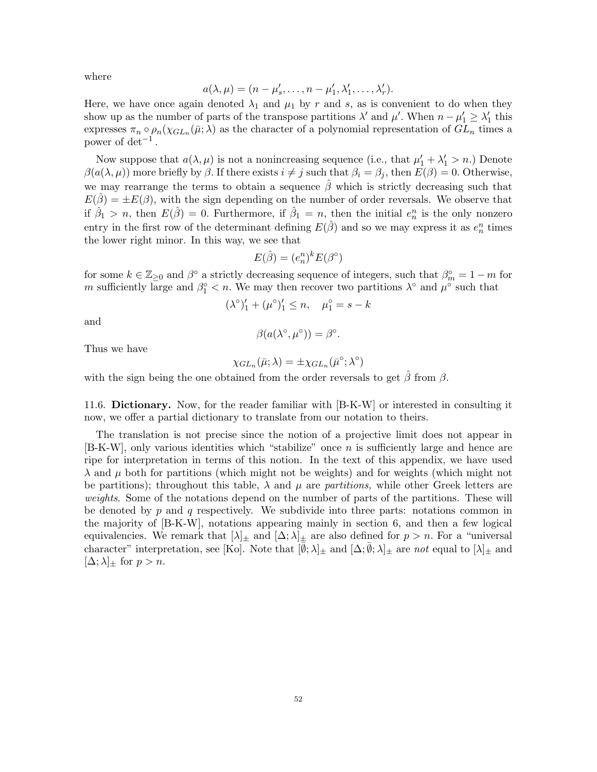where

$$
a(\lambda,\mu)=(n-\mu_s',\ldots,n-\mu_1',\lambda_1',\ldots,\lambda_r').
$$

Here, we have once again denoted  $\lambda_1$  and  $\mu_1$  by r and s, as is convenient to do when they show up as the number of parts of the transpose partitions  $\lambda'$  and  $\mu'$ . When  $n - \mu'_1 \geq \lambda'_1$  this expresses  $\pi_n \circ \rho_n(\chi_{GL_n}(\bar{\mu};\lambda))$  as the character of a polynomial representation of  $GL_n$  times a power of  $det^{-1}$ .

Now suppose that  $a(\lambda, \mu)$  is not a nonincreasing sequence (i.e., that  $\mu'_1 + \lambda'_1 > n$ .) Denote  $\beta(a(\lambda,\mu))$  more briefly by  $\beta$ . If there exists  $i \neq j$  such that  $\beta_i = \beta_j$ , then  $E(\beta) = 0$ . Otherwise, we may rearrange the terms to obtain a sequence  $\beta$  which is strictly decreasing such that  $E(\hat{\beta}) = \pm E(\beta)$ , with the sign depending on the number of order reversals. We observe that if  $\hat{\beta}_1 > n$ , then  $E(\hat{\beta}) = 0$ . Furthermore, if  $\hat{\beta}_1 = n$ , then the initial  $e_n^n$  is the only nonzero entry in the first row of the determinant defining  $E(\hat{\beta})$  and so we may express it as  $e_n^n$  times the lower right minor. In this way, we see that

$$
E(\hat{\beta}) = (e_n^n)^k E(\beta^\circ)
$$

for some  $k \in \mathbb{Z}_{\geq 0}$  and  $\beta^{\circ}$  a strictly decreasing sequence of integers, such that  $\beta^{\circ}_m = 1 - m$  for m sufficiently large and  $\beta_1^{\circ} < n$ . We may then recover two partitions  $\lambda^{\circ}$  and  $\mu^{\circ}$  such that

$$
(\lambda^{\circ})'_1 + (\mu^{\circ})'_1 \le n, \quad \mu_1^{\circ} = s - k
$$

and

$$
\beta(a(\lambda^{\circ}, \mu^{\circ})) = \beta^{\circ}.
$$

Thus we have

$$
\chi_{GL_n}(\bar{\mu};\lambda)=\pm\chi_{GL_n}(\bar{\mu}^{\circ};\lambda^{\circ})
$$

with the sign being the one obtained from the order reversals to get  $\hat{\beta}$  from  $\beta$ .

11.6. Dictionary. Now, for the reader familiar with [B-K-W] or interested in consulting it now, we offer a partial dictionary to translate from our notation to theirs.

The translation is not precise since the notion of a projective limit does not appear in [B-K-W], only various identities which "stabilize" once n is sufficiently large and hence are ripe for interpretation in terms of this notion. In the text of this appendix, we have used  $\lambda$  and  $\mu$  both for partitions (which might not be weights) and for weights (which might not be partitions); throughout this table,  $\lambda$  and  $\mu$  are partitions, while other Greek letters are weights. Some of the notations depend on the number of parts of the partitions. These will be denoted by  $p$  and  $q$  respectively. We subdivide into three parts: notations common in the majority of [B-K-W], notations appearing mainly in section 6, and then a few logical equivalencies. We remark that  $[\lambda]_{\pm}$  and  $[\Delta; \lambda]_{\pm}$  are also defined for  $p > n$ . For a "universal character" interpretation, see [Ko]. Note that  $[\overline{\emptyset}; \lambda]_{\pm}$  and  $[\Delta; \overline{\emptyset}; \lambda]_{\pm}$  are not equal to  $[\lambda]_{\pm}$  and  $[\Delta; \lambda]_{\pm}$  for  $p > n$ .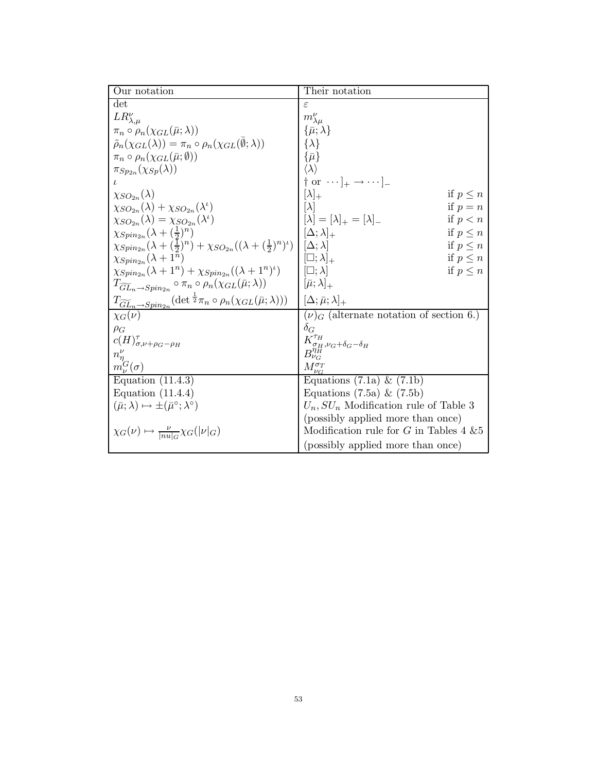| Our notation                                                                                                  | Their notation                                                             |
|---------------------------------------------------------------------------------------------------------------|----------------------------------------------------------------------------|
| $\det$                                                                                                        | ε                                                                          |
| $LR_{\lambda,\mu}^{\nu}$                                                                                      | $m_{\lambda\mu}^{\nu}$                                                     |
| $\pi_n \circ \rho_n(\chi_{GL}(\bar{\mu};\lambda))$                                                            | $\{\bar{\mu};\lambda\}$                                                    |
| $\tilde{\rho}_n(\chi_{GL}(\lambda)) = \pi_n \circ \rho_n(\chi_{GL}(\emptyset; \lambda))$                      | $\{\lambda\}$                                                              |
| $\pi_n \circ \rho_n(\chi_{GL}(\bar{\mu};\emptyset))$                                                          | $\{\bar{\mu}\}$                                                            |
| $\pi_{Sp_{2n}}(\chi_{Sp}(\lambda))$                                                                           | $\langle \lambda \rangle$                                                  |
| ı                                                                                                             | $\uparrow$ or $\cdots$ $\downarrow$ $\rightarrow$ $\cdots$ $\downarrow$    |
| $\chi_{SO_{2n}}(\lambda)$                                                                                     | $[\lambda]_+$<br>if $p \leq n$                                             |
| $\chi_{SO_{2n}}(\lambda)+\chi_{SO_{2n}}(\lambda^{\iota})$                                                     | if $p = n$                                                                 |
| $\chi_{SO_{2n}}(\lambda)=\chi_{SO_{2n}}(\lambda^{\iota})$                                                     | $[\lambda] = [\lambda]_{+} = [\lambda]_{-}$<br>if $p < n$                  |
| $\chi_{Spin_{2n}}(\lambda+(\frac{1}{2})^n)$                                                                   | $[\Delta; \lambda]_+$<br>if $p \leq n$                                     |
| $\chi_{Spin_{2n}}(\lambda+(\frac{1}{2})^n)+\chi_{SO_{2n}}((\lambda+(\frac{1}{2})^n)^{\iota})$                 | $[\Delta; \lambda]$<br>if $p \leq n$                                       |
| $\chi_{Spin_{2n}}(\lambda+1^n)$                                                                               | $[\Box; \lambda]_+$<br>if $p \leq n$                                       |
| $\chi_{Spin_{2n}}(\lambda+1^n)+\chi_{Spin_{2n}}((\lambda+1^n)^{\iota})$                                       | $[\Box; \lambda]$<br>if $p \leq n$                                         |
| $T_{\widetilde{GL}_n \to Spin_{2n}} \circ \pi_n \circ \rho_n(\chi_{GL}(\bar{\mu};\lambda))$                   | $[\bar{\mu};\lambda]_+$                                                    |
| $T_{\widetilde{GL}_n\rightarrow Spin_{2n}}(\det{}^{\frac{1}{2}}\pi_n\circ\rho_n(\chi_{GL}(\bar\mu;\lambda)))$ | $[\Delta;\bar{\mu};\lambda]_+$                                             |
| $\chi_G(\nu)$                                                                                                 | $(\nu)$ <sub>G</sub> (alternate notation of section 6.)                    |
| $\rho_G$                                                                                                      | $\delta_G$                                                                 |
| $c(H)_{\sigma,\nu+\rho_G-\rho_H}^{\tau}$                                                                      | $\frac{K^{\tau_H}_{\sigma_H,\nu_G+\delta_G-\delta_H}}{B^{\eta_H}_{\nu_G}}$ |
| $n_{\eta}^{\nu}$                                                                                              |                                                                            |
| $m_{\nu}^{G}(\sigma)$                                                                                         | $M_{\nu c}^{\sigma_T}$                                                     |
| Equation $(11.4.3)$                                                                                           | Equations $(7.1a) \& (7.1b)$                                               |
| Equation $(11.4.4)$                                                                                           | Equations $(7.5a) \& (7.5b)$                                               |
| $(\bar{\mu}; \lambda) \mapsto \pm (\bar{\mu}^{\circ}; \lambda^{\circ})$                                       | $U_n$ , $SU_n$ Modification rule of Table 3                                |
|                                                                                                               | (possibly applied more than once)                                          |
| $\chi_G(\nu) \mapsto \frac{\nu}{ nu _G} \chi_G( \nu _G)$                                                      | Modification rule for $G$ in Tables 4 $&5$                                 |
|                                                                                                               | (possibly applied more than once)                                          |